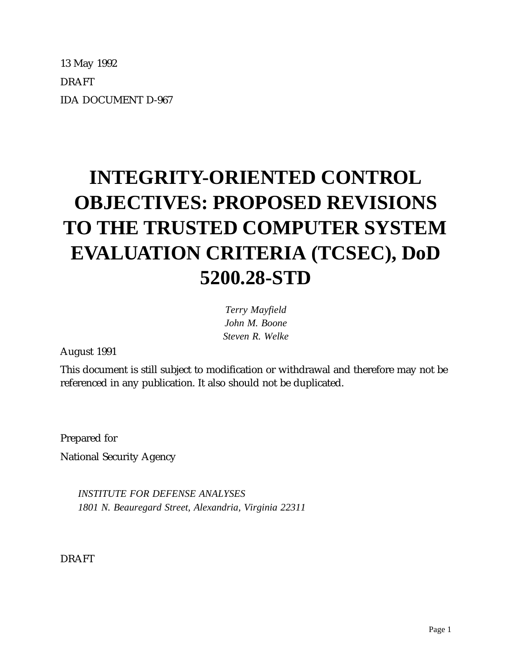13 May 1992 DRAFT IDA DOCUMENT D-967

# **INTEGRITY-ORIENTED CONTROL OBJECTIVES: PROPOSED REVISIONS TO THE TRUSTED COMPUTER SYSTEM EVALUATION CRITERIA (TCSEC), DoD 5200.28-STD**

*Terry Mayfield John M. Boone Steven R. Welke*

August 1991

This document is still subject to modification or withdrawal and therefore may not be referenced in any publication. It also should not be duplicated.

Prepared for National Security Agency

> *INSTITUTE FOR DEFENSE ANALYSES 1801 N. Beauregard Street, Alexandria, Virginia 22311*

DRAFT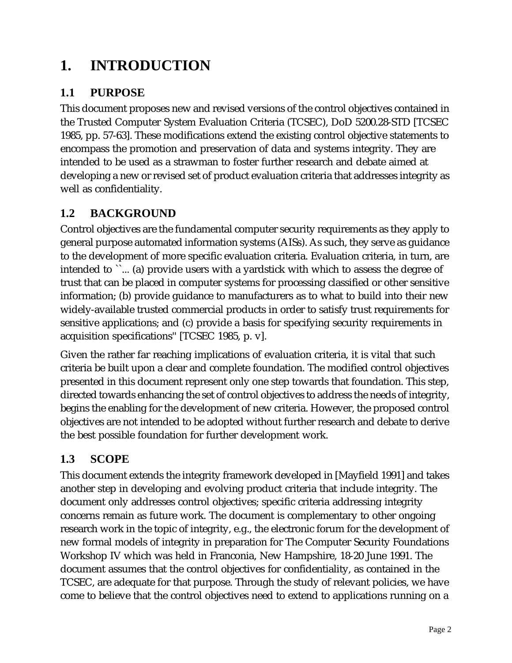## **1. INTRODUCTION**

## **1.1 PURPOSE**

This document proposes new and revised versions of the control objectives contained in the Trusted Computer System Evaluation Criteria (TCSEC), DoD 5200.28-STD [TCSEC 1985, pp. 57-63]. These modifications extend the existing control objective statements to encompass the promotion and preservation of data and systems integrity. They are intended to be used as a strawman to foster further research and debate aimed at developing a new or revised set of product evaluation criteria that addresses integrity as well as confidentiality.

## **1.2 BACKGROUND**

Control objectives are the fundamental computer security requirements as they apply to general purpose automated information systems (AISs). As such, they serve as guidance to the development of more specific evaluation criteria. Evaluation criteria, in turn, are intended to ``... (a) provide users with a yardstick with which to assess the degree of trust that can be placed in computer systems for processing classified or other sensitive information; (b) provide guidance to manufacturers as to what to build into their new widely-available trusted commercial products in order to satisfy trust requirements for sensitive applications; and (c) provide a basis for specifying security requirements in acquisition specifications'' [TCSEC 1985, p. v].

Given the rather far reaching implications of evaluation criteria, it is vital that such criteria be built upon a clear and complete foundation. The modified control objectives presented in this document represent only one step towards that foundation. This step, directed towards enhancing the set of control objectives to address the needs of integrity, begins the enabling for the development of new criteria. However, the proposed control objectives are not intended to be adopted without further research and debate to derive the best possible foundation for further development work.

## **1.3 SCOPE**

This document extends the integrity framework developed in [Mayfield 1991] and takes another step in developing and evolving product criteria that include integrity. The document only addresses control objectives; specific criteria addressing integrity concerns remain as future work. The document is complementary to other ongoing research work in the topic of integrity, e.g., the electronic forum for the development of new formal models of integrity in preparation for The Computer Security Foundations Workshop IV which was held in Franconia, New Hampshire, 18-20 June 1991. The document assumes that the control objectives for confidentiality, as contained in the TCSEC, are adequate for that purpose. Through the study of relevant policies, we have come to believe that the control objectives need to extend to applications running on a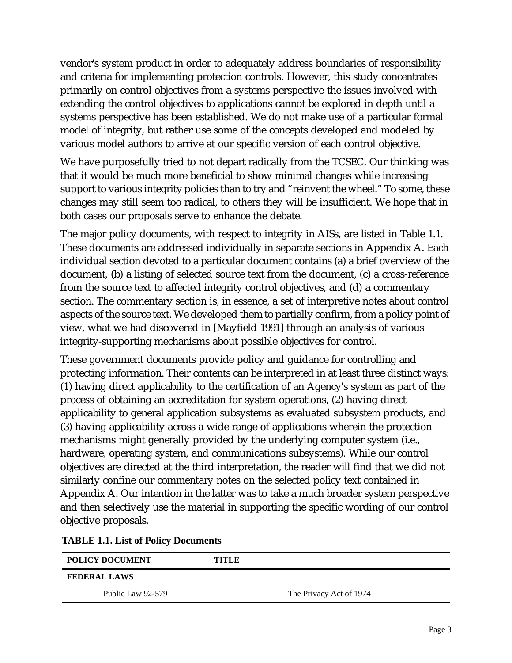vendor's system product in order to adequately address boundaries of responsibility and criteria for implementing protection controls. However, this study concentrates primarily on control objectives from a systems perspective-the issues involved with extending the control objectives to applications cannot be explored in depth until a systems perspective has been established. We do not make use of a particular formal model of integrity, but rather use some of the concepts developed and modeled by various model authors to arrive at our specific version of each control objective.

We have purposefully tried to not depart radically from the TCSEC. Our thinking was that it would be much more beneficial to show minimal changes while increasing support to various integrity policies than to try and "reinvent the wheel." To some, these changes may still seem too radical, to others they will be insufficient. We hope that in both cases our proposals serve to enhance the debate.

The major policy documents, with respect to integrity in AISs, are listed in Table 1.1. These documents are addressed individually in separate sections in Appendix A. Each individual section devoted to a particular document contains (a) a brief overview of the document, (b) a listing of selected source text from the document, (c) a cross-reference from the source text to affected integrity control objectives, and (d) a commentary section. The commentary section is, in essence, a set of interpretive notes about control aspects of the source text. We developed them to partially confirm, from a policy point of view, what we had discovered in [Mayfield 1991] through an analysis of various integrity-supporting mechanisms about possible objectives for control.

These government documents provide policy and guidance for controlling and protecting information. Their contents can be interpreted in at least three distinct ways: (1) having direct applicability to the certification of an Agency's system as part of the process of obtaining an accreditation for system operations, (2) having direct applicability to general application subsystems as evaluated subsystem products, and (3) having applicability across a wide range of applications wherein the protection mechanisms might generally provided by the underlying computer system (i.e., hardware, operating system, and communications subsystems). While our control objectives are directed at the third interpretation, the reader will find that we did not similarly confine our commentary notes on the selected policy text contained in Appendix A. Our intention in the latter was to take a much broader system perspective and then selectively use the material in supporting the specific wording of our control objective proposals.

| <b>POLICY DOCUMENT</b> | TITLE                   |
|------------------------|-------------------------|
| <b>FEDERAL LAWS</b>    |                         |
| Public Law 92-579      | The Privacy Act of 1974 |

#### **TABLE 1.1. List of Policy Documents**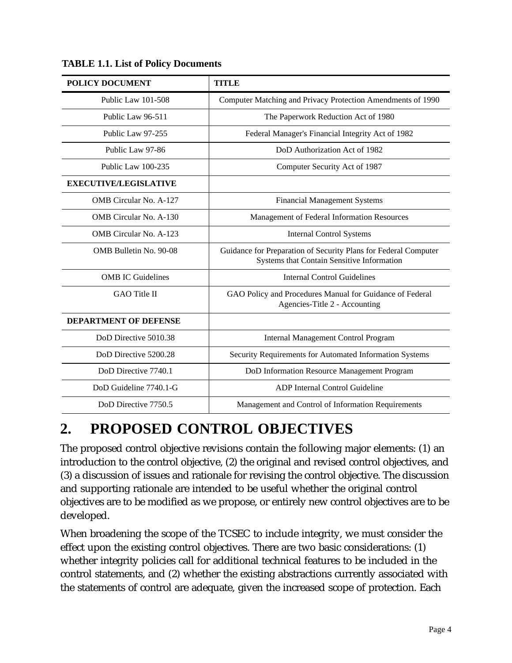| <b>POLICY DOCUMENT</b>        | <b>TITLE</b>                                                                                                  |  |  |
|-------------------------------|---------------------------------------------------------------------------------------------------------------|--|--|
| Public Law 101-508            | Computer Matching and Privacy Protection Amendments of 1990                                                   |  |  |
| Public Law 96-511             | The Paperwork Reduction Act of 1980                                                                           |  |  |
| Public Law 97-255             | Federal Manager's Financial Integrity Act of 1982                                                             |  |  |
| Public Law 97-86              | DoD Authorization Act of 1982                                                                                 |  |  |
| Public Law 100-235            | Computer Security Act of 1987                                                                                 |  |  |
| <b>EXECUTIVE/LEGISLATIVE</b>  |                                                                                                               |  |  |
| <b>OMB</b> Circular No. A-127 | <b>Financial Management Systems</b>                                                                           |  |  |
| <b>OMB</b> Circular No. A-130 | Management of Federal Information Resources                                                                   |  |  |
| <b>OMB</b> Circular No. A-123 | <b>Internal Control Systems</b>                                                                               |  |  |
| OMB Bulletin No. 90-08        | Guidance for Preparation of Security Plans for Federal Computer<br>Systems that Contain Sensitive Information |  |  |
| <b>OMB</b> IC Guidelines      | Internal Control Guidelines                                                                                   |  |  |
| <b>GAO</b> Title II           | GAO Policy and Procedures Manual for Guidance of Federal<br>Agencies-Title 2 - Accounting                     |  |  |
| <b>DEPARTMENT OF DEFENSE</b>  |                                                                                                               |  |  |
| DoD Directive 5010.38         | <b>Internal Management Control Program</b>                                                                    |  |  |
| DoD Directive 5200.28         | Security Requirements for Automated Information Systems                                                       |  |  |
| DoD Directive 7740.1          | DoD Information Resource Management Program                                                                   |  |  |
| DoD Guideline 7740.1-G        | ADP Internal Control Guideline                                                                                |  |  |
| DoD Directive 7750.5          | Management and Control of Information Requirements                                                            |  |  |

**TABLE 1.1. List of Policy Documents**

## **2. PROPOSED CONTROL OBJECTIVES**

The proposed control objective revisions contain the following major elements: (1) an introduction to the control objective, (2) the original and revised control objectives, and (3) a discussion of issues and rationale for revising the control objective. The discussion and supporting rationale are intended to be useful whether the original control objectives are to be modified as we propose, or entirely new control objectives are to be developed.

When broadening the scope of the TCSEC to include integrity, we must consider the effect upon the existing control objectives. There are two basic considerations: (1) whether integrity policies call for additional technical features to be included in the control statements, and (2) whether the existing abstractions currently associated with the statements of control are adequate, given the increased scope of protection. Each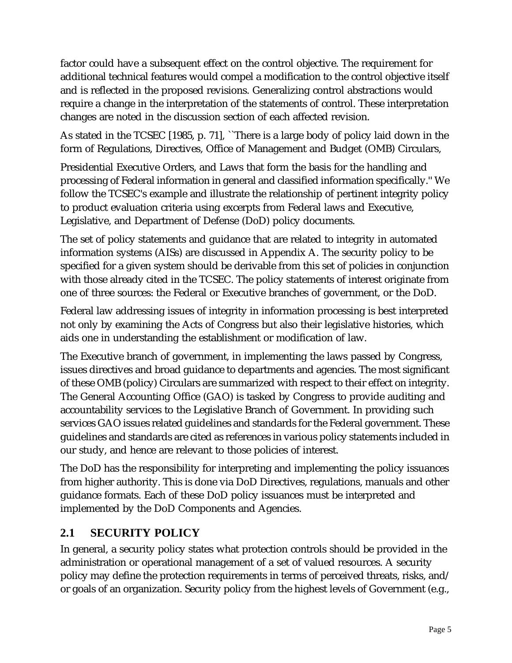factor could have a subsequent effect on the control objective. The requirement for additional technical features would compel a modification to the control objective itself and is reflected in the proposed revisions. Generalizing control abstractions would require a change in the interpretation of the statements of control. These interpretation changes are noted in the discussion section of each affected revision.

As stated in the TCSEC [1985, p. 71], ``There is a large body of policy laid down in the form of Regulations, Directives, Office of Management and Budget (OMB) Circulars,

Presidential Executive Orders, and Laws that form the basis for the handling and processing of Federal information in general and classified information specifically.'' We follow the TCSEC's example and illustrate the relationship of pertinent integrity policy to product evaluation criteria using excerpts from Federal laws and Executive, Legislative, and Department of Defense (DoD) policy documents.

The set of policy statements and guidance that are related to integrity in automated information systems (AISs) are discussed in Appendix A. The security policy to be specified for a given system should be derivable from this set of policies in conjunction with those already cited in the TCSEC. The policy statements of interest originate from one of three sources: the Federal or Executive branches of government, or the DoD.

Federal law addressing issues of integrity in information processing is best interpreted not only by examining the Acts of Congress but also their legislative histories, which aids one in understanding the establishment or modification of law.

The Executive branch of government, in implementing the laws passed by Congress, issues directives and broad guidance to departments and agencies. The most significant of these OMB (policy) Circulars are summarized with respect to their effect on integrity. The General Accounting Office (GAO) is tasked by Congress to provide auditing and accountability services to the Legislative Branch of Government. In providing such services GAO issues related guidelines and standards for the Federal government. These guidelines and standards are cited as references in various policy statements included in our study, and hence are relevant to those policies of interest.

The DoD has the responsibility for interpreting and implementing the policy issuances from higher authority. This is done via DoD Directives, regulations, manuals and other guidance formats. Each of these DoD policy issuances must be interpreted and implemented by the DoD Components and Agencies.

## **2.1 SECURITY POLICY**

In general, a security policy states what protection controls should be provided in the administration or operational management of a set of valued resources. A security policy may define the protection requirements in terms of perceived threats, risks, and/ or goals of an organization. Security policy from the highest levels of Government (e.g.,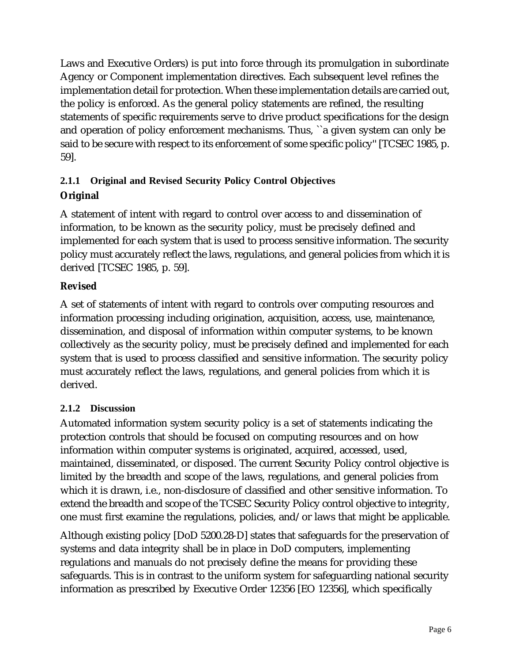Laws and Executive Orders) is put into force through its promulgation in subordinate Agency or Component implementation directives. Each subsequent level refines the implementation detail for protection. When these implementation details are carried out, the policy is enforced. As the general policy statements are refined, the resulting statements of specific requirements serve to drive product specifications for the design and operation of policy enforcement mechanisms. Thus, ``a given system can only be said to be secure with respect to its enforcement of some specific policy'' [TCSEC 1985, p. 59].

## **2.1.1 Original and Revised Security Policy Control Objectives Original**

A statement of intent with regard to control over access to and dissemination of information, to be known as the security policy, must be precisely defined and implemented for each system that is used to process sensitive information. The security policy must accurately reflect the laws, regulations, and general policies from which it is derived [TCSEC 1985, p. 59].

## **Revised**

A set of statements of intent with regard to controls over computing resources and information processing including origination, acquisition, access, use, maintenance, dissemination, and disposal of information within computer systems, to be known collectively as the security policy, must be precisely defined and implemented for each system that is used to process classified and sensitive information. The security policy must accurately reflect the laws, regulations, and general policies from which it is derived.

### **2.1.2 Discussion**

Automated information system security policy is a set of statements indicating the protection controls that should be focused on computing resources and on how information within computer systems is originated, acquired, accessed, used, maintained, disseminated, or disposed. The current Security Policy control objective is limited by the breadth and scope of the laws, regulations, and general policies from which it is drawn, i.e., non-disclosure of classified and other sensitive information. To extend the breadth and scope of the TCSEC Security Policy control objective to integrity, one must first examine the regulations, policies, and/or laws that might be applicable.

Although existing policy [DoD 5200.28-D] states that safeguards for the preservation of systems and data integrity shall be in place in DoD computers, implementing regulations and manuals do not precisely define the means for providing these safeguards. This is in contrast to the uniform system for safeguarding national security information as prescribed by Executive Order 12356 [EO 12356], which specifically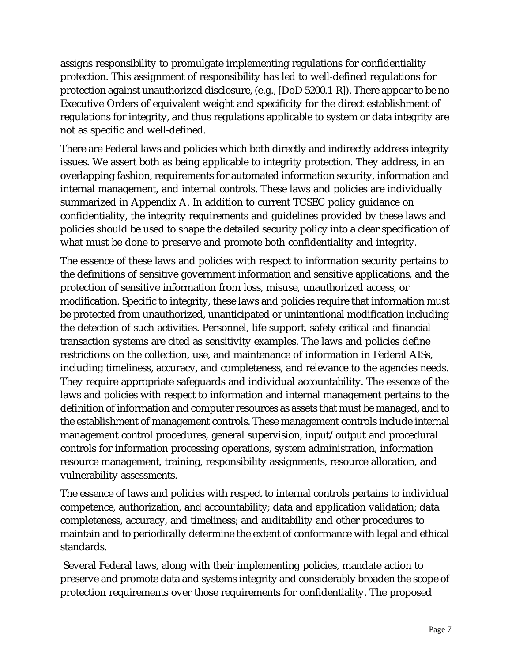assigns responsibility to promulgate implementing regulations for confidentiality protection. This assignment of responsibility has led to well-defined regulations for protection against unauthorized disclosure, (e.g., [DoD 5200.1-R]). There appear to be no Executive Orders of equivalent weight and specificity for the direct establishment of regulations for integrity, and thus regulations applicable to system or data integrity are not as specific and well-defined.

There are Federal laws and policies which both directly and indirectly address integrity issues. We assert both as being applicable to integrity protection. They address, in an overlapping fashion, requirements for automated information security, information and internal management, and internal controls. These laws and policies are individually summarized in Appendix A. In addition to current TCSEC policy guidance on confidentiality, the integrity requirements and guidelines provided by these laws and policies should be used to shape the detailed security policy into a clear specification of what must be done to preserve and promote both confidentiality and integrity.

The essence of these laws and policies with respect to information security pertains to the definitions of sensitive government information and sensitive applications, and the protection of sensitive information from loss, misuse, unauthorized access, or modification. Specific to integrity, these laws and policies require that information must be protected from unauthorized, unanticipated or unintentional modification including the detection of such activities. Personnel, life support, safety critical and financial transaction systems are cited as sensitivity examples. The laws and policies define restrictions on the collection, use, and maintenance of information in Federal AISs, including timeliness, accuracy, and completeness, and relevance to the agencies needs. They require appropriate safeguards and individual accountability. The essence of the laws and policies with respect to information and internal management pertains to the definition of information and computer resources as assets that must be managed, and to the establishment of management controls. These management controls include internal management control procedures, general supervision, input/output and procedural controls for information processing operations, system administration, information resource management, training, responsibility assignments, resource allocation, and vulnerability assessments.

The essence of laws and policies with respect to internal controls pertains to individual competence, authorization, and accountability; data and application validation; data completeness, accuracy, and timeliness; and auditability and other procedures to maintain and to periodically determine the extent of conformance with legal and ethical standards.

 Several Federal laws, along with their implementing policies, mandate action to preserve and promote data and systems integrity and considerably broaden the scope of protection requirements over those requirements for confidentiality. The proposed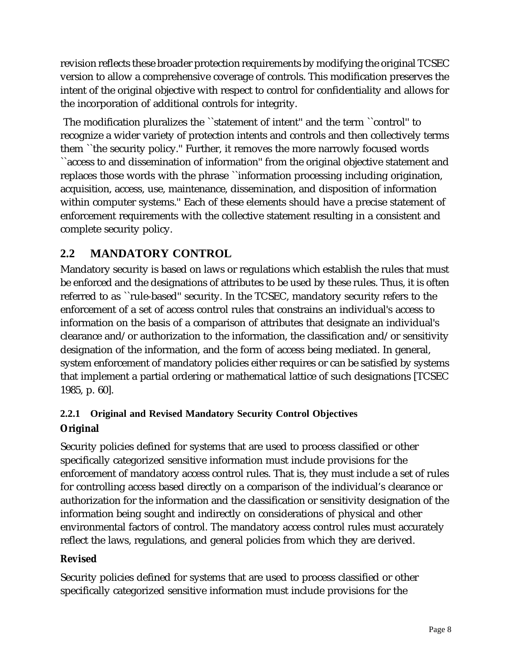revision reflects these broader protection requirements by modifying the original TCSEC version to allow a comprehensive coverage of controls. This modification preserves the intent of the original objective with respect to control for confidentiality and allows for the incorporation of additional controls for integrity.

 The modification pluralizes the ``statement of intent'' and the term ``control'' to recognize a wider variety of protection intents and controls and then collectively terms them ``the security policy.'' Further, it removes the more narrowly focused words ``access to and dissemination of information'' from the original objective statement and replaces those words with the phrase ``information processing including origination, acquisition, access, use, maintenance, dissemination, and disposition of information within computer systems.'' Each of these elements should have a precise statement of enforcement requirements with the collective statement resulting in a consistent and complete security policy.

## **2.2 MANDATORY CONTROL**

Mandatory security is based on laws or regulations which establish the rules that must be enforced and the designations of attributes to be used by these rules. Thus, it is often referred to as ``rule-based'' security. In the TCSEC, mandatory security refers to the enforcement of a set of access control rules that constrains an individual's access to information on the basis of a comparison of attributes that designate an individual's clearance and/or authorization to the information, the classification and/or sensitivity designation of the information, and the form of access being mediated. In general, system enforcement of mandatory policies either requires or can be satisfied by systems that implement a partial ordering or mathematical lattice of such designations [TCSEC 1985, p. 60].

## **2.2.1 Original and Revised Mandatory Security Control Objectives Original**

Security policies defined for systems that are used to process classified or other specifically categorized sensitive information must include provisions for the enforcement of mandatory access control rules. That is, they must include a set of rules for controlling access based directly on a comparison of the individual's clearance or authorization for the information and the classification or sensitivity designation of the information being sought and indirectly on considerations of physical and other environmental factors of control. The mandatory access control rules must accurately reflect the laws, regulations, and general policies from which they are derived.

#### **Revised**

Security policies defined for systems that are used to process classified or other specifically categorized sensitive information must include provisions for the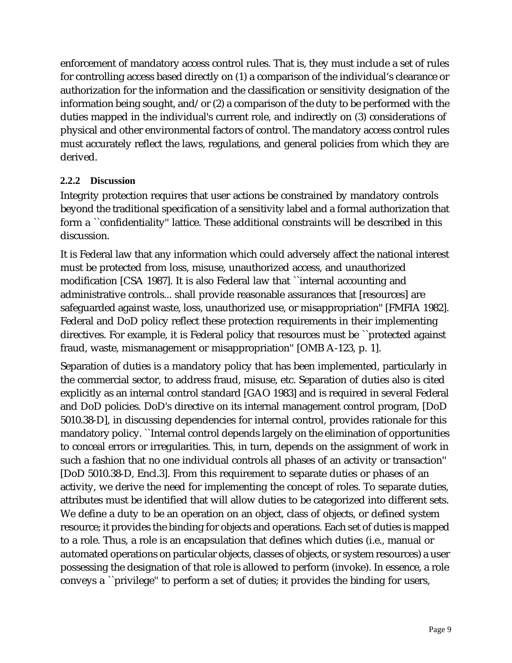enforcement of mandatory access control rules. That is, they must include a set of rules for controlling access based directly on (1) a comparison of the individual's clearance or authorization for the information and the classification or sensitivity designation of the information being sought, and/or (2) a comparison of the duty to be performed with the duties mapped in the individual's current role, and indirectly on (3) considerations of physical and other environmental factors of control. The mandatory access control rules must accurately reflect the laws, regulations, and general policies from which they are derived.

#### **2.2.2 Discussion**

Integrity protection requires that user actions be constrained by mandatory controls beyond the traditional specification of a sensitivity label and a formal authorization that form a ``confidentiality'' lattice. These additional constraints will be described in this discussion.

It is Federal law that any information which could adversely affect the national interest must be protected from loss, misuse, unauthorized access, and unauthorized modification [CSA 1987]. It is also Federal law that ``internal accounting and administrative controls... shall provide reasonable assurances that [resources] are safeguarded against waste, loss, unauthorized use, or misappropriation'' [FMFIA 1982]. Federal and DoD policy reflect these protection requirements in their implementing directives. For example, it is Federal policy that resources must be ``protected against fraud, waste, mismanagement or misappropriation'' [OMB A-123, p. 1].

Separation of duties is a mandatory policy that has been implemented, particularly in the commercial sector, to address fraud, misuse, etc. Separation of duties also is cited explicitly as an internal control standard [GAO 1983] and is required in several Federal and DoD policies. DoD's directive on its internal management control program, [DoD 5010.38-D], in discussing dependencies for internal control, provides rationale for this mandatory policy. ``Internal control depends largely on the elimination of opportunities to conceal errors or irregularities. This, in turn, depends on the assignment of work in such a fashion that no one individual controls all phases of an activity or transaction'' [DoD 5010.38-D, Encl.3]. From this requirement to separate duties or phases of an activity, we derive the need for implementing the concept of roles. To separate duties, attributes must be identified that will allow duties to be categorized into different sets. We define a duty to be an operation on an object, class of objects, or defined system resource; it provides the binding for objects and operations. Each set of duties is mapped to a role. Thus, a role is an encapsulation that defines which duties (i.e., manual or automated operations on particular objects, classes of objects, or system resources) a user possessing the designation of that role is allowed to perform (invoke). In essence, a role conveys a ``privilege'' to perform a set of duties; it provides the binding for users,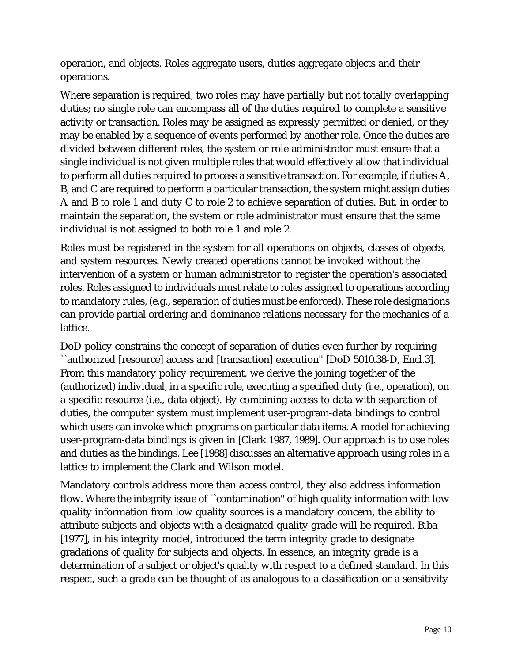operation, and objects. Roles aggregate users, duties aggregate objects and their operations.

Where separation is required, two roles may have partially but not totally overlapping duties; no single role can encompass all of the duties required to complete a sensitive activity or transaction. Roles may be assigned as expressly permitted or denied, or they may be enabled by a sequence of events performed by another role. Once the duties are divided between different roles, the system or role administrator must ensure that a single individual is not given multiple roles that would effectively allow that individual to perform all duties required to process a sensitive transaction. For example, if duties A, B, and C are required to perform a particular transaction, the system might assign duties A and B to role 1 and duty C to role 2 to achieve separation of duties. But, in order to maintain the separation, the system or role administrator must ensure that the same individual is not assigned to both role 1 and role 2.

Roles must be registered in the system for all operations on objects, classes of objects, and system resources. Newly created operations cannot be invoked without the intervention of a system or human administrator to register the operation's associated roles. Roles assigned to individuals must relate to roles assigned to operations according to mandatory rules, (e.g., separation of duties must be enforced). These role designations can provide partial ordering and dominance relations necessary for the mechanics of a lattice.

DoD policy constrains the concept of separation of duties even further by requiring ``authorized [resource] access and [transaction] execution'' [DoD 5010.38-D, Encl.3]. From this mandatory policy requirement, we derive the joining together of the (authorized) individual, in a specific role, executing a specified duty (i.e., operation), on a specific resource (i.e., data object). By combining access to data with separation of duties, the computer system must implement user-program-data bindings to control which users can invoke which programs on particular data items. A model for achieving user-program-data bindings is given in [Clark 1987, 1989]. Our approach is to use roles and duties as the bindings. Lee [1988] discusses an alternative approach using roles in a lattice to implement the Clark and Wilson model.

Mandatory controls address more than access control, they also address information flow. Where the integrity issue of "contamination" of high quality information with low quality information from low quality sources is a mandatory concern, the ability to attribute subjects and objects with a designated quality grade will be required. Biba [1977], in his integrity model, introduced the term integrity grade to designate gradations of quality for subjects and objects. In essence, an integrity grade is a determination of a subject or object's quality with respect to a defined standard. In this respect, such a grade can be thought of as analogous to a classification or a sensitivity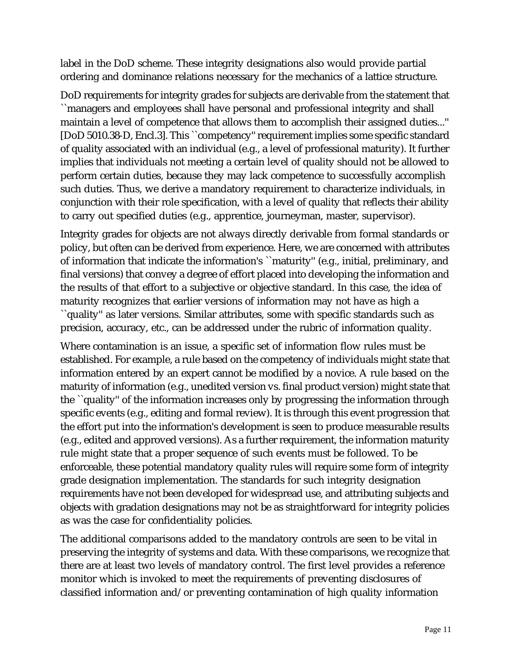label in the DoD scheme. These integrity designations also would provide partial ordering and dominance relations necessary for the mechanics of a lattice structure.

DoD requirements for integrity grades for subjects are derivable from the statement that ``managers and employees shall have personal and professional integrity and shall maintain a level of competence that allows them to accomplish their assigned duties...'' [DoD 5010.38-D, Encl.3]. This ``competency'' requirement implies some specific standard of quality associated with an individual (e.g., a level of professional maturity). It further implies that individuals not meeting a certain level of quality should not be allowed to perform certain duties, because they may lack competence to successfully accomplish such duties. Thus, we derive a mandatory requirement to characterize individuals, in conjunction with their role specification, with a level of quality that reflects their ability to carry out specified duties (e.g., apprentice, journeyman, master, supervisor).

Integrity grades for objects are not always directly derivable from formal standards or policy, but often can be derived from experience. Here, we are concerned with attributes of information that indicate the information's ``maturity'' (e.g., initial, preliminary, and final versions) that convey a degree of effort placed into developing the information and the results of that effort to a subjective or objective standard. In this case, the idea of maturity recognizes that earlier versions of information may not have as high a ``quality'' as later versions. Similar attributes, some with specific standards such as precision, accuracy, etc., can be addressed under the rubric of information quality.

Where contamination is an issue, a specific set of information flow rules must be established. For example, a rule based on the competency of individuals might state that information entered by an expert cannot be modified by a novice. A rule based on the maturity of information (e.g., unedited version vs. final product version) might state that the ``quality'' of the information increases only by progressing the information through specific events (e.g., editing and formal review). It is through this event progression that the effort put into the information's development is seen to produce measurable results (e.g., edited and approved versions). As a further requirement, the information maturity rule might state that a proper sequence of such events must be followed. To be enforceable, these potential mandatory quality rules will require some form of integrity grade designation implementation. The standards for such integrity designation requirements have not been developed for widespread use, and attributing subjects and objects with gradation designations may not be as straightforward for integrity policies as was the case for confidentiality policies.

The additional comparisons added to the mandatory controls are seen to be vital in preserving the integrity of systems and data. With these comparisons, we recognize that there are at least two levels of mandatory control. The first level provides a reference monitor which is invoked to meet the requirements of preventing disclosures of classified information and/or preventing contamination of high quality information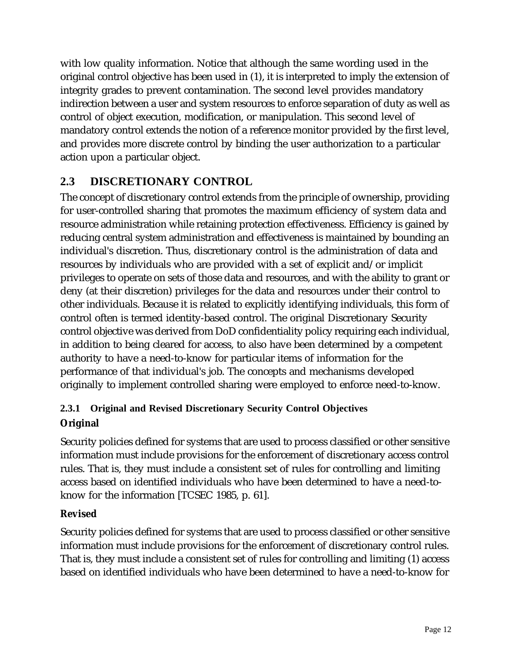with low quality information. Notice that although the same wording used in the original control objective has been used in (1), it is interpreted to imply the extension of integrity grades to prevent contamination. The second level provides mandatory indirection between a user and system resources to enforce separation of duty as well as control of object execution, modification, or manipulation. This second level of mandatory control extends the notion of a reference monitor provided by the first level, and provides more discrete control by binding the user authorization to a particular action upon a particular object.

## **2.3 DISCRETIONARY CONTROL**

The concept of discretionary control extends from the principle of ownership, providing for user-controlled sharing that promotes the maximum efficiency of system data and resource administration while retaining protection effectiveness. Efficiency is gained by reducing central system administration and effectiveness is maintained by bounding an individual's discretion. Thus, discretionary control is the administration of data and resources by individuals who are provided with a set of explicit and/or implicit privileges to operate on sets of those data and resources, and with the ability to grant or deny (at their discretion) privileges for the data and resources under their control to other individuals. Because it is related to explicitly identifying individuals, this form of control often is termed identity-based control. The original Discretionary Security control objective was derived from DoD confidentiality policy requiring each individual, in addition to being cleared for access, to also have been determined by a competent authority to have a need-to-know for particular items of information for the performance of that individual's job. The concepts and mechanisms developed originally to implement controlled sharing were employed to enforce need-to-know.

## **2.3.1 Original and Revised Discretionary Security Control Objectives Original**

Security policies defined for systems that are used to process classified or other sensitive information must include provisions for the enforcement of discretionary access control rules. That is, they must include a consistent set of rules for controlling and limiting access based on identified individuals who have been determined to have a need-toknow for the information [TCSEC 1985, p. 61].

### **Revised**

Security policies defined for systems that are used to process classified or other sensitive information must include provisions for the enforcement of discretionary control rules. That is, they must include a consistent set of rules for controlling and limiting (1) access based on identified individuals who have been determined to have a need-to-know for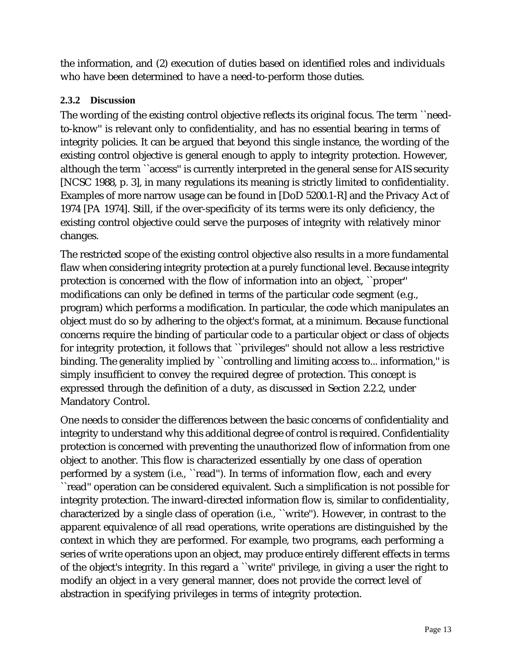the information, and (2) execution of duties based on identified roles and individuals who have been determined to have a need-to-perform those duties.

#### **2.3.2 Discussion**

The wording of the existing control objective reflects its original focus. The term ``needto-know'' is relevant only to confidentiality, and has no essential bearing in terms of integrity policies. It can be argued that beyond this single instance, the wording of the existing control objective is general enough to apply to integrity protection. However, although the term ``access'' is currently interpreted in the general sense for AIS security [NCSC 1988, p. 3], in many regulations its meaning is strictly limited to confidentiality. Examples of more narrow usage can be found in [DoD 5200.1-R] and the Privacy Act of 1974 [PA 1974]. Still, if the over-specificity of its terms were its only deficiency, the existing control objective could serve the purposes of integrity with relatively minor changes.

The restricted scope of the existing control objective also results in a more fundamental flaw when considering integrity protection at a purely functional level. Because integrity protection is concerned with the flow of information into an object, ``proper'' modifications can only be defined in terms of the particular code segment (e.g., program) which performs a modification. In particular, the code which manipulates an object must do so by adhering to the object's format, at a minimum. Because functional concerns require the binding of particular code to a particular object or class of objects for integrity protection, it follows that ``privileges'' should not allow a less restrictive binding. The generality implied by "controlling and limiting access to... information," is simply insufficient to convey the required degree of protection. This concept is expressed through the definition of a duty, as discussed in Section 2.2.2, under Mandatory Control.

One needs to consider the differences between the basic concerns of confidentiality and integrity to understand why this additional degree of control is required. Confidentiality protection is concerned with preventing the unauthorized flow of information from one object to another. This flow is characterized essentially by one class of operation performed by a system (i.e., ``read''). In terms of information flow, each and every ``read'' operation can be considered equivalent. Such a simplification is not possible for integrity protection. The inward-directed information flow is, similar to confidentiality, characterized by a single class of operation (i.e., ``write''). However, in contrast to the apparent equivalence of all read operations, write operations are distinguished by the context in which they are performed. For example, two programs, each performing a series of write operations upon an object, may produce entirely different effects in terms of the object's integrity. In this regard a ``write'' privilege, in giving a user the right to modify an object in a very general manner, does not provide the correct level of abstraction in specifying privileges in terms of integrity protection.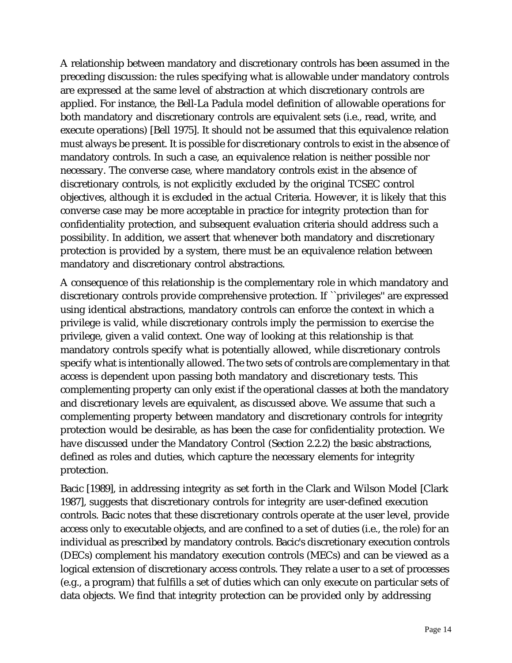A relationship between mandatory and discretionary controls has been assumed in the preceding discussion: the rules specifying what is allowable under mandatory controls are expressed at the same level of abstraction at which discretionary controls are applied. For instance, the Bell-La Padula model definition of allowable operations for both mandatory and discretionary controls are equivalent sets (i.e., read, write, and execute operations) [Bell 1975]. It should not be assumed that this equivalence relation must always be present. It is possible for discretionary controls to exist in the absence of mandatory controls. In such a case, an equivalence relation is neither possible nor necessary. The converse case, where mandatory controls exist in the absence of discretionary controls, is not explicitly excluded by the original TCSEC control objectives, although it is excluded in the actual Criteria. However, it is likely that this converse case may be more acceptable in practice for integrity protection than for confidentiality protection, and subsequent evaluation criteria should address such a possibility. In addition, we assert that whenever both mandatory and discretionary protection is provided by a system, there must be an equivalence relation between mandatory and discretionary control abstractions.

A consequence of this relationship is the complementary role in which mandatory and discretionary controls provide comprehensive protection. If ``privileges'' are expressed using identical abstractions, mandatory controls can enforce the context in which a privilege is valid, while discretionary controls imply the permission to exercise the privilege, given a valid context. One way of looking at this relationship is that mandatory controls specify what is potentially allowed, while discretionary controls specify what is intentionally allowed. The two sets of controls are complementary in that access is dependent upon passing both mandatory and discretionary tests. This complementing property can only exist if the operational classes at both the mandatory and discretionary levels are equivalent, as discussed above. We assume that such a complementing property between mandatory and discretionary controls for integrity protection would be desirable, as has been the case for confidentiality protection. We have discussed under the Mandatory Control (Section 2.2.2) the basic abstractions, defined as roles and duties, which capture the necessary elements for integrity protection.

Bacic [1989], in addressing integrity as set forth in the Clark and Wilson Model [Clark 1987], suggests that discretionary controls for integrity are user-defined execution controls. Bacic notes that these discretionary controls operate at the user level, provide access only to executable objects, and are confined to a set of duties (i.e., the role) for an individual as prescribed by mandatory controls. Bacic's discretionary execution controls (DECs) complement his mandatory execution controls (MECs) and can be viewed as a logical extension of discretionary access controls. They relate a user to a set of processes (e.g., a program) that fulfills a set of duties which can only execute on particular sets of data objects. We find that integrity protection can be provided only by addressing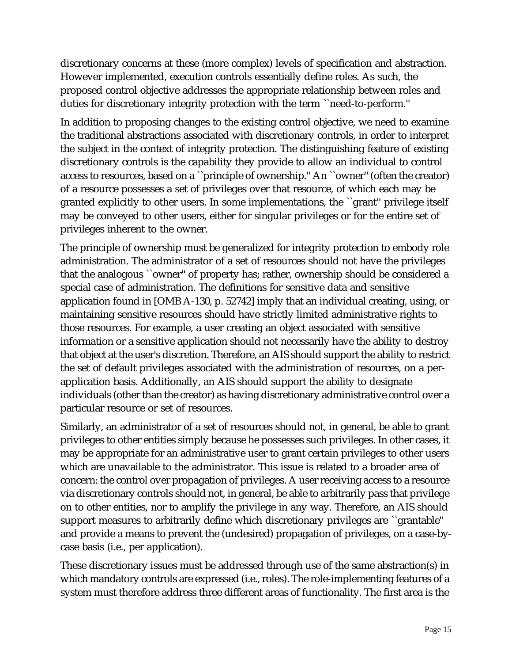discretionary concerns at these (more complex) levels of specification and abstraction. However implemented, execution controls essentially define roles. As such, the proposed control objective addresses the appropriate relationship between roles and duties for discretionary integrity protection with the term ``need-to-perform.''

In addition to proposing changes to the existing control objective, we need to examine the traditional abstractions associated with discretionary controls, in order to interpret the subject in the context of integrity protection. The distinguishing feature of existing discretionary controls is the capability they provide to allow an individual to control access to resources, based on a ``principle of ownership.'' An ``owner'' (often the creator) of a resource possesses a set of privileges over that resource, of which each may be granted explicitly to other users. In some implementations, the ``grant'' privilege itself may be conveyed to other users, either for singular privileges or for the entire set of privileges inherent to the owner.

The principle of ownership must be generalized for integrity protection to embody role administration. The administrator of a set of resources should not have the privileges that the analogous ``owner'' of property has; rather, ownership should be considered a special case of administration. The definitions for sensitive data and sensitive application found in [OMB A-130, p. 52742] imply that an individual creating, using, or maintaining sensitive resources should have strictly limited administrative rights to those resources. For example, a user creating an object associated with sensitive information or a sensitive application should not necessarily have the ability to destroy that object at the user's discretion. Therefore, an AIS should support the ability to restrict the set of default privileges associated with the administration of resources, on a perapplication basis. Additionally, an AIS should support the ability to designate individuals (other than the creator) as having discretionary administrative control over a particular resource or set of resources.

Similarly, an administrator of a set of resources should not, in general, be able to grant privileges to other entities simply because he possesses such privileges. In other cases, it may be appropriate for an administrative user to grant certain privileges to other users which are unavailable to the administrator. This issue is related to a broader area of concern: the control over propagation of privileges. A user receiving access to a resource via discretionary controls should not, in general, be able to arbitrarily pass that privilege on to other entities, nor to amplify the privilege in any way. Therefore, an AIS should support measures to arbitrarily define which discretionary privileges are ``grantable'' and provide a means to prevent the (undesired) propagation of privileges, on a case-bycase basis (i.e., per application).

These discretionary issues must be addressed through use of the same abstraction(s) in which mandatory controls are expressed (i.e., roles). The role-implementing features of a system must therefore address three different areas of functionality. The first area is the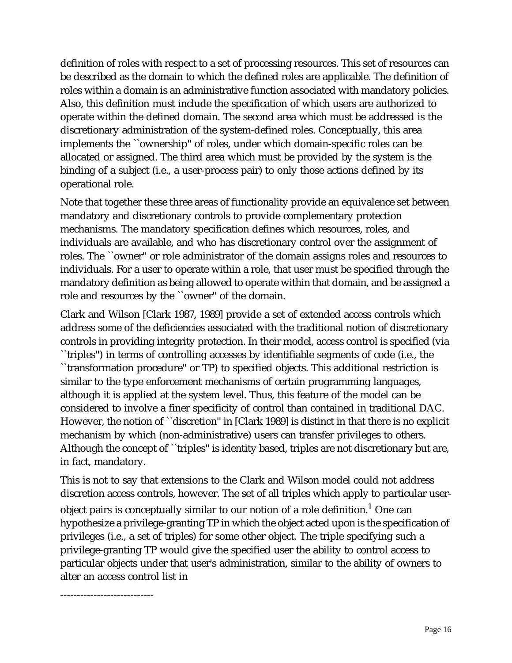definition of roles with respect to a set of processing resources. This set of resources can be described as the domain to which the defined roles are applicable. The definition of roles within a domain is an administrative function associated with mandatory policies. Also, this definition must include the specification of which users are authorized to operate within the defined domain. The second area which must be addressed is the discretionary administration of the system-defined roles. Conceptually, this area implements the ``ownership'' of roles, under which domain-specific roles can be allocated or assigned. The third area which must be provided by the system is the binding of a subject (i.e., a user-process pair) to only those actions defined by its operational role.

Note that together these three areas of functionality provide an equivalence set between mandatory and discretionary controls to provide complementary protection mechanisms. The mandatory specification defines which resources, roles, and individuals are available, and who has discretionary control over the assignment of roles. The ``owner'' or role administrator of the domain assigns roles and resources to individuals. For a user to operate within a role, that user must be specified through the mandatory definition as being allowed to operate within that domain, and be assigned a role and resources by the ``owner'' of the domain.

Clark and Wilson [Clark 1987, 1989] provide a set of extended access controls which address some of the deficiencies associated with the traditional notion of discretionary controls in providing integrity protection. In their model, access control is specified (via ``triples'') in terms of controlling accesses by identifiable segments of code (i.e., the ``transformation procedure'' or TP) to specified objects. This additional restriction is similar to the type enforcement mechanisms of certain programming languages, although it is applied at the system level. Thus, this feature of the model can be considered to involve a finer specificity of control than contained in traditional DAC. However, the notion of ``discretion'' in [Clark 1989] is distinct in that there is no explicit mechanism by which (non-administrative) users can transfer privileges to others. Although the concept of ``triples'' is identity based, triples are not discretionary but are, in fact, mandatory.

This is not to say that extensions to the Clark and Wilson model could not address discretion access controls, however. The set of all triples which apply to particular userobject pairs is conceptually similar to our notion of a role definition. $^{\rm 1}$  One can hypothesize a privilege-granting TP in which the object acted upon is the specification of privileges (i.e., a set of triples) for some other object. The triple specifying such a privilege-granting TP would give the specified user the ability to control access to particular objects under that user's administration, similar to the ability of owners to alter an access control list in

----------------------------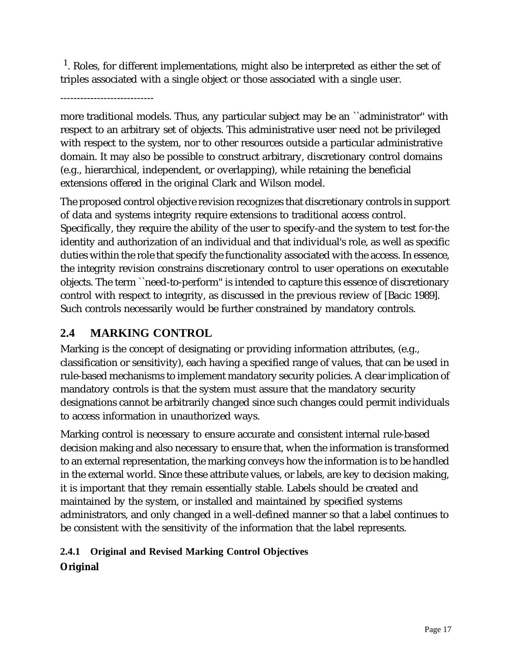$<sup>1</sup>$ . Roles, for different implementations, might also be interpreted as either the set of</sup> triples associated with a single object or those associated with a single user.

----------------------------

more traditional models. Thus, any particular subject may be an ``administrator'' with respect to an arbitrary set of objects. This administrative user need not be privileged with respect to the system, nor to other resources outside a particular administrative domain. It may also be possible to construct arbitrary, discretionary control domains (e.g., hierarchical, independent, or overlapping), while retaining the beneficial extensions offered in the original Clark and Wilson model.

The proposed control objective revision recognizes that discretionary controls in support of data and systems integrity require extensions to traditional access control. Specifically, they require the ability of the user to specify-and the system to test for-the identity and authorization of an individual and that individual's role, as well as specific duties within the role that specify the functionality associated with the access. In essence, the integrity revision constrains discretionary control to user operations on executable objects. The term ``need-to-perform'' is intended to capture this essence of discretionary control with respect to integrity, as discussed in the previous review of [Bacic 1989]. Such controls necessarily would be further constrained by mandatory controls.

## **2.4 MARKING CONTROL**

Marking is the concept of designating or providing information attributes, (e.g., classification or sensitivity), each having a specified range of values, that can be used in rule-based mechanisms to implement mandatory security policies. A clear implication of mandatory controls is that the system must assure that the mandatory security designations cannot be arbitrarily changed since such changes could permit individuals to access information in unauthorized ways.

Marking control is necessary to ensure accurate and consistent internal rule-based decision making and also necessary to ensure that, when the information is transformed to an external representation, the marking conveys how the information is to be handled in the external world. Since these attribute values, or labels, are key to decision making, it is important that they remain essentially stable. Labels should be created and maintained by the system, or installed and maintained by specified systems administrators, and only changed in a well-defined manner so that a label continues to be consistent with the sensitivity of the information that the label represents.

## **2.4.1 Original and Revised Marking Control Objectives Original**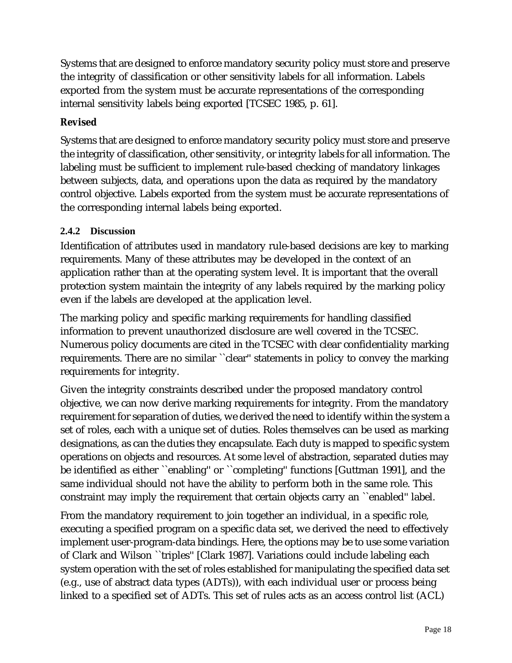Systems that are designed to enforce mandatory security policy must store and preserve the integrity of classification or other sensitivity labels for all information. Labels exported from the system must be accurate representations of the corresponding internal sensitivity labels being exported [TCSEC 1985, p. 61].

#### **Revised**

Systems that are designed to enforce mandatory security policy must store and preserve the integrity of classification, other sensitivity, or integrity labels for all information. The labeling must be sufficient to implement rule-based checking of mandatory linkages between subjects, data, and operations upon the data as required by the mandatory control objective. Labels exported from the system must be accurate representations of the corresponding internal labels being exported.

#### **2.4.2 Discussion**

Identification of attributes used in mandatory rule-based decisions are key to marking requirements. Many of these attributes may be developed in the context of an application rather than at the operating system level. It is important that the overall protection system maintain the integrity of any labels required by the marking policy even if the labels are developed at the application level.

The marking policy and specific marking requirements for handling classified information to prevent unauthorized disclosure are well covered in the TCSEC. Numerous policy documents are cited in the TCSEC with clear confidentiality marking requirements. There are no similar ``clear'' statements in policy to convey the marking requirements for integrity.

Given the integrity constraints described under the proposed mandatory control objective, we can now derive marking requirements for integrity. From the mandatory requirement for separation of duties, we derived the need to identify within the system a set of roles, each with a unique set of duties. Roles themselves can be used as marking designations, as can the duties they encapsulate. Each duty is mapped to specific system operations on objects and resources. At some level of abstraction, separated duties may be identified as either ``enabling'' or ``completing'' functions [Guttman 1991], and the same individual should not have the ability to perform both in the same role. This constraint may imply the requirement that certain objects carry an ``enabled'' label.

From the mandatory requirement to join together an individual, in a specific role, executing a specified program on a specific data set, we derived the need to effectively implement user-program-data bindings. Here, the options may be to use some variation of Clark and Wilson ``triples'' [Clark 1987]. Variations could include labeling each system operation with the set of roles established for manipulating the specified data set (e.g., use of abstract data types (ADTs)), with each individual user or process being linked to a specified set of ADTs. This set of rules acts as an access control list (ACL)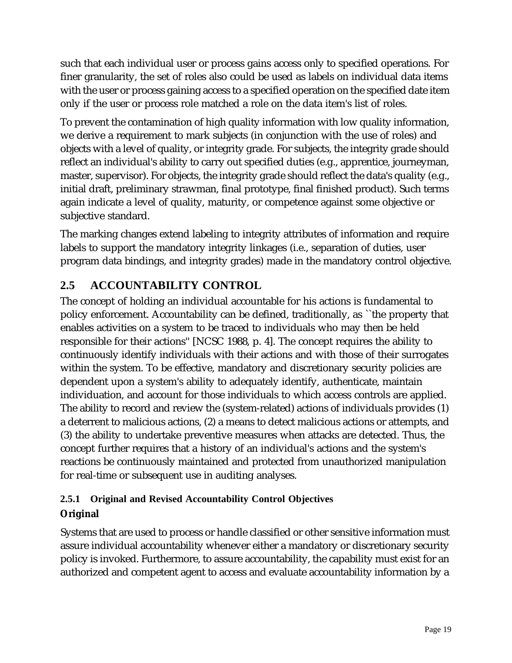such that each individual user or process gains access only to specified operations. For finer granularity, the set of roles also could be used as labels on individual data items with the user or process gaining access to a specified operation on the specified date item only if the user or process role matched a role on the data item's list of roles.

To prevent the contamination of high quality information with low quality information, we derive a requirement to mark subjects (in conjunction with the use of roles) and objects with a level of quality, or integrity grade. For subjects, the integrity grade should reflect an individual's ability to carry out specified duties (e.g., apprentice, journeyman, master, supervisor). For objects, the integrity grade should reflect the data's quality (e.g., initial draft, preliminary strawman, final prototype, final finished product). Such terms again indicate a level of quality, maturity, or competence against some objective or subjective standard.

The marking changes extend labeling to integrity attributes of information and require labels to support the mandatory integrity linkages (i.e., separation of duties, user program data bindings, and integrity grades) made in the mandatory control objective.

## **2.5 ACCOUNTABILITY CONTROL**

The concept of holding an individual accountable for his actions is fundamental to policy enforcement. Accountability can be defined, traditionally, as ``the property that enables activities on a system to be traced to individuals who may then be held responsible for their actions'' [NCSC 1988, p. 4]. The concept requires the ability to continuously identify individuals with their actions and with those of their surrogates within the system. To be effective, mandatory and discretionary security policies are dependent upon a system's ability to adequately identify, authenticate, maintain individuation, and account for those individuals to which access controls are applied. The ability to record and review the (system-related) actions of individuals provides (1) a deterrent to malicious actions, (2) a means to detect malicious actions or attempts, and (3) the ability to undertake preventive measures when attacks are detected. Thus, the concept further requires that a history of an individual's actions and the system's reactions be continuously maintained and protected from unauthorized manipulation for real-time or subsequent use in auditing analyses.

## **2.5.1 Original and Revised Accountability Control Objectives Original**

Systems that are used to process or handle classified or other sensitive information must assure individual accountability whenever either a mandatory or discretionary security policy is invoked. Furthermore, to assure accountability, the capability must exist for an authorized and competent agent to access and evaluate accountability information by a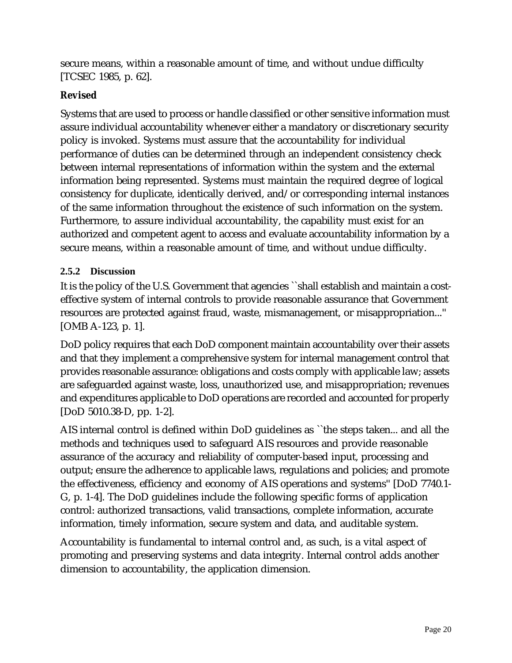secure means, within a reasonable amount of time, and without undue difficulty [TCSEC 1985, p. 62].

#### **Revised**

Systems that are used to process or handle classified or other sensitive information must assure individual accountability whenever either a mandatory or discretionary security policy is invoked. Systems must assure that the accountability for individual performance of duties can be determined through an independent consistency check between internal representations of information within the system and the external information being represented. Systems must maintain the required degree of logical consistency for duplicate, identically derived, and/or corresponding internal instances of the same information throughout the existence of such information on the system. Furthermore, to assure individual accountability, the capability must exist for an authorized and competent agent to access and evaluate accountability information by a secure means, within a reasonable amount of time, and without undue difficulty.

#### **2.5.2 Discussion**

It is the policy of the U.S. Government that agencies ``shall establish and maintain a costeffective system of internal controls to provide reasonable assurance that Government resources are protected against fraud, waste, mismanagement, or misappropriation...'' [OMB A-123, p. 1].

DoD policy requires that each DoD component maintain accountability over their assets and that they implement a comprehensive system for internal management control that provides reasonable assurance: obligations and costs comply with applicable law; assets are safeguarded against waste, loss, unauthorized use, and misappropriation; revenues and expenditures applicable to DoD operations are recorded and accounted for properly [DoD 5010.38-D, pp. 1-2].

AIS internal control is defined within DoD guidelines as ``the steps taken... and all the methods and techniques used to safeguard AIS resources and provide reasonable assurance of the accuracy and reliability of computer-based input, processing and output; ensure the adherence to applicable laws, regulations and policies; and promote the effectiveness, efficiency and economy of AIS operations and systems'' [DoD 7740.1- G, p. 1-4]. The DoD guidelines include the following specific forms of application control: authorized transactions, valid transactions, complete information, accurate information, timely information, secure system and data, and auditable system.

Accountability is fundamental to internal control and, as such, is a vital aspect of promoting and preserving systems and data integrity. Internal control adds another dimension to accountability, the application dimension.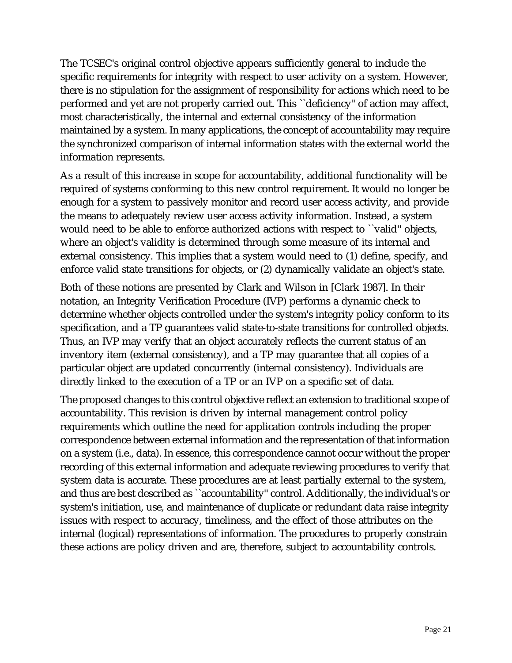The TCSEC's original control objective appears sufficiently general to include the specific requirements for integrity with respect to user activity on a system. However, there is no stipulation for the assignment of responsibility for actions which need to be performed and yet are not properly carried out. This ``deficiency'' of action may affect, most characteristically, the internal and external consistency of the information maintained by a system. In many applications, the concept of accountability may require the synchronized comparison of internal information states with the external world the information represents.

As a result of this increase in scope for accountability, additional functionality will be required of systems conforming to this new control requirement. It would no longer be enough for a system to passively monitor and record user access activity, and provide the means to adequately review user access activity information. Instead, a system would need to be able to enforce authorized actions with respect to ``valid'' objects, where an object's validity is determined through some measure of its internal and external consistency. This implies that a system would need to (1) define, specify, and enforce valid state transitions for objects, or (2) dynamically validate an object's state.

Both of these notions are presented by Clark and Wilson in [Clark 1987]. In their notation, an Integrity Verification Procedure (IVP) performs a dynamic check to determine whether objects controlled under the system's integrity policy conform to its specification, and a TP guarantees valid state-to-state transitions for controlled objects. Thus, an IVP may verify that an object accurately reflects the current status of an inventory item (external consistency), and a TP may guarantee that all copies of a particular object are updated concurrently (internal consistency). Individuals are directly linked to the execution of a TP or an IVP on a specific set of data.

The proposed changes to this control objective reflect an extension to traditional scope of accountability. This revision is driven by internal management control policy requirements which outline the need for application controls including the proper correspondence between external information and the representation of that information on a system (i.e., data). In essence, this correspondence cannot occur without the proper recording of this external information and adequate reviewing procedures to verify that system data is accurate. These procedures are at least partially external to the system, and thus are best described as ``accountability'' control. Additionally, the individual's or system's initiation, use, and maintenance of duplicate or redundant data raise integrity issues with respect to accuracy, timeliness, and the effect of those attributes on the internal (logical) representations of information. The procedures to properly constrain these actions are policy driven and are, therefore, subject to accountability controls.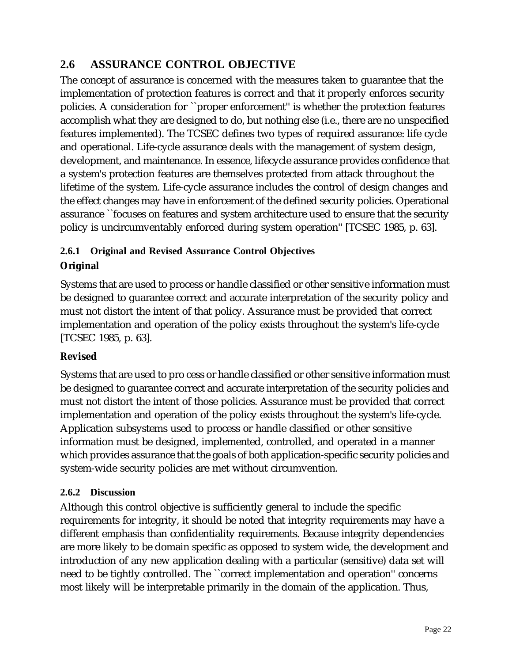## **2.6 ASSURANCE CONTROL OBJECTIVE**

The concept of assurance is concerned with the measures taken to guarantee that the implementation of protection features is correct and that it properly enforces security policies. A consideration for ``proper enforcement'' is whether the protection features accomplish what they are designed to do, but nothing else (i.e., there are no unspecified features implemented). The TCSEC defines two types of required assurance: life cycle and operational. Life-cycle assurance deals with the management of system design, development, and maintenance. In essence, lifecycle assurance provides confidence that a system's protection features are themselves protected from attack throughout the lifetime of the system. Life-cycle assurance includes the control of design changes and the effect changes may have in enforcement of the defined security policies. Operational assurance ``focuses on features and system architecture used to ensure that the security policy is uncircumventably enforced during system operation'' [TCSEC 1985, p. 63].

## **2.6.1 Original and Revised Assurance Control Objectives Original**

Systems that are used to process or handle classified or other sensitive information must be designed to guarantee correct and accurate interpretation of the security policy and must not distort the intent of that policy. Assurance must be provided that correct implementation and operation of the policy exists throughout the system's life-cycle [TCSEC 1985, p. 63].

### **Revised**

Systems that are used to pro cess or handle classified or other sensitive information must be designed to guarantee correct and accurate interpretation of the security policies and must not distort the intent of those policies. Assurance must be provided that correct implementation and operation of the policy exists throughout the system's life-cycle. Application subsystems used to process or handle classified or other sensitive information must be designed, implemented, controlled, and operated in a manner which provides assurance that the goals of both application-specific security policies and system-wide security policies are met without circumvention.

#### **2.6.2 Discussion**

Although this control objective is sufficiently general to include the specific requirements for integrity, it should be noted that integrity requirements may have a different emphasis than confidentiality requirements. Because integrity dependencies are more likely to be domain specific as opposed to system wide, the development and introduction of any new application dealing with a particular (sensitive) data set will need to be tightly controlled. The ``correct implementation and operation'' concerns most likely will be interpretable primarily in the domain of the application. Thus,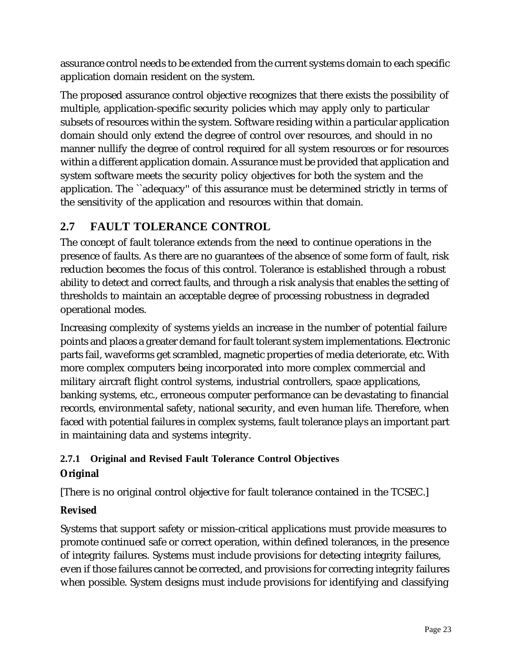assurance control needs to be extended from the current systems domain to each specific application domain resident on the system.

The proposed assurance control objective recognizes that there exists the possibility of multiple, application-specific security policies which may apply only to particular subsets of resources within the system. Software residing within a particular application domain should only extend the degree of control over resources, and should in no manner nullify the degree of control required for all system resources or for resources within a different application domain. Assurance must be provided that application and system software meets the security policy objectives for both the system and the application. The ``adequacy'' of this assurance must be determined strictly in terms of the sensitivity of the application and resources within that domain.

## **2.7 FAULT TOLERANCE CONTROL**

The concept of fault tolerance extends from the need to continue operations in the presence of faults. As there are no guarantees of the absence of some form of fault, risk reduction becomes the focus of this control. Tolerance is established through a robust ability to detect and correct faults, and through a risk analysis that enables the setting of thresholds to maintain an acceptable degree of processing robustness in degraded operational modes.

Increasing complexity of systems yields an increase in the number of potential failure points and places a greater demand for fault tolerant system implementations. Electronic parts fail, waveforms get scrambled, magnetic properties of media deteriorate, etc. With more complex computers being incorporated into more complex commercial and military aircraft flight control systems, industrial controllers, space applications, banking systems, etc., erroneous computer performance can be devastating to financial records, environmental safety, national security, and even human life. Therefore, when faced with potential failures in complex systems, fault tolerance plays an important part in maintaining data and systems integrity.

### **2.7.1 Original and Revised Fault Tolerance Control Objectives**

### **Original**

[There is no original control objective for fault tolerance contained in the TCSEC.]

### **Revised**

Systems that support safety or mission-critical applications must provide measures to promote continued safe or correct operation, within defined tolerances, in the presence of integrity failures. Systems must include provisions for detecting integrity failures, even if those failures cannot be corrected, and provisions for correcting integrity failures when possible. System designs must include provisions for identifying and classifying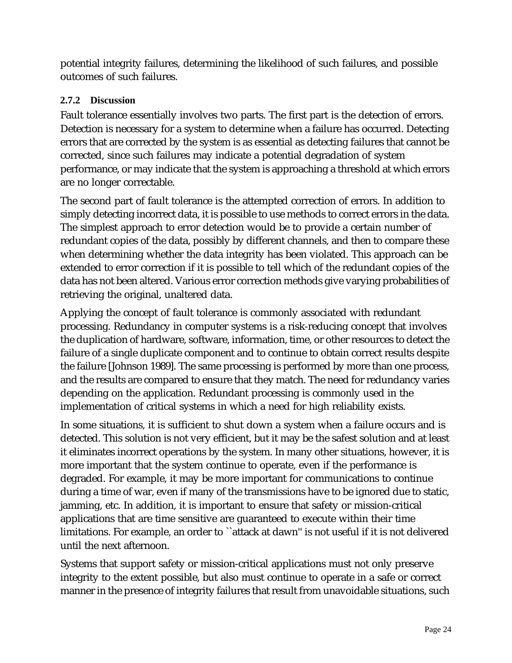potential integrity failures, determining the likelihood of such failures, and possible outcomes of such failures.

#### **2.7.2 Discussion**

Fault tolerance essentially involves two parts. The first part is the detection of errors. Detection is necessary for a system to determine when a failure has occurred. Detecting errors that are corrected by the system is as essential as detecting failures that cannot be corrected, since such failures may indicate a potential degradation of system performance, or may indicate that the system is approaching a threshold at which errors are no longer correctable.

The second part of fault tolerance is the attempted correction of errors. In addition to simply detecting incorrect data, it is possible to use methods to correct errors in the data. The simplest approach to error detection would be to provide a certain number of redundant copies of the data, possibly by different channels, and then to compare these when determining whether the data integrity has been violated. This approach can be extended to error correction if it is possible to tell which of the redundant copies of the data has not been altered. Various error correction methods give varying probabilities of retrieving the original, unaltered data.

Applying the concept of fault tolerance is commonly associated with redundant processing. Redundancy in computer systems is a risk-reducing concept that involves the duplication of hardware, software, information, time, or other resources to detect the failure of a single duplicate component and to continue to obtain correct results despite the failure [Johnson 1989]. The same processing is performed by more than one process, and the results are compared to ensure that they match. The need for redundancy varies depending on the application. Redundant processing is commonly used in the implementation of critical systems in which a need for high reliability exists.

In some situations, it is sufficient to shut down a system when a failure occurs and is detected. This solution is not very efficient, but it may be the safest solution and at least it eliminates incorrect operations by the system. In many other situations, however, it is more important that the system continue to operate, even if the performance is degraded. For example, it may be more important for communications to continue during a time of war, even if many of the transmissions have to be ignored due to static, jamming, etc. In addition, it is important to ensure that safety or mission-critical applications that are time sensitive are guaranteed to execute within their time limitations. For example, an order to ``attack at dawn'' is not useful if it is not delivered until the next afternoon.

Systems that support safety or mission-critical applications must not only preserve integrity to the extent possible, but also must continue to operate in a safe or correct manner in the presence of integrity failures that result from unavoidable situations, such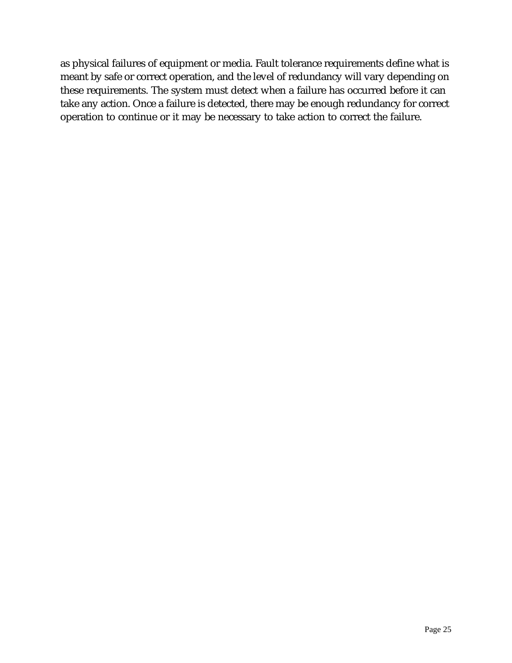as physical failures of equipment or media. Fault tolerance requirements define what is meant by safe or correct operation, and the level of redundancy will vary depending on these requirements. The system must detect when a failure has occurred before it can take any action. Once a failure is detected, there may be enough redundancy for correct operation to continue or it may be necessary to take action to correct the failure.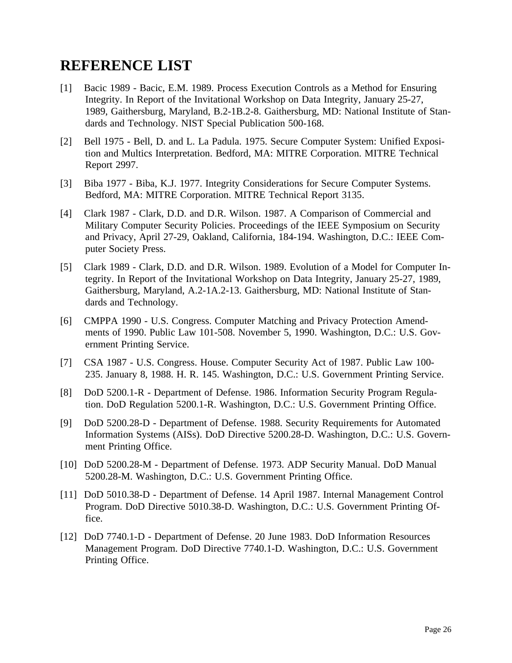## **REFERENCE LIST**

- [1] Bacic 1989 Bacic, E.M. 1989. Process Execution Controls as a Method for Ensuring Integrity. In Report of the Invitational Workshop on Data Integrity, January 25-27, 1989, Gaithersburg, Maryland, B.2-1B.2-8. Gaithersburg, MD: National Institute of Standards and Technology. NIST Special Publication 500-168.
- [2] Bell 1975 Bell, D. and L. La Padula. 1975. Secure Computer System: Unified Exposition and Multics Interpretation. Bedford, MA: MITRE Corporation. MITRE Technical Report 2997.
- [3] Biba 1977 Biba, K.J. 1977. Integrity Considerations for Secure Computer Systems. Bedford, MA: MITRE Corporation. MITRE Technical Report 3135.
- [4] Clark 1987 Clark, D.D. and D.R. Wilson. 1987. A Comparison of Commercial and Military Computer Security Policies. Proceedings of the IEEE Symposium on Security and Privacy, April 27-29, Oakland, California, 184-194. Washington, D.C.: IEEE Computer Society Press.
- [5] Clark 1989 Clark, D.D. and D.R. Wilson. 1989. Evolution of a Model for Computer Integrity. In Report of the Invitational Workshop on Data Integrity, January 25-27, 1989, Gaithersburg, Maryland, A.2-1A.2-13. Gaithersburg, MD: National Institute of Standards and Technology.
- [6] CMPPA 1990 U.S. Congress. Computer Matching and Privacy Protection Amendments of 1990. Public Law 101-508. November 5, 1990. Washington, D.C.: U.S. Government Printing Service.
- [7] CSA 1987 U.S. Congress. House. Computer Security Act of 1987. Public Law 100- 235. January 8, 1988. H. R. 145. Washington, D.C.: U.S. Government Printing Service.
- [8] DoD 5200.1-R Department of Defense. 1986. Information Security Program Regulation. DoD Regulation 5200.1-R. Washington, D.C.: U.S. Government Printing Office.
- [9] DoD 5200.28-D Department of Defense. 1988. Security Requirements for Automated Information Systems (AISs). DoD Directive 5200.28-D. Washington, D.C.: U.S. Government Printing Office.
- [10] DoD 5200.28-M Department of Defense. 1973. ADP Security Manual. DoD Manual 5200.28-M. Washington, D.C.: U.S. Government Printing Office.
- [11] DoD 5010.38-D Department of Defense. 14 April 1987. Internal Management Control Program. DoD Directive 5010.38-D. Washington, D.C.: U.S. Government Printing Office.
- [12] DoD 7740.1-D Department of Defense. 20 June 1983. DoD Information Resources Management Program. DoD Directive 7740.1-D. Washington, D.C.: U.S. Government Printing Office.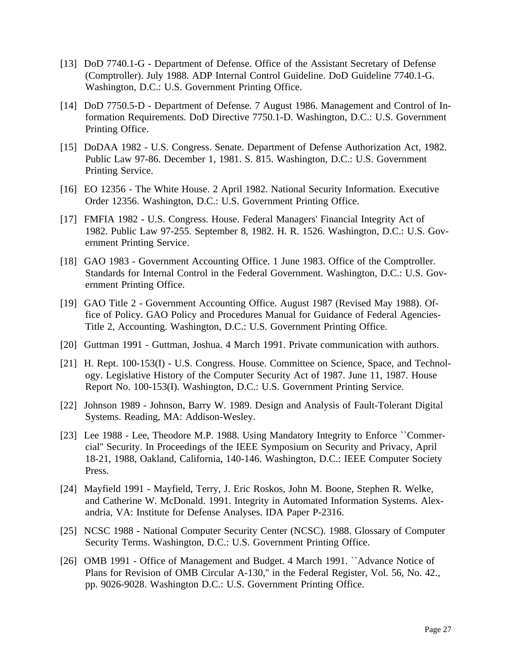- [13] DoD 7740.1-G Department of Defense. Office of the Assistant Secretary of Defense (Comptroller). July 1988. ADP Internal Control Guideline. DoD Guideline 7740.1-G. Washington, D.C.: U.S. Government Printing Office.
- [14] DoD 7750.5-D Department of Defense. 7 August 1986. Management and Control of Information Requirements. DoD Directive 7750.1-D. Washington, D.C.: U.S. Government Printing Office.
- [15] DoDAA 1982 U.S. Congress. Senate. Department of Defense Authorization Act, 1982. Public Law 97-86. December 1, 1981. S. 815. Washington, D.C.: U.S. Government Printing Service.
- [16] EO 12356 The White House. 2 April 1982. National Security Information. Executive Order 12356. Washington, D.C.: U.S. Government Printing Office.
- [17] FMFIA 1982 U.S. Congress. House. Federal Managers' Financial Integrity Act of 1982. Public Law 97-255. September 8, 1982. H. R. 1526. Washington, D.C.: U.S. Government Printing Service.
- [18] GAO 1983 Government Accounting Office. 1 June 1983. Office of the Comptroller. Standards for Internal Control in the Federal Government. Washington, D.C.: U.S. Government Printing Office.
- [19] GAO Title 2 Government Accounting Office. August 1987 (Revised May 1988). Office of Policy. GAO Policy and Procedures Manual for Guidance of Federal Agencies-Title 2, Accounting. Washington, D.C.: U.S. Government Printing Office.
- [20] Guttman 1991 Guttman, Joshua. 4 March 1991. Private communication with authors.
- [21] H. Rept. 100-153(I) U.S. Congress. House. Committee on Science, Space, and Technology. Legislative History of the Computer Security Act of 1987. June 11, 1987. House Report No. 100-153(I). Washington, D.C.: U.S. Government Printing Service.
- [22] Johnson 1989 Johnson, Barry W. 1989. Design and Analysis of Fault-Tolerant Digital Systems. Reading, MA: Addison-Wesley.
- [23] Lee 1988 Lee, Theodore M.P. 1988. Using Mandatory Integrity to Enforce ``Commercial'' Security. In Proceedings of the IEEE Symposium on Security and Privacy, April 18-21, 1988, Oakland, California, 140-146. Washington, D.C.: IEEE Computer Society Press.
- [24] Mayfield 1991 Mayfield, Terry, J. Eric Roskos, John M. Boone, Stephen R. Welke, and Catherine W. McDonald. 1991. Integrity in Automated Information Systems. Alexandria, VA: Institute for Defense Analyses. IDA Paper P-2316.
- [25] NCSC 1988 National Computer Security Center (NCSC). 1988. Glossary of Computer Security Terms. Washington, D.C.: U.S. Government Printing Office.
- [26] OMB 1991 Office of Management and Budget. 4 March 1991. ``Advance Notice of Plans for Revision of OMB Circular A-130,'' in the Federal Register, Vol. 56, No. 42., pp. 9026-9028. Washington D.C.: U.S. Government Printing Office.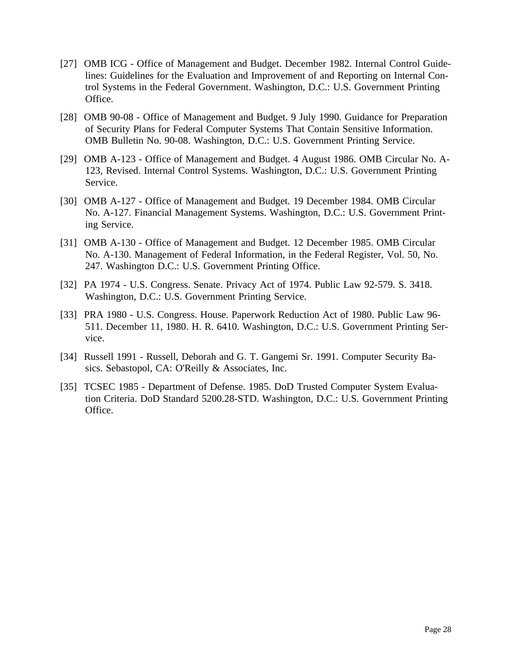- [27] OMB ICG Office of Management and Budget. December 1982. Internal Control Guidelines: Guidelines for the Evaluation and Improvement of and Reporting on Internal Control Systems in the Federal Government. Washington, D.C.: U.S. Government Printing Office.
- [28] OMB 90-08 Office of Management and Budget. 9 July 1990. Guidance for Preparation of Security Plans for Federal Computer Systems That Contain Sensitive Information. OMB Bulletin No. 90-08. Washington, D.C.: U.S. Government Printing Service.
- [29] OMB A-123 Office of Management and Budget. 4 August 1986. OMB Circular No. A-123, Revised. Internal Control Systems. Washington, D.C.: U.S. Government Printing Service.
- [30] OMB A-127 Office of Management and Budget. 19 December 1984. OMB Circular No. A-127. Financial Management Systems. Washington, D.C.: U.S. Government Printing Service.
- [31] OMB A-130 Office of Management and Budget. 12 December 1985. OMB Circular No. A-130. Management of Federal Information, in the Federal Register, Vol. 50, No. 247. Washington D.C.: U.S. Government Printing Office.
- [32] PA 1974 U.S. Congress. Senate. Privacy Act of 1974. Public Law 92-579. S. 3418. Washington, D.C.: U.S. Government Printing Service.
- [33] PRA 1980 U.S. Congress. House. Paperwork Reduction Act of 1980. Public Law 96- 511. December 11, 1980. H. R. 6410. Washington, D.C.: U.S. Government Printing Service.
- [34] Russell 1991 Russell, Deborah and G. T. Gangemi Sr. 1991. Computer Security Basics. Sebastopol, CA: O'Reilly & Associates, Inc.
- [35] TCSEC 1985 Department of Defense. 1985. DoD Trusted Computer System Evaluation Criteria. DoD Standard 5200.28-STD. Washington, D.C.: U.S. Government Printing Office.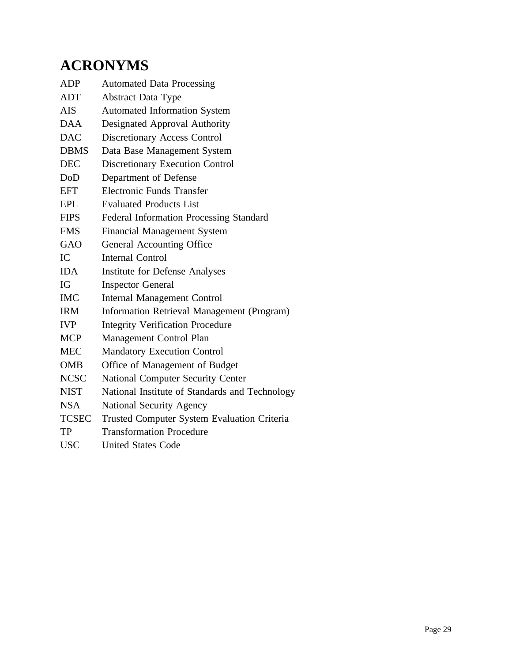## **ACRONYMS**

| <b>ADP</b>   | <b>Automated Data Processing</b>                   |
|--------------|----------------------------------------------------|
| ADT          | <b>Abstract Data Type</b>                          |
| AIS.         | <b>Automated Information System</b>                |
| <b>DAA</b>   | Designated Approval Authority                      |
| <b>DAC</b>   | Discretionary Access Control                       |
| <b>DBMS</b>  | Data Base Management System                        |
| <b>DEC</b>   | <b>Discretionary Execution Control</b>             |
| DoD          | Department of Defense                              |
| <b>EFT</b>   | <b>Electronic Funds Transfer</b>                   |
| <b>EPL</b>   | <b>Evaluated Products List</b>                     |
| <b>FIPS</b>  | <b>Federal Information Processing Standard</b>     |
| <b>FMS</b>   | <b>Financial Management System</b>                 |
| <b>GAO</b>   | General Accounting Office                          |
| IC           | <b>Internal Control</b>                            |
| <b>IDA</b>   | <b>Institute for Defense Analyses</b>              |
| IG           | <b>Inspector General</b>                           |
| <b>IMC</b>   | <b>Internal Management Control</b>                 |
| <b>IRM</b>   | <b>Information Retrieval Management (Program)</b>  |
| IVP          | <b>Integrity Verification Procedure</b>            |
| <b>MCP</b>   | Management Control Plan                            |
| <b>MEC</b>   | <b>Mandatory Execution Control</b>                 |
| <b>OMB</b>   | Office of Management of Budget                     |
| <b>NCSC</b>  | <b>National Computer Security Center</b>           |
| <b>NIST</b>  | National Institute of Standards and Technology     |
| <b>NSA</b>   | <b>National Security Agency</b>                    |
| <b>TCSEC</b> | <b>Trusted Computer System Evaluation Criteria</b> |
| TP           | <b>Transformation Procedure</b>                    |
|              |                                                    |

USC United States Code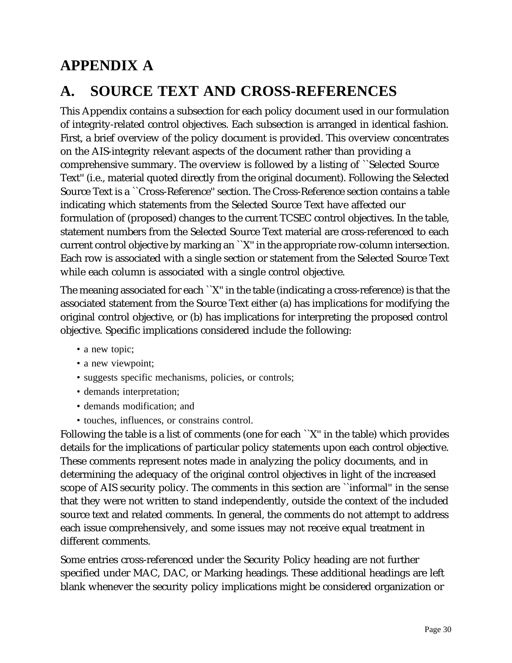## **APPENDIX A**

## **A. SOURCE TEXT AND CROSS-REFERENCES**

This Appendix contains a subsection for each policy document used in our formulation of integrity-related control objectives. Each subsection is arranged in identical fashion. First, a brief overview of the policy document is provided. This overview concentrates on the AIS-integrity relevant aspects of the document rather than providing a comprehensive summary. The overview is followed by a listing of ``Selected Source Text'' (i.e., material quoted directly from the original document). Following the Selected Source Text is a ``Cross-Reference'' section. The Cross-Reference section contains a table indicating which statements from the Selected Source Text have affected our formulation of (proposed) changes to the current TCSEC control objectives. In the table, statement numbers from the Selected Source Text material are cross-referenced to each current control objective by marking an ``X'' in the appropriate row-column intersection. Each row is associated with a single section or statement from the Selected Source Text while each column is associated with a single control objective.

The meaning associated for each ``X'' in the table (indicating a cross-reference) is that the associated statement from the Source Text either (a) has implications for modifying the original control objective, or (b) has implications for interpreting the proposed control objective. Specific implications considered include the following:

- a new topic;
- a new viewpoint;
- suggests specific mechanisms, policies, or controls;
- demands interpretation;
- demands modification; and
- touches, influences, or constrains control.

Following the table is a list of comments (one for each ``X'' in the table) which provides details for the implications of particular policy statements upon each control objective. These comments represent notes made in analyzing the policy documents, and in determining the adequacy of the original control objectives in light of the increased scope of AIS security policy. The comments in this section are ``informal'' in the sense that they were not written to stand independently, outside the context of the included source text and related comments. In general, the comments do not attempt to address each issue comprehensively, and some issues may not receive equal treatment in different comments.

Some entries cross-referenced under the Security Policy heading are not further specified under MAC, DAC, or Marking headings. These additional headings are left blank whenever the security policy implications might be considered organization or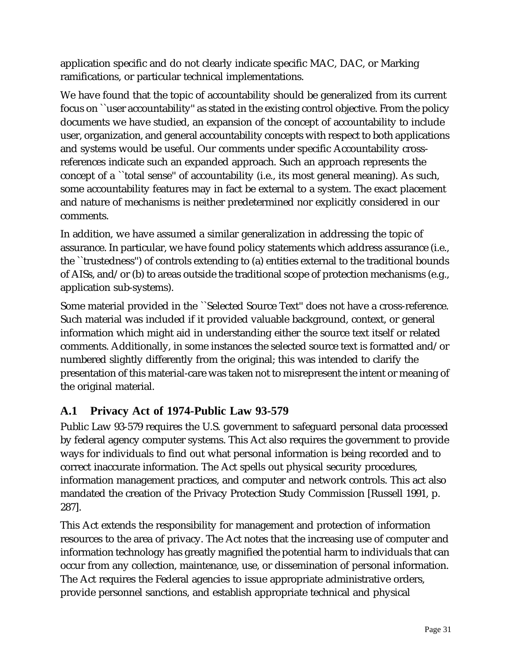application specific and do not clearly indicate specific MAC, DAC, or Marking ramifications, or particular technical implementations.

We have found that the topic of accountability should be generalized from its current focus on "user accountability" as stated in the existing control objective. From the policy documents we have studied, an expansion of the concept of accountability to include user, organization, and general accountability concepts with respect to both applications and systems would be useful. Our comments under specific Accountability crossreferences indicate such an expanded approach. Such an approach represents the concept of a ``total sense'' of accountability (i.e., its most general meaning). As such, some accountability features may in fact be external to a system. The exact placement and nature of mechanisms is neither predetermined nor explicitly considered in our comments.

In addition, we have assumed a similar generalization in addressing the topic of assurance. In particular, we have found policy statements which address assurance (i.e., the ``trustedness'') of controls extending to (a) entities external to the traditional bounds of AISs, and/or (b) to areas outside the traditional scope of protection mechanisms (e.g., application sub-systems).

Some material provided in the ``Selected Source Text'' does not have a cross-reference. Such material was included if it provided valuable background, context, or general information which might aid in understanding either the source text itself or related comments. Additionally, in some instances the selected source text is formatted and/or numbered slightly differently from the original; this was intended to clarify the presentation of this material-care was taken not to misrepresent the intent or meaning of the original material.

## **A.1 Privacy Act of 1974-Public Law 93-579**

Public Law 93-579 requires the U.S. government to safeguard personal data processed by federal agency computer systems. This Act also requires the government to provide ways for individuals to find out what personal information is being recorded and to correct inaccurate information. The Act spells out physical security procedures, information management practices, and computer and network controls. This act also mandated the creation of the Privacy Protection Study Commission [Russell 1991, p. 287].

This Act extends the responsibility for management and protection of information resources to the area of privacy. The Act notes that the increasing use of computer and information technology has greatly magnified the potential harm to individuals that can occur from any collection, maintenance, use, or dissemination of personal information. The Act requires the Federal agencies to issue appropriate administrative orders, provide personnel sanctions, and establish appropriate technical and physical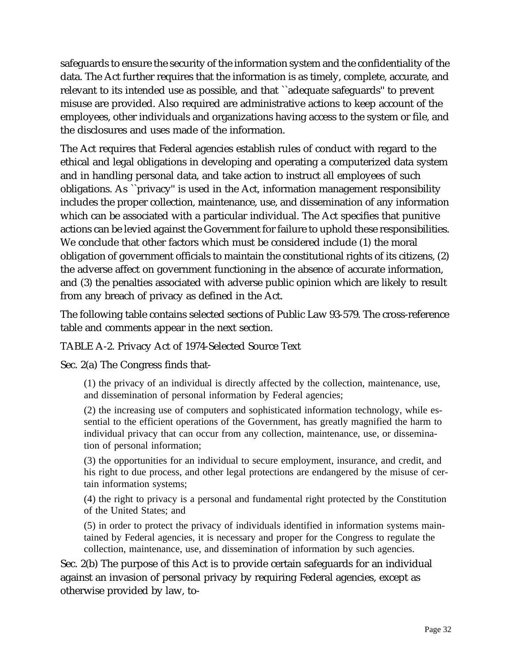safeguards to ensure the security of the information system and the confidentiality of the data. The Act further requires that the information is as timely, complete, accurate, and relevant to its intended use as possible, and that ``adequate safeguards'' to prevent misuse are provided. Also required are administrative actions to keep account of the employees, other individuals and organizations having access to the system or file, and the disclosures and uses made of the information.

The Act requires that Federal agencies establish rules of conduct with regard to the ethical and legal obligations in developing and operating a computerized data system and in handling personal data, and take action to instruct all employees of such obligations. As ``privacy'' is used in the Act, information management responsibility includes the proper collection, maintenance, use, and dissemination of any information which can be associated with a particular individual. The Act specifies that punitive actions can be levied against the Government for failure to uphold these responsibilities. We conclude that other factors which must be considered include (1) the moral obligation of government officials to maintain the constitutional rights of its citizens, (2) the adverse affect on government functioning in the absence of accurate information, and (3) the penalties associated with adverse public opinion which are likely to result from any breach of privacy as defined in the Act.

The following table contains selected sections of Public Law 93-579. The cross-reference table and comments appear in the next section.

TABLE A-2. Privacy Act of 1974-Selected Source Text

Sec. 2(a) The Congress finds that-

(1) the privacy of an individual is directly affected by the collection, maintenance, use, and dissemination of personal information by Federal agencies;

(2) the increasing use of computers and sophisticated information technology, while essential to the efficient operations of the Government, has greatly magnified the harm to individual privacy that can occur from any collection, maintenance, use, or dissemination of personal information;

(3) the opportunities for an individual to secure employment, insurance, and credit, and his right to due process, and other legal protections are endangered by the misuse of certain information systems;

(4) the right to privacy is a personal and fundamental right protected by the Constitution of the United States; and

(5) in order to protect the privacy of individuals identified in information systems maintained by Federal agencies, it is necessary and proper for the Congress to regulate the collection, maintenance, use, and dissemination of information by such agencies.

Sec. 2(b) The purpose of this Act is to provide certain safeguards for an individual against an invasion of personal privacy by requiring Federal agencies, except as otherwise provided by law, to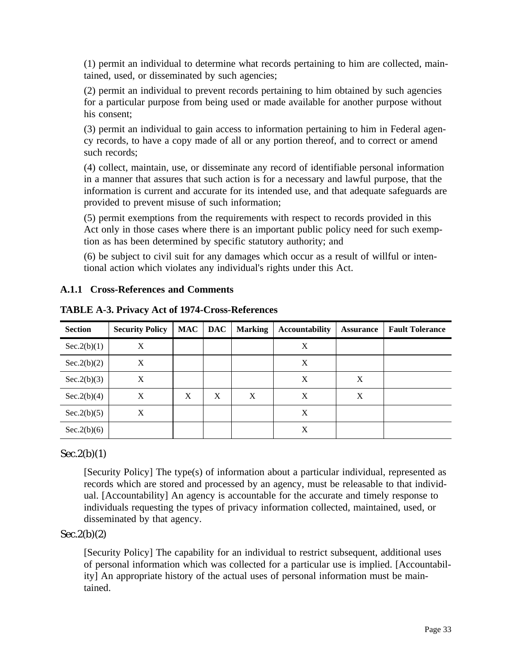(1) permit an individual to determine what records pertaining to him are collected, maintained, used, or disseminated by such agencies;

(2) permit an individual to prevent records pertaining to him obtained by such agencies for a particular purpose from being used or made available for another purpose without his consent;

(3) permit an individual to gain access to information pertaining to him in Federal agency records, to have a copy made of all or any portion thereof, and to correct or amend such records;

(4) collect, maintain, use, or disseminate any record of identifiable personal information in a manner that assures that such action is for a necessary and lawful purpose, that the information is current and accurate for its intended use, and that adequate safeguards are provided to prevent misuse of such information;

(5) permit exemptions from the requirements with respect to records provided in this Act only in those cases where there is an important public policy need for such exemption as has been determined by specific statutory authority; and

(6) be subject to civil suit for any damages which occur as a result of willful or intentional action which violates any individual's rights under this Act.

#### **A.1.1 Cross-References and Comments**

| <b>Section</b> | <b>Security Policy</b> | <b>MAC</b> | <b>DAC</b> | <b>Marking</b> | <b>Accountability</b> | <b>Assurance</b> | <b>Fault Tolerance</b> |
|----------------|------------------------|------------|------------|----------------|-----------------------|------------------|------------------------|
| Sec.2(b)(1)    | X                      |            |            |                | X                     |                  |                        |
| Sec.2(b)(2)    | Х                      |            |            |                | X                     |                  |                        |
| Sec.2(b)(3)    | X                      |            |            |                | X                     | X                |                        |
| Sec.2(b)(4)    | X                      | X          | X          | X              | X                     | X                |                        |
| Sec.2(b)(5)    | X                      |            |            |                | X                     |                  |                        |
| Sec.2(b)(6)    |                        |            |            |                | X                     |                  |                        |

**TABLE A-3. Privacy Act of 1974-Cross-References**

#### $Sec.2(b)(1)$

[Security Policy] The type(s) of information about a particular individual, represented as records which are stored and processed by an agency, must be releasable to that individual. [Accountability] An agency is accountable for the accurate and timely response to individuals requesting the types of privacy information collected, maintained, used, or disseminated by that agency.

#### $Sec.2(b)(2)$

[Security Policy] The capability for an individual to restrict subsequent, additional uses of personal information which was collected for a particular use is implied. [Accountability] An appropriate history of the actual uses of personal information must be maintained.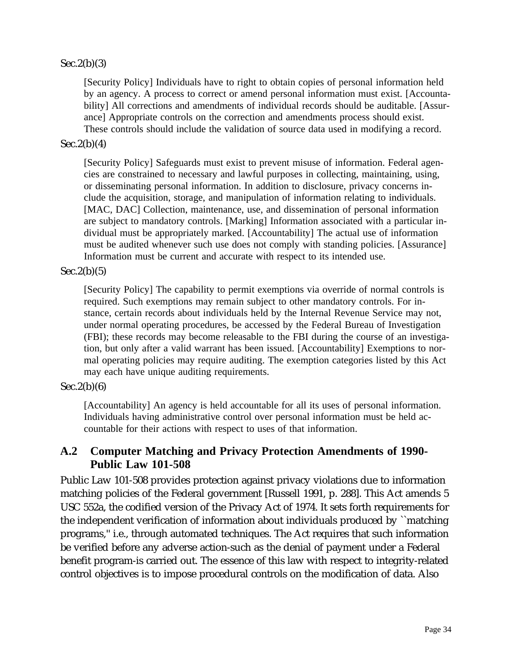#### $Sec.2(b)(3)$

[Security Policy] Individuals have to right to obtain copies of personal information held by an agency. A process to correct or amend personal information must exist. [Accountability] All corrections and amendments of individual records should be auditable. [Assurance] Appropriate controls on the correction and amendments process should exist. These controls should include the validation of source data used in modifying a record.

#### $Sec.2(b)(4)$

[Security Policy] Safeguards must exist to prevent misuse of information. Federal agencies are constrained to necessary and lawful purposes in collecting, maintaining, using, or disseminating personal information. In addition to disclosure, privacy concerns include the acquisition, storage, and manipulation of information relating to individuals. [MAC, DAC] Collection, maintenance, use, and dissemination of personal information are subject to mandatory controls. [Marking] Information associated with a particular individual must be appropriately marked. [Accountability] The actual use of information must be audited whenever such use does not comply with standing policies. [Assurance] Information must be current and accurate with respect to its intended use.

#### $Sec.2(b)(5)$

[Security Policy] The capability to permit exemptions via override of normal controls is required. Such exemptions may remain subject to other mandatory controls. For instance, certain records about individuals held by the Internal Revenue Service may not, under normal operating procedures, be accessed by the Federal Bureau of Investigation (FBI); these records may become releasable to the FBI during the course of an investigation, but only after a valid warrant has been issued. [Accountability] Exemptions to normal operating policies may require auditing. The exemption categories listed by this Act may each have unique auditing requirements.

#### $Sec.2(b)(6)$

[Accountability] An agency is held accountable for all its uses of personal information. Individuals having administrative control over personal information must be held accountable for their actions with respect to uses of that information.

### **A.2 Computer Matching and Privacy Protection Amendments of 1990- Public Law 101-508**

Public Law 101-508 provides protection against privacy violations due to information matching policies of the Federal government [Russell 1991, p. 288]. This Act amends 5 USC 552a, the codified version of the Privacy Act of 1974. It sets forth requirements for the independent verification of information about individuals produced by ``matching programs,'' i.e., through automated techniques. The Act requires that such information be verified before any adverse action-such as the denial of payment under a Federal benefit program-is carried out. The essence of this law with respect to integrity-related control objectives is to impose procedural controls on the modification of data. Also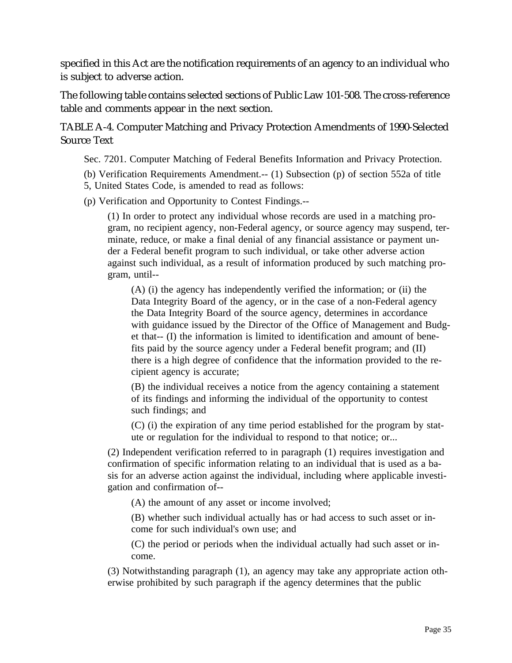specified in this Act are the notification requirements of an agency to an individual who is subject to adverse action.

The following table contains selected sections of Public Law 101-508. The cross-reference table and comments appear in the next section.

TABLE A-4. Computer Matching and Privacy Protection Amendments of 1990-Selected Source Text

Sec. 7201. Computer Matching of Federal Benefits Information and Privacy Protection.

(b) Verification Requirements Amendment.-- (1) Subsection (p) of section 552a of title 5, United States Code, is amended to read as follows:

(p) Verification and Opportunity to Contest Findings.--

(1) In order to protect any individual whose records are used in a matching program, no recipient agency, non-Federal agency, or source agency may suspend, terminate, reduce, or make a final denial of any financial assistance or payment under a Federal benefit program to such individual, or take other adverse action against such individual, as a result of information produced by such matching program, until--

(A) (i) the agency has independently verified the information; or (ii) the Data Integrity Board of the agency, or in the case of a non-Federal agency the Data Integrity Board of the source agency, determines in accordance with guidance issued by the Director of the Office of Management and Budget that-- (I) the information is limited to identification and amount of benefits paid by the source agency under a Federal benefit program; and (II) there is a high degree of confidence that the information provided to the recipient agency is accurate;

(B) the individual receives a notice from the agency containing a statement of its findings and informing the individual of the opportunity to contest such findings; and

(C) (i) the expiration of any time period established for the program by statute or regulation for the individual to respond to that notice; or...

(2) Independent verification referred to in paragraph (1) requires investigation and confirmation of specific information relating to an individual that is used as a basis for an adverse action against the individual, including where applicable investigation and confirmation of--

(A) the amount of any asset or income involved;

(B) whether such individual actually has or had access to such asset or income for such individual's own use; and

(C) the period or periods when the individual actually had such asset or income.

(3) Notwithstanding paragraph (1), an agency may take any appropriate action otherwise prohibited by such paragraph if the agency determines that the public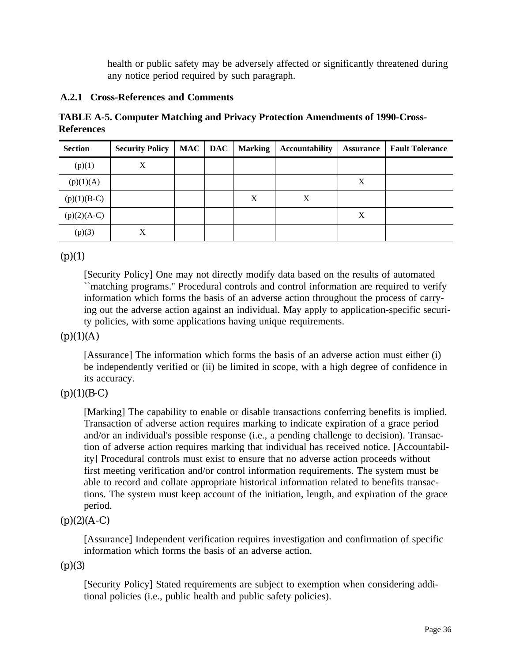health or public safety may be adversely affected or significantly threatened during any notice period required by such paragraph.

#### **A.2.1 Cross-References and Comments**

**TABLE A-5. Computer Matching and Privacy Protection Amendments of 1990-Cross-References**

| <b>Section</b> | <b>Security Policy</b> | MAC | <b>DAC</b> | <b>Marking</b> | <b>Accountability</b> | <b>Assurance</b> | <b>Fault Tolerance</b> |
|----------------|------------------------|-----|------------|----------------|-----------------------|------------------|------------------------|
| (p)(1)         | X                      |     |            |                |                       |                  |                        |
| (p)(1)(A)      |                        |     |            |                |                       | X                |                        |
| $(p)(1)(B-C)$  |                        |     |            | X              | X                     |                  |                        |
| $(p)(2)(A-C)$  |                        |     |            |                |                       | X                |                        |
| (p)(3)         | X                      |     |            |                |                       |                  |                        |

 $(p)(1)$ 

[Security Policy] One may not directly modify data based on the results of automated ``matching programs.'' Procedural controls and control information are required to verify information which forms the basis of an adverse action throughout the process of carrying out the adverse action against an individual. May apply to application-specific security policies, with some applications having unique requirements.

#### $(p)(1)(A)$

[Assurance] The information which forms the basis of an adverse action must either (i) be independently verified or (ii) be limited in scope, with a high degree of confidence in its accuracy.

#### $(p)(1)(B-C)$

[Marking] The capability to enable or disable transactions conferring benefits is implied. Transaction of adverse action requires marking to indicate expiration of a grace period and/or an individual's possible response (i.e., a pending challenge to decision). Transaction of adverse action requires marking that individual has received notice. [Accountability] Procedural controls must exist to ensure that no adverse action proceeds without first meeting verification and/or control information requirements. The system must be able to record and collate appropriate historical information related to benefits transactions. The system must keep account of the initiation, length, and expiration of the grace period.

#### $(p)(2)(A-C)$

[Assurance] Independent verification requires investigation and confirmation of specific information which forms the basis of an adverse action.

 $(p)(3)$ 

[Security Policy] Stated requirements are subject to exemption when considering additional policies (i.e., public health and public safety policies).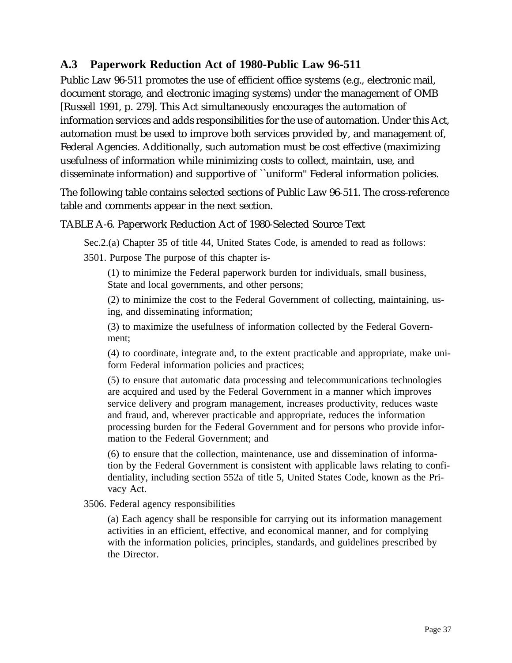# **A.3 Paperwork Reduction Act of 1980-Public Law 96-511**

Public Law 96-511 promotes the use of efficient office systems (e.g., electronic mail, document storage, and electronic imaging systems) under the management of OMB [Russell 1991, p. 279]. This Act simultaneously encourages the automation of information services and adds responsibilities for the use of automation. Under this Act, automation must be used to improve both services provided by, and management of, Federal Agencies. Additionally, such automation must be cost effective (maximizing usefulness of information while minimizing costs to collect, maintain, use, and disseminate information) and supportive of ``uniform'' Federal information policies.

The following table contains selected sections of Public Law 96-511. The cross-reference table and comments appear in the next section.

# TABLE A-6. Paperwork Reduction Act of 1980-Selected Source Text

Sec.2.(a) Chapter 35 of title 44, United States Code, is amended to read as follows:

3501. Purpose The purpose of this chapter is-

(1) to minimize the Federal paperwork burden for individuals, small business, State and local governments, and other persons;

(2) to minimize the cost to the Federal Government of collecting, maintaining, using, and disseminating information;

(3) to maximize the usefulness of information collected by the Federal Government;

(4) to coordinate, integrate and, to the extent practicable and appropriate, make uniform Federal information policies and practices;

(5) to ensure that automatic data processing and telecommunications technologies are acquired and used by the Federal Government in a manner which improves service delivery and program management, increases productivity, reduces waste and fraud, and, wherever practicable and appropriate, reduces the information processing burden for the Federal Government and for persons who provide information to the Federal Government; and

(6) to ensure that the collection, maintenance, use and dissemination of information by the Federal Government is consistent with applicable laws relating to confidentiality, including section 552a of title 5, United States Code, known as the Privacy Act.

3506. Federal agency responsibilities

(a) Each agency shall be responsible for carrying out its information management activities in an efficient, effective, and economical manner, and for complying with the information policies, principles, standards, and guidelines prescribed by the Director.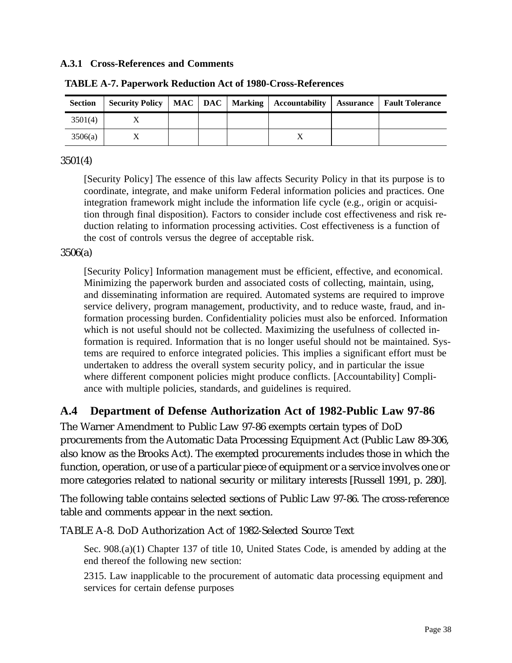#### **A.3.1 Cross-References and Comments**

| <b>Section</b> | <b>Security Policy</b> |  | MAC   DAC   Marking   Accountability | Assurance | Fault Tolerance |
|----------------|------------------------|--|--------------------------------------|-----------|-----------------|
| 3501(4)        |                        |  |                                      |           |                 |
| 3506(a)        |                        |  | Δ                                    |           |                 |

**TABLE A-7. Paperwork Reduction Act of 1980-Cross-References**

#### 3501(4)

[Security Policy] The essence of this law affects Security Policy in that its purpose is to coordinate, integrate, and make uniform Federal information policies and practices. One integration framework might include the information life cycle (e.g., origin or acquisition through final disposition). Factors to consider include cost effectiveness and risk reduction relating to information processing activities. Cost effectiveness is a function of the cost of controls versus the degree of acceptable risk.

### 3506(a)

[Security Policy] Information management must be efficient, effective, and economical. Minimizing the paperwork burden and associated costs of collecting, maintain, using, and disseminating information are required. Automated systems are required to improve service delivery, program management, productivity, and to reduce waste, fraud, and information processing burden. Confidentiality policies must also be enforced. Information which is not useful should not be collected. Maximizing the usefulness of collected information is required. Information that is no longer useful should not be maintained. Systems are required to enforce integrated policies. This implies a significant effort must be undertaken to address the overall system security policy, and in particular the issue where different component policies might produce conflicts. [Accountability] Compliance with multiple policies, standards, and guidelines is required.

# **A.4 Department of Defense Authorization Act of 1982-Public Law 97-86**

The Warner Amendment to Public Law 97-86 exempts certain types of DoD procurements from the Automatic Data Processing Equipment Act (Public Law 89-306, also know as the Brooks Act). The exempted procurements includes those in which the function, operation, or use of a particular piece of equipment or a service involves one or more categories related to national security or military interests [Russell 1991, p. 280].

The following table contains selected sections of Public Law 97-86. The cross-reference table and comments appear in the next section.

TABLE A-8. DoD Authorization Act of 1982-Selected Source Text

Sec. 908.(a)(1) Chapter 137 of title 10, United States Code, is amended by adding at the end thereof the following new section:

2315. Law inapplicable to the procurement of automatic data processing equipment and services for certain defense purposes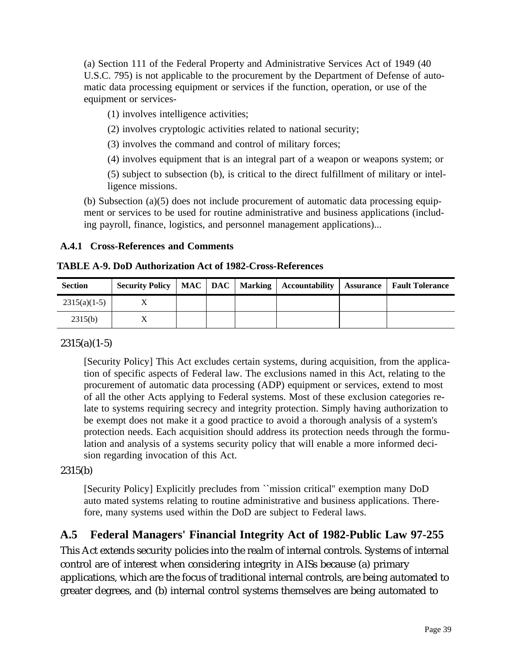(a) Section 111 of the Federal Property and Administrative Services Act of 1949 (40 U.S.C. 795) is not applicable to the procurement by the Department of Defense of automatic data processing equipment or services if the function, operation, or use of the equipment or services-

(1) involves intelligence activities;

(2) involves cryptologic activities related to national security;

(3) involves the command and control of military forces;

(4) involves equipment that is an integral part of a weapon or weapons system; or

(5) subject to subsection (b), is critical to the direct fulfillment of military or intelligence missions.

(b) Subsection (a)(5) does not include procurement of automatic data processing equipment or services to be used for routine administrative and business applications (including payroll, finance, logistics, and personnel management applications)...

# **A.4.1 Cross-References and Comments**

# **TABLE A-9. DoD Authorization Act of 1982-Cross-References**

| <b>Section</b> |  |  | Security Policy   MAC   DAC   Marking   Accountability | <b>Assurance</b>   Fault Tolerance |
|----------------|--|--|--------------------------------------------------------|------------------------------------|
| $2315(a)(1-5)$ |  |  |                                                        |                                    |
| 2315(b)        |  |  |                                                        |                                    |

# $2315(a)(1-5)$

[Security Policy] This Act excludes certain systems, during acquisition, from the application of specific aspects of Federal law. The exclusions named in this Act, relating to the procurement of automatic data processing (ADP) equipment or services, extend to most of all the other Acts applying to Federal systems. Most of these exclusion categories relate to systems requiring secrecy and integrity protection. Simply having authorization to be exempt does not make it a good practice to avoid a thorough analysis of a system's protection needs. Each acquisition should address its protection needs through the formulation and analysis of a systems security policy that will enable a more informed decision regarding invocation of this Act.

# 2315(b)

[Security Policy] Explicitly precludes from ``mission critical'' exemption many DoD auto mated systems relating to routine administrative and business applications. Therefore, many systems used within the DoD are subject to Federal laws.

# **A.5 Federal Managers' Financial Integrity Act of 1982-Public Law 97-255**

This Act extends security policies into the realm of internal controls. Systems of internal control are of interest when considering integrity in AISs because (a) primary applications, which are the focus of traditional internal controls, are being automated to greater degrees, and (b) internal control systems themselves are being automated to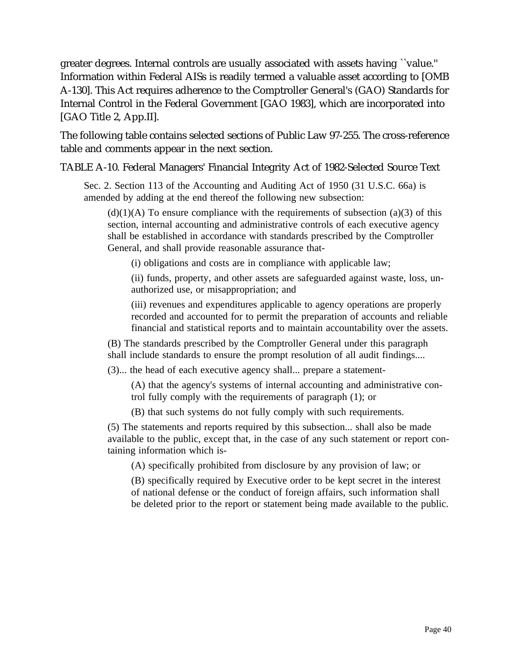greater degrees. Internal controls are usually associated with assets having ``value.'' Information within Federal AISs is readily termed a valuable asset according to [OMB A-130]. This Act requires adherence to the Comptroller General's (GAO) Standards for Internal Control in the Federal Government [GAO 1983], which are incorporated into [GAO Title 2, App.II].

The following table contains selected sections of Public Law 97-255. The cross-reference table and comments appear in the next section.

TABLE A-10. Federal Managers' Financial Integrity Act of 1982-Selected Source Text

Sec. 2. Section 113 of the Accounting and Auditing Act of 1950 (31 U.S.C. 66a) is amended by adding at the end thereof the following new subsection:

 $(d)(1)(A)$  To ensure compliance with the requirements of subsection (a)(3) of this section, internal accounting and administrative controls of each executive agency shall be established in accordance with standards prescribed by the Comptroller General, and shall provide reasonable assurance that-

(i) obligations and costs are in compliance with applicable law;

(ii) funds, property, and other assets are safeguarded against waste, loss, unauthorized use, or misappropriation; and

(iii) revenues and expenditures applicable to agency operations are properly recorded and accounted for to permit the preparation of accounts and reliable financial and statistical reports and to maintain accountability over the assets.

(B) The standards prescribed by the Comptroller General under this paragraph shall include standards to ensure the prompt resolution of all audit findings....

(3)... the head of each executive agency shall... prepare a statement-

(A) that the agency's systems of internal accounting and administrative control fully comply with the requirements of paragraph (1); or

(B) that such systems do not fully comply with such requirements.

(5) The statements and reports required by this subsection... shall also be made available to the public, except that, in the case of any such statement or report containing information which is-

(A) specifically prohibited from disclosure by any provision of law; or

(B) specifically required by Executive order to be kept secret in the interest of national defense or the conduct of foreign affairs, such information shall be deleted prior to the report or statement being made available to the public.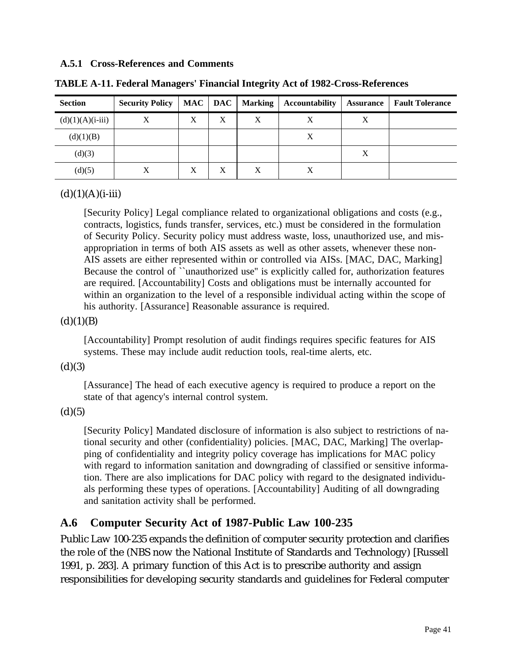#### **A.5.1 Cross-References and Comments**

| <b>Section</b>     | <b>Security Policy</b> |   | MAC   DAC | <b>Marking</b> | <b>Accountability</b> | <b>Assurance</b> | <b>Fault Tolerance</b> |
|--------------------|------------------------|---|-----------|----------------|-----------------------|------------------|------------------------|
| $(d)(1)(A)(i-iii)$ | Χ                      | X | X         | X              | X                     | X                |                        |
| (d)(1)(B)          |                        |   |           |                | X                     |                  |                        |
| (d)(3)             |                        |   |           |                |                       | X                |                        |
| (d)(5)             |                        | X | X         | X              |                       |                  |                        |

**TABLE A-11. Federal Managers' Financial Integrity Act of 1982-Cross-References**

# $(d)(1)(A)(i-iii)$

[Security Policy] Legal compliance related to organizational obligations and costs (e.g., contracts, logistics, funds transfer, services, etc.) must be considered in the formulation of Security Policy. Security policy must address waste, loss, unauthorized use, and misappropriation in terms of both AIS assets as well as other assets, whenever these non-AIS assets are either represented within or controlled via AISs. [MAC, DAC, Marking] Because the control of "unauthorized use" is explicitly called for, authorization features are required. [Accountability] Costs and obligations must be internally accounted for within an organization to the level of a responsible individual acting within the scope of his authority. [Assurance] Reasonable assurance is required.

### $(d)(1)(B)$

[Accountability] Prompt resolution of audit findings requires specific features for AIS systems. These may include audit reduction tools, real-time alerts, etc.

#### $(d)(3)$

[Assurance] The head of each executive agency is required to produce a report on the state of that agency's internal control system.

 $(d)(5)$ 

[Security Policy] Mandated disclosure of information is also subject to restrictions of national security and other (confidentiality) policies. [MAC, DAC, Marking] The overlapping of confidentiality and integrity policy coverage has implications for MAC policy with regard to information sanitation and downgrading of classified or sensitive information. There are also implications for DAC policy with regard to the designated individuals performing these types of operations. [Accountability] Auditing of all downgrading and sanitation activity shall be performed.

# **A.6 Computer Security Act of 1987-Public Law 100-235**

Public Law 100-235 expands the definition of computer security protection and clarifies the role of the (NBS now the National Institute of Standards and Technology) [Russell 1991, p. 283]. A primary function of this Act is to prescribe authority and assign responsibilities for developing security standards and guidelines for Federal computer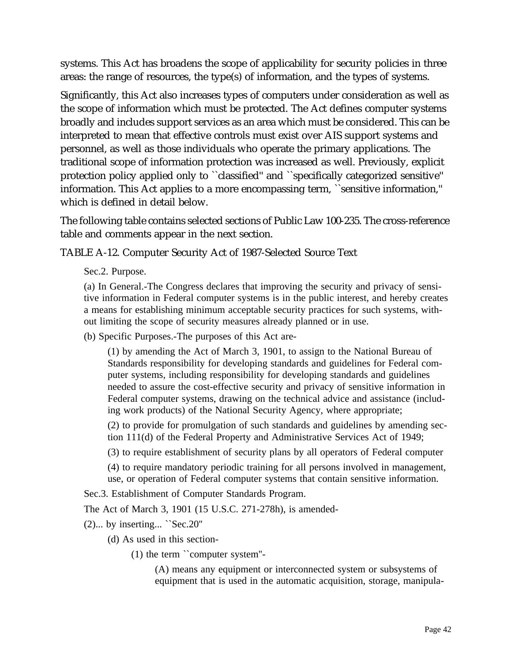systems. This Act has broadens the scope of applicability for security policies in three areas: the range of resources, the type(s) of information, and the types of systems.

Significantly, this Act also increases types of computers under consideration as well as the scope of information which must be protected. The Act defines computer systems broadly and includes support services as an area which must be considered. This can be interpreted to mean that effective controls must exist over AIS support systems and personnel, as well as those individuals who operate the primary applications. The traditional scope of information protection was increased as well. Previously, explicit protection policy applied only to ``classified'' and ``specifically categorized sensitive'' information. This Act applies to a more encompassing term, ``sensitive information,'' which is defined in detail below.

The following table contains selected sections of Public Law 100-235. The cross-reference table and comments appear in the next section.

TABLE A-12. Computer Security Act of 1987-Selected Source Text

Sec.2. Purpose.

(a) In General.-The Congress declares that improving the security and privacy of sensitive information in Federal computer systems is in the public interest, and hereby creates a means for establishing minimum acceptable security practices for such systems, without limiting the scope of security measures already planned or in use.

(b) Specific Purposes.-The purposes of this Act are-

(1) by amending the Act of March 3, 1901, to assign to the National Bureau of Standards responsibility for developing standards and guidelines for Federal computer systems, including responsibility for developing standards and guidelines needed to assure the cost-effective security and privacy of sensitive information in Federal computer systems, drawing on the technical advice and assistance (including work products) of the National Security Agency, where appropriate;

(2) to provide for promulgation of such standards and guidelines by amending section 111(d) of the Federal Property and Administrative Services Act of 1949;

(3) to require establishment of security plans by all operators of Federal computer

(4) to require mandatory periodic training for all persons involved in management, use, or operation of Federal computer systems that contain sensitive information.

Sec.3. Establishment of Computer Standards Program.

The Act of March 3, 1901 (15 U.S.C. 271-278h), is amended-

(2)... by inserting... ``Sec.20''

(d) As used in this section-

(1) the term ``computer system''-

(A) means any equipment or interconnected system or subsystems of equipment that is used in the automatic acquisition, storage, manipula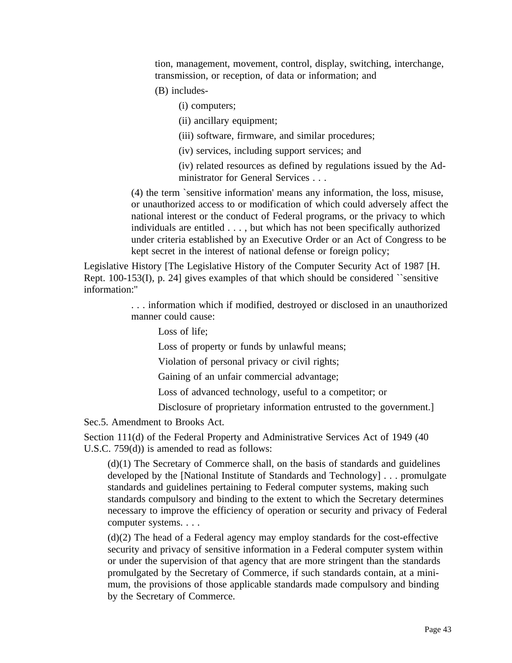tion, management, movement, control, display, switching, interchange, transmission, or reception, of data or information; and

(B) includes-

(i) computers;

(ii) ancillary equipment;

(iii) software, firmware, and similar procedures;

(iv) services, including support services; and

(iv) related resources as defined by regulations issued by the Administrator for General Services . . .

(4) the term `sensitive information' means any information, the loss, misuse, or unauthorized access to or modification of which could adversely affect the national interest or the conduct of Federal programs, or the privacy to which individuals are entitled . . . , but which has not been specifically authorized under criteria established by an Executive Order or an Act of Congress to be kept secret in the interest of national defense or foreign policy;

Legislative History [The Legislative History of the Computer Security Act of 1987 [H. Rept. 100-153(I), p. 24] gives examples of that which should be considered ``sensitive information:''

> . . . information which if modified, destroyed or disclosed in an unauthorized manner could cause:

Loss of life;

Loss of property or funds by unlawful means;

Violation of personal privacy or civil rights;

Gaining of an unfair commercial advantage;

Loss of advanced technology, useful to a competitor; or

Disclosure of proprietary information entrusted to the government.]

Sec.5. Amendment to Brooks Act.

Section 111(d) of the Federal Property and Administrative Services Act of 1949 (40 U.S.C. 759(d)) is amended to read as follows:

(d)(1) The Secretary of Commerce shall, on the basis of standards and guidelines developed by the [National Institute of Standards and Technology] . . . promulgate standards and guidelines pertaining to Federal computer systems, making such standards compulsory and binding to the extent to which the Secretary determines necessary to improve the efficiency of operation or security and privacy of Federal computer systems. . . .

(d)(2) The head of a Federal agency may employ standards for the cost-effective security and privacy of sensitive information in a Federal computer system within or under the supervision of that agency that are more stringent than the standards promulgated by the Secretary of Commerce, if such standards contain, at a minimum, the provisions of those applicable standards made compulsory and binding by the Secretary of Commerce.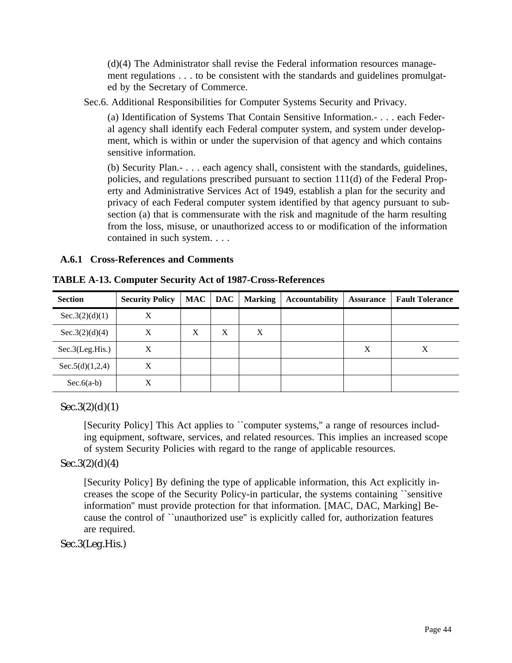(d)(4) The Administrator shall revise the Federal information resources management regulations . . . to be consistent with the standards and guidelines promulgated by the Secretary of Commerce.

Sec.6. Additional Responsibilities for Computer Systems Security and Privacy.

(a) Identification of Systems That Contain Sensitive Information.- . . . each Federal agency shall identify each Federal computer system, and system under development, which is within or under the supervision of that agency and which contains sensitive information.

(b) Security Plan.- . . . each agency shall, consistent with the standards, guidelines, policies, and regulations prescribed pursuant to section 111(d) of the Federal Property and Administrative Services Act of 1949, establish a plan for the security and privacy of each Federal computer system identified by that agency pursuant to subsection (a) that is commensurate with the risk and magnitude of the harm resulting from the loss, misuse, or unauthorized access to or modification of the information contained in such system. . . .

### **A.6.1 Cross-References and Comments**

| <b>Section</b>  | <b>Security Policy</b> | <b>MAC</b> | <b>DAC</b> | <b>Marking</b> | <b>Accountability</b> | <b>Assurance</b> | <b>Fault Tolerance</b> |
|-----------------|------------------------|------------|------------|----------------|-----------------------|------------------|------------------------|
| Sec.3(2)(d)(1)  | X                      |            |            |                |                       |                  |                        |
| Sec.3(2)(d)(4)  | Х                      | Χ          | X          | X              |                       |                  |                        |
| Sec.3(Leg.His.) | X                      |            |            |                |                       | X                | Χ                      |
| Sec.5(d)(1,2,4) | X                      |            |            |                |                       |                  |                        |
| $Sec.6(a-b)$    | Χ                      |            |            |                |                       |                  |                        |

**TABLE A-13. Computer Security Act of 1987-Cross-References**

 $Sec.3(2)(d)(1)$ 

[Security Policy] This Act applies to ``computer systems,'' a range of resources including equipment, software, services, and related resources. This implies an increased scope of system Security Policies with regard to the range of applicable resources.

# $Sec.3(2)(d)(4)$

[Security Policy] By defining the type of applicable information, this Act explicitly increases the scope of the Security Policy-in particular, the systems containing ``sensitive information'' must provide protection for that information. [MAC, DAC, Marking] Because the control of ``unauthorized use'' is explicitly called for, authorization features are required.

Sec.3(Leg.His.)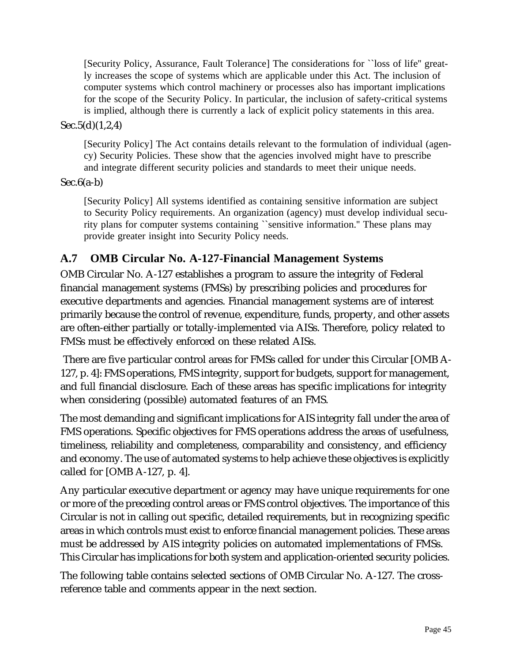[Security Policy, Assurance, Fault Tolerance] The considerations for ``loss of life'' greatly increases the scope of systems which are applicable under this Act. The inclusion of computer systems which control machinery or processes also has important implications for the scope of the Security Policy. In particular, the inclusion of safety-critical systems is implied, although there is currently a lack of explicit policy statements in this area.

## Sec.5(d)(1,2,4)

[Security Policy] The Act contains details relevant to the formulation of individual (agency) Security Policies. These show that the agencies involved might have to prescribe and integrate different security policies and standards to meet their unique needs.

### $Sec.6(a-b)$

[Security Policy] All systems identified as containing sensitive information are subject to Security Policy requirements. An organization (agency) must develop individual security plans for computer systems containing ``sensitive information.'' These plans may provide greater insight into Security Policy needs.

# **A.7 OMB Circular No. A-127-Financial Management Systems**

OMB Circular No. A-127 establishes a program to assure the integrity of Federal financial management systems (FMSs) by prescribing policies and procedures for executive departments and agencies. Financial management systems are of interest primarily because the control of revenue, expenditure, funds, property, and other assets are often-either partially or totally-implemented via AISs. Therefore, policy related to FMSs must be effectively enforced on these related AISs.

 There are five particular control areas for FMSs called for under this Circular [OMB A-127, p. 4]: FMS operations, FMS integrity, support for budgets, support for management, and full financial disclosure. Each of these areas has specific implications for integrity when considering (possible) automated features of an FMS.

The most demanding and significant implications for AIS integrity fall under the area of FMS operations. Specific objectives for FMS operations address the areas of usefulness, timeliness, reliability and completeness, comparability and consistency, and efficiency and economy. The use of automated systems to help achieve these objectives is explicitly called for [OMB A-127, p. 4].

Any particular executive department or agency may have unique requirements for one or more of the preceding control areas or FMS control objectives. The importance of this Circular is not in calling out specific, detailed requirements, but in recognizing specific areas in which controls must exist to enforce financial management policies. These areas must be addressed by AIS integrity policies on automated implementations of FMSs. This Circular has implications for both system and application-oriented security policies.

The following table contains selected sections of OMB Circular No. A-127. The crossreference table and comments appear in the next section.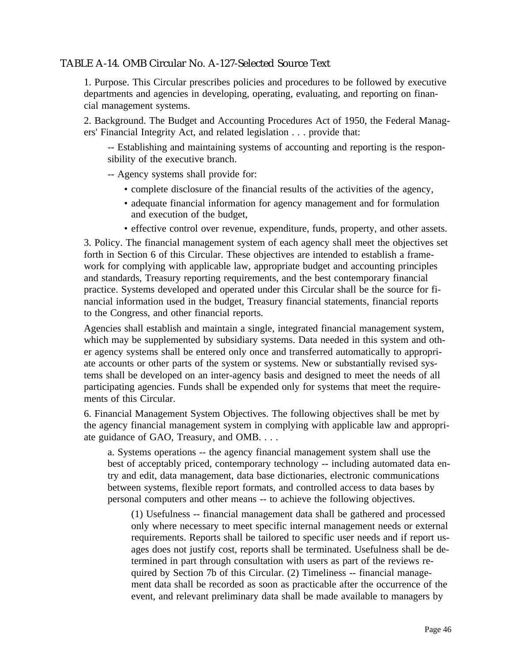## TABLE A-14. OMB Circular No. A-127-Selected Source Text

1. Purpose. This Circular prescribes policies and procedures to be followed by executive departments and agencies in developing, operating, evaluating, and reporting on financial management systems.

2. Background. The Budget and Accounting Procedures Act of 1950, the Federal Managers' Financial Integrity Act, and related legislation . . . provide that:

-- Establishing and maintaining systems of accounting and reporting is the responsibility of the executive branch.

-- Agency systems shall provide for:

- complete disclosure of the financial results of the activities of the agency,
- adequate financial information for agency management and for formulation and execution of the budget,
- effective control over revenue, expenditure, funds, property, and other assets.

3. Policy. The financial management system of each agency shall meet the objectives set forth in Section 6 of this Circular. These objectives are intended to establish a framework for complying with applicable law, appropriate budget and accounting principles and standards, Treasury reporting requirements, and the best contemporary financial practice. Systems developed and operated under this Circular shall be the source for financial information used in the budget, Treasury financial statements, financial reports to the Congress, and other financial reports.

Agencies shall establish and maintain a single, integrated financial management system, which may be supplemented by subsidiary systems. Data needed in this system and other agency systems shall be entered only once and transferred automatically to appropriate accounts or other parts of the system or systems. New or substantially revised systems shall be developed on an inter-agency basis and designed to meet the needs of all participating agencies. Funds shall be expended only for systems that meet the requirements of this Circular.

6. Financial Management System Objectives. The following objectives shall be met by the agency financial management system in complying with applicable law and appropriate guidance of GAO, Treasury, and OMB. . . .

a. Systems operations -- the agency financial management system shall use the best of acceptably priced, contemporary technology -- including automated data entry and edit, data management, data base dictionaries, electronic communications between systems, flexible report formats, and controlled access to data bases by personal computers and other means -- to achieve the following objectives.

(1) Usefulness -- financial management data shall be gathered and processed only where necessary to meet specific internal management needs or external requirements. Reports shall be tailored to specific user needs and if report usages does not justify cost, reports shall be terminated. Usefulness shall be determined in part through consultation with users as part of the reviews required by Section 7b of this Circular. (2) Timeliness -- financial management data shall be recorded as soon as practicable after the occurrence of the event, and relevant preliminary data shall be made available to managers by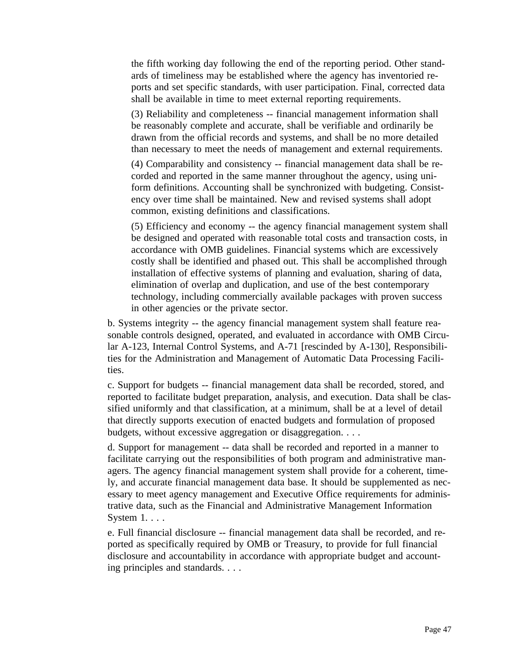the fifth working day following the end of the reporting period. Other standards of timeliness may be established where the agency has inventoried reports and set specific standards, with user participation. Final, corrected data shall be available in time to meet external reporting requirements.

(3) Reliability and completeness -- financial management information shall be reasonably complete and accurate, shall be verifiable and ordinarily be drawn from the official records and systems, and shall be no more detailed than necessary to meet the needs of management and external requirements.

(4) Comparability and consistency -- financial management data shall be recorded and reported in the same manner throughout the agency, using uniform definitions. Accounting shall be synchronized with budgeting. Consistency over time shall be maintained. New and revised systems shall adopt common, existing definitions and classifications.

(5) Efficiency and economy -- the agency financial management system shall be designed and operated with reasonable total costs and transaction costs, in accordance with OMB guidelines. Financial systems which are excessively costly shall be identified and phased out. This shall be accomplished through installation of effective systems of planning and evaluation, sharing of data, elimination of overlap and duplication, and use of the best contemporary technology, including commercially available packages with proven success in other agencies or the private sector.

b. Systems integrity -- the agency financial management system shall feature reasonable controls designed, operated, and evaluated in accordance with OMB Circular A-123, Internal Control Systems, and A-71 [rescinded by A-130], Responsibilities for the Administration and Management of Automatic Data Processing Facilities.

c. Support for budgets -- financial management data shall be recorded, stored, and reported to facilitate budget preparation, analysis, and execution. Data shall be classified uniformly and that classification, at a minimum, shall be at a level of detail that directly supports execution of enacted budgets and formulation of proposed budgets, without excessive aggregation or disaggregation. . . .

d. Support for management -- data shall be recorded and reported in a manner to facilitate carrying out the responsibilities of both program and administrative managers. The agency financial management system shall provide for a coherent, timely, and accurate financial management data base. It should be supplemented as necessary to meet agency management and Executive Office requirements for administrative data, such as the Financial and Administrative Management Information System 1. . . .

e. Full financial disclosure -- financial management data shall be recorded, and reported as specifically required by OMB or Treasury, to provide for full financial disclosure and accountability in accordance with appropriate budget and accounting principles and standards. . . .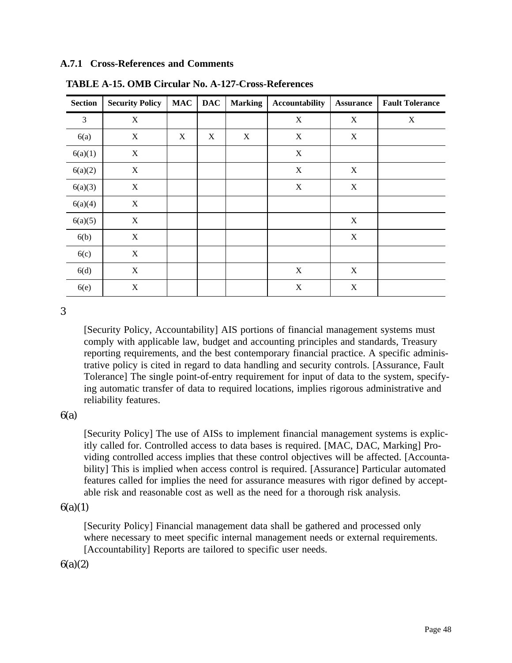#### **A.7.1 Cross-References and Comments**

| <b>Section</b> | <b>Security Policy</b>    | <b>MAC</b> | <b>DAC</b> | <b>Marking</b> | Accountability            | <b>Assurance</b> | <b>Fault Tolerance</b> |
|----------------|---------------------------|------------|------------|----------------|---------------------------|------------------|------------------------|
| 3              | X                         |            |            |                | $\boldsymbol{\mathrm{X}}$ | X                | X                      |
| 6(a)           | $\mathbf X$               | X          | X          | $\mathbf X$    | $\boldsymbol{\mathrm{X}}$ | $\mathbf X$      |                        |
| 6(a)(1)        | $\boldsymbol{\mathrm{X}}$ |            |            |                | $\boldsymbol{\mathrm{X}}$ |                  |                        |
| 6(a)(2)        | $\mathbf X$               |            |            |                | $\mathbf X$               | X                |                        |
| 6(a)(3)        | X                         |            |            |                | $\mathbf X$               | X                |                        |
| 6(a)(4)        | X                         |            |            |                |                           |                  |                        |
| 6(a)(5)        | X                         |            |            |                |                           | X                |                        |
| 6(b)           | X                         |            |            |                |                           | X                |                        |
| 6(c)           | X                         |            |            |                |                           |                  |                        |
| 6(d)           | X                         |            |            |                | X                         | X                |                        |
| 6(e)           | $\mathbf X$               |            |            |                | $\mathbf X$               | X                |                        |

**TABLE A-15. OMB Circular No. A-127-Cross-References**

3

[Security Policy, Accountability] AIS portions of financial management systems must comply with applicable law, budget and accounting principles and standards, Treasury reporting requirements, and the best contemporary financial practice. A specific administrative policy is cited in regard to data handling and security controls. [Assurance, Fault Tolerance] The single point-of-entry requirement for input of data to the system, specifying automatic transfer of data to required locations, implies rigorous administrative and reliability features.

 $6(a)$ 

[Security Policy] The use of AISs to implement financial management systems is explicitly called for. Controlled access to data bases is required. [MAC, DAC, Marking] Providing controlled access implies that these control objectives will be affected. [Accountability] This is implied when access control is required. [Assurance] Particular automated features called for implies the need for assurance measures with rigor defined by acceptable risk and reasonable cost as well as the need for a thorough risk analysis.

#### $6(a)(1)$

[Security Policy] Financial management data shall be gathered and processed only where necessary to meet specific internal management needs or external requirements. [Accountability] Reports are tailored to specific user needs.

 $6(a)(2)$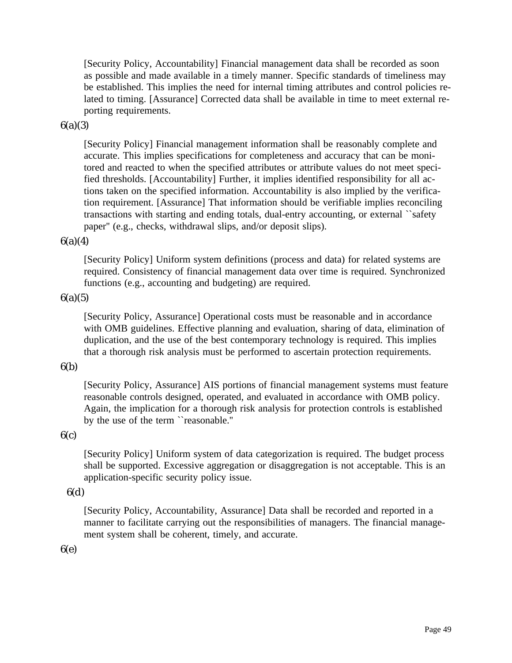[Security Policy, Accountability] Financial management data shall be recorded as soon as possible and made available in a timely manner. Specific standards of timeliness may be established. This implies the need for internal timing attributes and control policies related to timing. [Assurance] Corrected data shall be available in time to meet external reporting requirements.

#### 6(a)(3)

[Security Policy] Financial management information shall be reasonably complete and accurate. This implies specifications for completeness and accuracy that can be monitored and reacted to when the specified attributes or attribute values do not meet specified thresholds. [Accountability] Further, it implies identified responsibility for all actions taken on the specified information. Accountability is also implied by the verification requirement. [Assurance] That information should be verifiable implies reconciling transactions with starting and ending totals, dual-entry accounting, or external ``safety paper'' (e.g., checks, withdrawal slips, and/or deposit slips).

#### $6(a)(4)$

[Security Policy] Uniform system definitions (process and data) for related systems are required. Consistency of financial management data over time is required. Synchronized functions (e.g., accounting and budgeting) are required.

#### $6(a)(5)$

[Security Policy, Assurance] Operational costs must be reasonable and in accordance with OMB guidelines. Effective planning and evaluation, sharing of data, elimination of duplication, and the use of the best contemporary technology is required. This implies that a thorough risk analysis must be performed to ascertain protection requirements.

# 6(b)

[Security Policy, Assurance] AIS portions of financial management systems must feature reasonable controls designed, operated, and evaluated in accordance with OMB policy. Again, the implication for a thorough risk analysis for protection controls is established by the use of the term ``reasonable.''

#### $6(c)$

[Security Policy] Uniform system of data categorization is required. The budget process shall be supported. Excessive aggregation or disaggregation is not acceptable. This is an application-specific security policy issue.

#### 6(d)

[Security Policy, Accountability, Assurance] Data shall be recorded and reported in a manner to facilitate carrying out the responsibilities of managers. The financial management system shall be coherent, timely, and accurate.

#### 6(e)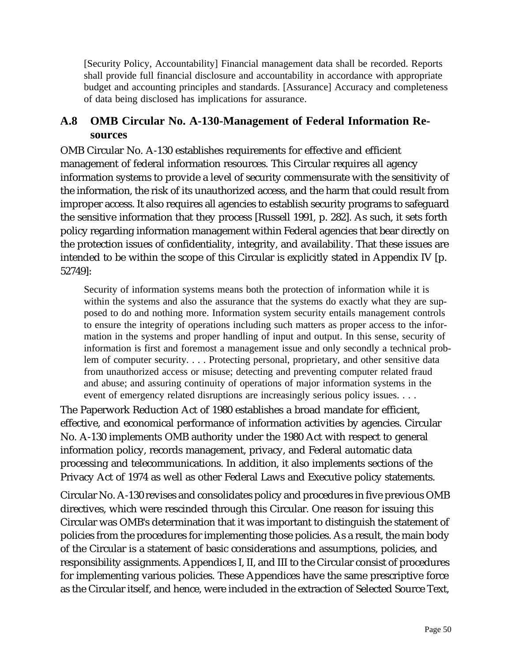[Security Policy, Accountability] Financial management data shall be recorded. Reports shall provide full financial disclosure and accountability in accordance with appropriate budget and accounting principles and standards. [Assurance] Accuracy and completeness of data being disclosed has implications for assurance.

# **A.8 OMB Circular No. A-130-Management of Federal Information Resources**

OMB Circular No. A-130 establishes requirements for effective and efficient management of federal information resources. This Circular requires all agency information systems to provide a level of security commensurate with the sensitivity of the information, the risk of its unauthorized access, and the harm that could result from improper access. It also requires all agencies to establish security programs to safeguard the sensitive information that they process [Russell 1991, p. 282]. As such, it sets forth policy regarding information management within Federal agencies that bear directly on the protection issues of confidentiality, integrity, and availability. That these issues are intended to be within the scope of this Circular is explicitly stated in Appendix IV [p. 52749]:

Security of information systems means both the protection of information while it is within the systems and also the assurance that the systems do exactly what they are supposed to do and nothing more. Information system security entails management controls to ensure the integrity of operations including such matters as proper access to the information in the systems and proper handling of input and output. In this sense, security of information is first and foremost a management issue and only secondly a technical problem of computer security. . . . Protecting personal, proprietary, and other sensitive data from unauthorized access or misuse; detecting and preventing computer related fraud and abuse; and assuring continuity of operations of major information systems in the event of emergency related disruptions are increasingly serious policy issues. . . .

The Paperwork Reduction Act of 1980 establishes a broad mandate for efficient, effective, and economical performance of information activities by agencies. Circular No. A-130 implements OMB authority under the 1980 Act with respect to general information policy, records management, privacy, and Federal automatic data processing and telecommunications. In addition, it also implements sections of the Privacy Act of 1974 as well as other Federal Laws and Executive policy statements.

Circular No. A-130 revises and consolidates policy and procedures in five previous OMB directives, which were rescinded through this Circular. One reason for issuing this Circular was OMB's determination that it was important to distinguish the statement of policies from the procedures for implementing those policies. As a result, the main body of the Circular is a statement of basic considerations and assumptions, policies, and responsibility assignments. Appendices I, II, and III to the Circular consist of procedures for implementing various policies. These Appendices have the same prescriptive force as the Circular itself, and hence, were included in the extraction of Selected Source Text,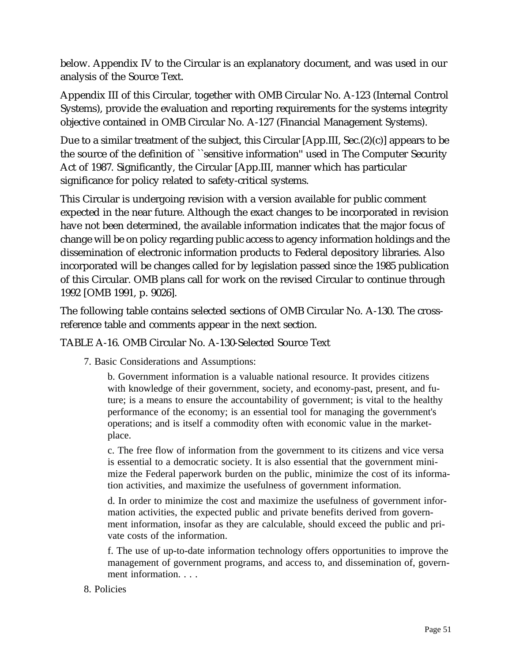below. Appendix IV to the Circular is an explanatory document, and was used in our analysis of the Source Text.

Appendix III of this Circular, together with OMB Circular No. A-123 (Internal Control Systems), provide the evaluation and reporting requirements for the systems integrity objective contained in OMB Circular No. A-127 (Financial Management Systems).

Due to a similar treatment of the subject, this Circular [App.III, Sec.(2)(c)] appears to be the source of the definition of ``sensitive information'' used in The Computer Security Act of 1987. Significantly, the Circular [App.III, manner which has particular significance for policy related to safety-critical systems.

This Circular is undergoing revision with a version available for public comment expected in the near future. Although the exact changes to be incorporated in revision have not been determined, the available information indicates that the major focus of change will be on policy regarding public access to agency information holdings and the dissemination of electronic information products to Federal depository libraries. Also incorporated will be changes called for by legislation passed since the 1985 publication of this Circular. OMB plans call for work on the revised Circular to continue through 1992 [OMB 1991, p. 9026].

The following table contains selected sections of OMB Circular No. A-130. The crossreference table and comments appear in the next section.

# TABLE A-16. OMB Circular No. A-130-Selected Source Text

7. Basic Considerations and Assumptions:

b. Government information is a valuable national resource. It provides citizens with knowledge of their government, society, and economy-past, present, and future; is a means to ensure the accountability of government; is vital to the healthy performance of the economy; is an essential tool for managing the government's operations; and is itself a commodity often with economic value in the marketplace.

c. The free flow of information from the government to its citizens and vice versa is essential to a democratic society. It is also essential that the government minimize the Federal paperwork burden on the public, minimize the cost of its information activities, and maximize the usefulness of government information.

d. In order to minimize the cost and maximize the usefulness of government information activities, the expected public and private benefits derived from government information, insofar as they are calculable, should exceed the public and private costs of the information.

f. The use of up-to-date information technology offers opportunities to improve the management of government programs, and access to, and dissemination of, government information. . . .

# 8. Policies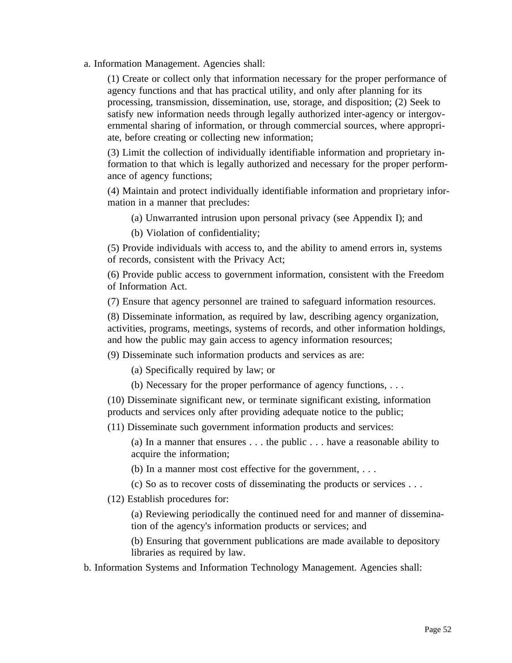a. Information Management. Agencies shall:

(1) Create or collect only that information necessary for the proper performance of agency functions and that has practical utility, and only after planning for its processing, transmission, dissemination, use, storage, and disposition; (2) Seek to satisfy new information needs through legally authorized inter-agency or intergovernmental sharing of information, or through commercial sources, where appropriate, before creating or collecting new information;

(3) Limit the collection of individually identifiable information and proprietary information to that which is legally authorized and necessary for the proper performance of agency functions;

(4) Maintain and protect individually identifiable information and proprietary information in a manner that precludes:

(a) Unwarranted intrusion upon personal privacy (see Appendix I); and

(b) Violation of confidentiality;

(5) Provide individuals with access to, and the ability to amend errors in, systems of records, consistent with the Privacy Act;

(6) Provide public access to government information, consistent with the Freedom of Information Act.

(7) Ensure that agency personnel are trained to safeguard information resources.

(8) Disseminate information, as required by law, describing agency organization, activities, programs, meetings, systems of records, and other information holdings, and how the public may gain access to agency information resources;

(9) Disseminate such information products and services as are:

(a) Specifically required by law; or

(b) Necessary for the proper performance of agency functions, . . .

(10) Disseminate significant new, or terminate significant existing, information products and services only after providing adequate notice to the public;

(11) Disseminate such government information products and services:

(a) In a manner that ensures . . . the public . . . have a reasonable ability to acquire the information;

(b) In a manner most cost effective for the government, . . .

(c) So as to recover costs of disseminating the products or services . . .

(12) Establish procedures for:

(a) Reviewing periodically the continued need for and manner of dissemination of the agency's information products or services; and

(b) Ensuring that government publications are made available to depository libraries as required by law.

b. Information Systems and Information Technology Management. Agencies shall: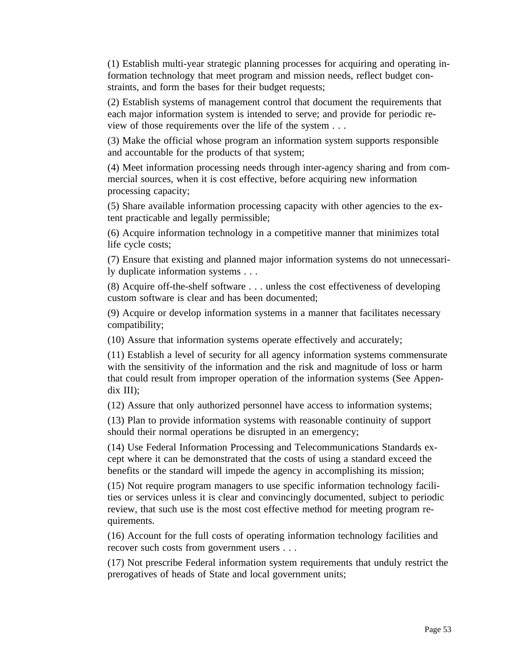(1) Establish multi-year strategic planning processes for acquiring and operating information technology that meet program and mission needs, reflect budget constraints, and form the bases for their budget requests;

(2) Establish systems of management control that document the requirements that each major information system is intended to serve; and provide for periodic review of those requirements over the life of the system . . .

(3) Make the official whose program an information system supports responsible and accountable for the products of that system;

(4) Meet information processing needs through inter-agency sharing and from commercial sources, when it is cost effective, before acquiring new information processing capacity;

(5) Share available information processing capacity with other agencies to the extent practicable and legally permissible;

(6) Acquire information technology in a competitive manner that minimizes total life cycle costs;

(7) Ensure that existing and planned major information systems do not unnecessarily duplicate information systems . . .

(8) Acquire off-the-shelf software . . . unless the cost effectiveness of developing custom software is clear and has been documented;

(9) Acquire or develop information systems in a manner that facilitates necessary compatibility;

(10) Assure that information systems operate effectively and accurately;

(11) Establish a level of security for all agency information systems commensurate with the sensitivity of the information and the risk and magnitude of loss or harm that could result from improper operation of the information systems (See Appendix III);

(12) Assure that only authorized personnel have access to information systems;

(13) Plan to provide information systems with reasonable continuity of support should their normal operations be disrupted in an emergency;

(14) Use Federal Information Processing and Telecommunications Standards except where it can be demonstrated that the costs of using a standard exceed the benefits or the standard will impede the agency in accomplishing its mission;

(15) Not require program managers to use specific information technology facilities or services unless it is clear and convincingly documented, subject to periodic review, that such use is the most cost effective method for meeting program requirements.

(16) Account for the full costs of operating information technology facilities and recover such costs from government users . . .

(17) Not prescribe Federal information system requirements that unduly restrict the prerogatives of heads of State and local government units;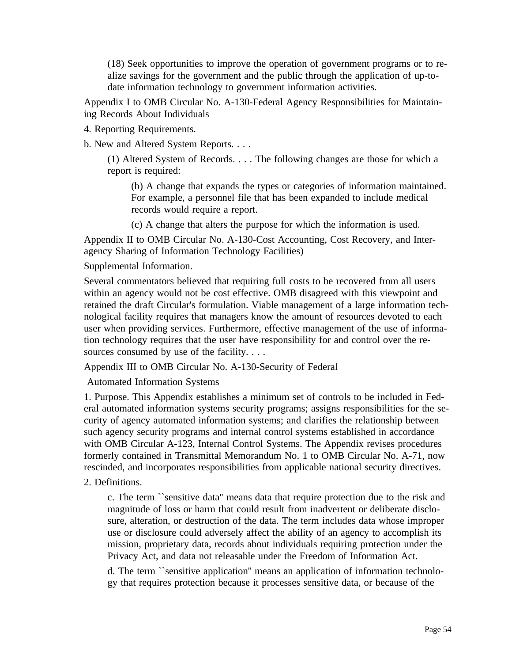(18) Seek opportunities to improve the operation of government programs or to realize savings for the government and the public through the application of up-todate information technology to government information activities.

Appendix I to OMB Circular No. A-130-Federal Agency Responsibilities for Maintaining Records About Individuals

4. Reporting Requirements.

b. New and Altered System Reports. . . .

(1) Altered System of Records. . . . The following changes are those for which a report is required:

(b) A change that expands the types or categories of information maintained. For example, a personnel file that has been expanded to include medical records would require a report.

(c) A change that alters the purpose for which the information is used.

Appendix II to OMB Circular No. A-130-Cost Accounting, Cost Recovery, and Interagency Sharing of Information Technology Facilities)

Supplemental Information.

Several commentators believed that requiring full costs to be recovered from all users within an agency would not be cost effective. OMB disagreed with this viewpoint and retained the draft Circular's formulation. Viable management of a large information technological facility requires that managers know the amount of resources devoted to each user when providing services. Furthermore, effective management of the use of information technology requires that the user have responsibility for and control over the resources consumed by use of the facility. . . .

Appendix III to OMB Circular No. A-130-Security of Federal

Automated Information Systems

1. Purpose. This Appendix establishes a minimum set of controls to be included in Federal automated information systems security programs; assigns responsibilities for the security of agency automated information systems; and clarifies the relationship between such agency security programs and internal control systems established in accordance with OMB Circular A-123, Internal Control Systems. The Appendix revises procedures formerly contained in Transmittal Memorandum No. 1 to OMB Circular No. A-71, now rescinded, and incorporates responsibilities from applicable national security directives.

2. Definitions.

c. The term ``sensitive data'' means data that require protection due to the risk and magnitude of loss or harm that could result from inadvertent or deliberate disclosure, alteration, or destruction of the data. The term includes data whose improper use or disclosure could adversely affect the ability of an agency to accomplish its mission, proprietary data, records about individuals requiring protection under the Privacy Act, and data not releasable under the Freedom of Information Act.

d. The term ``sensitive application'' means an application of information technology that requires protection because it processes sensitive data, or because of the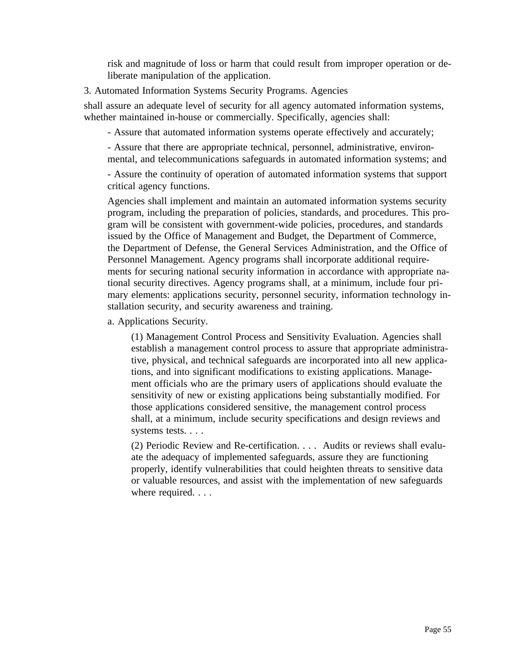risk and magnitude of loss or harm that could result from improper operation or deliberate manipulation of the application.

3. Automated Information Systems Security Programs. Agencies

shall assure an adequate level of security for all agency automated information systems, whether maintained in-house or commercially. Specifically, agencies shall:

- Assure that automated information systems operate effectively and accurately;

- Assure that there are appropriate technical, personnel, administrative, environmental, and telecommunications safeguards in automated information systems; and

- Assure the continuity of operation of automated information systems that support critical agency functions.

Agencies shall implement and maintain an automated information systems security program, including the preparation of policies, standards, and procedures. This program will be consistent with government-wide policies, procedures, and standards issued by the Office of Management and Budget, the Department of Commerce, the Department of Defense, the General Services Administration, and the Office of Personnel Management. Agency programs shall incorporate additional requirements for securing national security information in accordance with appropriate national security directives. Agency programs shall, at a minimum, include four primary elements: applications security, personnel security, information technology installation security, and security awareness and training.

a. Applications Security.

(1) Management Control Process and Sensitivity Evaluation. Agencies shall establish a management control process to assure that appropriate administrative, physical, and technical safeguards are incorporated into all new applications, and into significant modifications to existing applications. Management officials who are the primary users of applications should evaluate the sensitivity of new or existing applications being substantially modified. For those applications considered sensitive, the management control process shall, at a minimum, include security specifications and design reviews and systems tests. . . .

(2) Periodic Review and Re-certification. . . . Audits or reviews shall evaluate the adequacy of implemented safeguards, assure they are functioning properly, identify vulnerabilities that could heighten threats to sensitive data or valuable resources, and assist with the implementation of new safeguards where required. . . .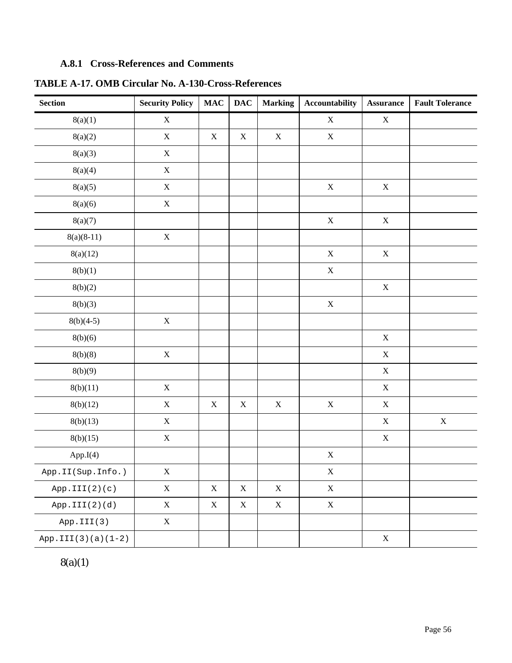# **A.8.1 Cross-References and Comments**

| <b>Section</b>       | <b>Security Policy</b> | $\mathbf{MAC}$ | <b>DAC</b>  | <b>Marking</b> | <b>Accountability</b> | <b>Assurance</b>          | <b>Fault Tolerance</b> |
|----------------------|------------------------|----------------|-------------|----------------|-----------------------|---------------------------|------------------------|
| 8(a)(1)              | $\mathbf X$            |                |             |                | $\mathbf X$           | $\mathbf X$               |                        |
| 8(a)(2)              | $\mathbf X$            | $\mathbf X$    | $\mathbf X$ | $\mathbf X$    | $\mathbf X$           |                           |                        |
| 8(a)(3)              | $\mathbf X$            |                |             |                |                       |                           |                        |
| 8(a)(4)              | $\mathbf X$            |                |             |                |                       |                           |                        |
| 8(a)(5)              | $\mathbf X$            |                |             |                | $\mathbf X$           | $\mathbf X$               |                        |
| 8(a)(6)              | $\mathbf X$            |                |             |                |                       |                           |                        |
| 8(a)(7)              |                        |                |             |                | $\mathbf X$           | $\mathbf X$               |                        |
| $8(a)(8-11)$         | $\mathbf X$            |                |             |                |                       |                           |                        |
| 8(a)(12)             |                        |                |             |                | $\mathbf X$           | $\mathbf X$               |                        |
| 8(b)(1)              |                        |                |             |                | $\mathbf X$           |                           |                        |
| 8(b)(2)              |                        |                |             |                |                       | $\mathbf X$               |                        |
| 8(b)(3)              |                        |                |             |                | $\mathbf X$           |                           |                        |
| $8(b)(4-5)$          | $\mathbf X$            |                |             |                |                       |                           |                        |
| 8(b)(6)              |                        |                |             |                |                       | $\mathbf X$               |                        |
| 8(b)(8)              | $\mathbf X$            |                |             |                |                       | $\mathbf X$               |                        |
| 8(b)(9)              |                        |                |             |                |                       | $\mathbf X$               |                        |
| 8(b)(11)             | $\mathbf X$            |                |             |                |                       | $\mathbf X$               |                        |
| 8(b)(12)             | $\mathbf X$            | $\mathbf X$    | $\mathbf X$ | $\mathbf X$    | $\mathbf X$           | $\mathbf X$               |                        |
| 8(b)(13)             | $\mathbf X$            |                |             |                |                       | $\mathbf X$               | $\mathbf X$            |
| 8(b)(15)             | $\mathbf X$            |                |             |                |                       | $\mathbf X$               |                        |
| App.I(4)             |                        |                |             |                | $\mathbf X$           |                           |                        |
| App.II(Sup.Info.)    | $\mathbf X$            |                |             |                | $\mathbf X$           |                           |                        |
| App.III(2)(c)        | $\mathbf X$            | $\mathbf X$    | $\mathbf X$ | $\mathbf X$    | $\mathbf X$           |                           |                        |
| App.III(2)(d)        | $\mathbf X$            | $\mathbf X$    | $\mathbf X$ | $\mathbf X$    | $\mathbf X$           |                           |                        |
| App.III(3)           | $\mathbf X$            |                |             |                |                       |                           |                        |
| $App.III(3)(a)(1-2)$ |                        |                |             |                |                       | $\boldsymbol{\mathrm{X}}$ |                        |

**TABLE A-17. OMB Circular No. A-130-Cross-References**

 $8(a)(1)$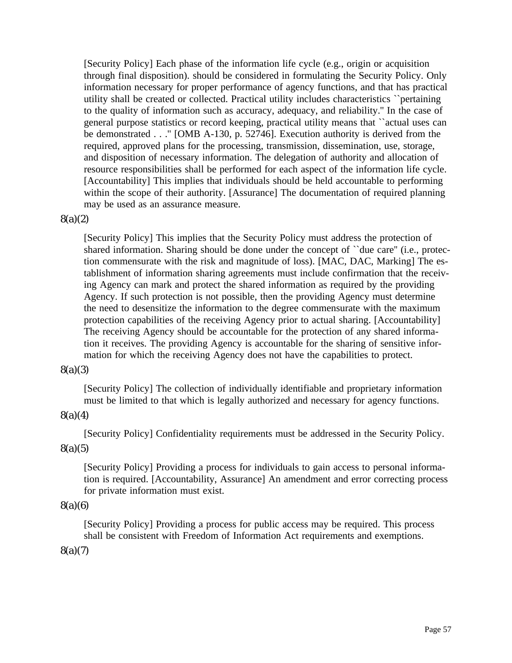[Security Policy] Each phase of the information life cycle (e.g., origin or acquisition through final disposition). should be considered in formulating the Security Policy. Only information necessary for proper performance of agency functions, and that has practical utility shall be created or collected. Practical utility includes characteristics ``pertaining to the quality of information such as accuracy, adequacy, and reliability.'' In the case of general purpose statistics or record keeping, practical utility means that ``actual uses can be demonstrated . . .'' [OMB A-130, p. 52746]. Execution authority is derived from the required, approved plans for the processing, transmission, dissemination, use, storage, and disposition of necessary information. The delegation of authority and allocation of resource responsibilities shall be performed for each aspect of the information life cycle. [Accountability] This implies that individuals should be held accountable to performing within the scope of their authority. [Assurance] The documentation of required planning may be used as an assurance measure.

#### 8(a)(2)

[Security Policy] This implies that the Security Policy must address the protection of shared information. Sharing should be done under the concept of ``due care'' (i.e., protection commensurate with the risk and magnitude of loss). [MAC, DAC, Marking] The establishment of information sharing agreements must include confirmation that the receiving Agency can mark and protect the shared information as required by the providing Agency. If such protection is not possible, then the providing Agency must determine the need to desensitize the information to the degree commensurate with the maximum protection capabilities of the receiving Agency prior to actual sharing. [Accountability] The receiving Agency should be accountable for the protection of any shared information it receives. The providing Agency is accountable for the sharing of sensitive information for which the receiving Agency does not have the capabilities to protect.

#### 8(a)(3)

[Security Policy] The collection of individually identifiable and proprietary information must be limited to that which is legally authorized and necessary for agency functions.

#### 8(a)(4)

[Security Policy] Confidentiality requirements must be addressed in the Security Policy.

# 8(a)(5)

[Security Policy] Providing a process for individuals to gain access to personal information is required. [Accountability, Assurance] An amendment and error correcting process for private information must exist.

#### 8(a)(6)

[Security Policy] Providing a process for public access may be required. This process shall be consistent with Freedom of Information Act requirements and exemptions.

#### 8(a)(7)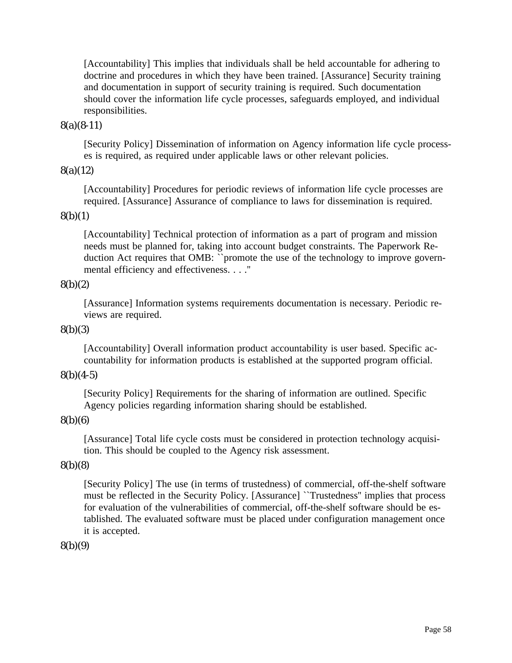[Accountability] This implies that individuals shall be held accountable for adhering to doctrine and procedures in which they have been trained. [Assurance] Security training and documentation in support of security training is required. Such documentation should cover the information life cycle processes, safeguards employed, and individual responsibilities.

#### 8(a)(8-11)

[Security Policy] Dissemination of information on Agency information life cycle processes is required, as required under applicable laws or other relevant policies.

### 8(a)(12)

[Accountability] Procedures for periodic reviews of information life cycle processes are required. [Assurance] Assurance of compliance to laws for dissemination is required.

#### $8(b)(1)$

[Accountability] Technical protection of information as a part of program and mission needs must be planned for, taking into account budget constraints. The Paperwork Reduction Act requires that OMB: ``promote the use of the technology to improve governmental efficiency and effectiveness. . . .''

### 8(b)(2)

[Assurance] Information systems requirements documentation is necessary. Periodic reviews are required.

#### 8(b)(3)

[Accountability] Overall information product accountability is user based. Specific accountability for information products is established at the supported program official.

#### $8(b)(4-5)$

[Security Policy] Requirements for the sharing of information are outlined. Specific Agency policies regarding information sharing should be established.

#### 8(b)(6)

[Assurance] Total life cycle costs must be considered in protection technology acquisition. This should be coupled to the Agency risk assessment.

#### 8(b)(8)

[Security Policy] The use (in terms of trustedness) of commercial, off-the-shelf software must be reflected in the Security Policy. [Assurance] ``Trustedness'' implies that process for evaluation of the vulnerabilities of commercial, off-the-shelf software should be established. The evaluated software must be placed under configuration management once it is accepted.

#### 8(b)(9)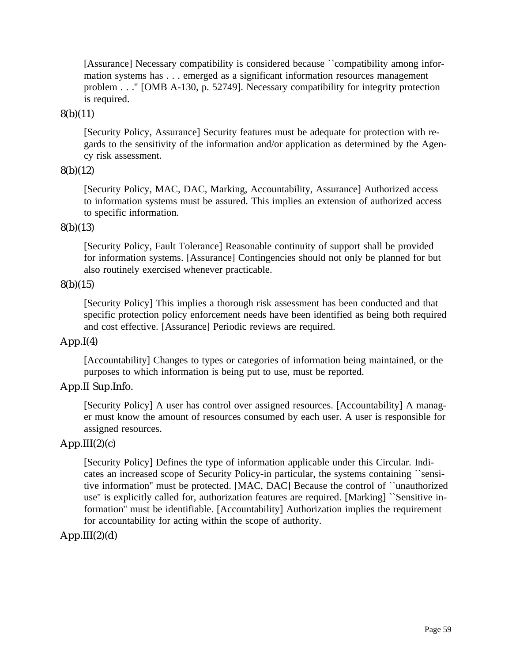[Assurance] Necessary compatibility is considered because ``compatibility among information systems has . . . emerged as a significant information resources management problem . . .'' [OMB A-130, p. 52749]. Necessary compatibility for integrity protection is required.

#### 8(b)(11)

[Security Policy, Assurance] Security features must be adequate for protection with regards to the sensitivity of the information and/or application as determined by the Agency risk assessment.

#### 8(b)(12)

[Security Policy, MAC, DAC, Marking, Accountability, Assurance] Authorized access to information systems must be assured. This implies an extension of authorized access to specific information.

#### 8(b)(13)

[Security Policy, Fault Tolerance] Reasonable continuity of support shall be provided for information systems. [Assurance] Contingencies should not only be planned for but also routinely exercised whenever practicable.

#### 8(b)(15)

[Security Policy] This implies a thorough risk assessment has been conducted and that specific protection policy enforcement needs have been identified as being both required and cost effective. [Assurance] Periodic reviews are required.

## $App.I(4)$

[Accountability] Changes to types or categories of information being maintained, or the purposes to which information is being put to use, must be reported.

# App.II Sup.Info.

[Security Policy] A user has control over assigned resources. [Accountability] A manager must know the amount of resources consumed by each user. A user is responsible for assigned resources.

#### $App.III(2)(c)$

[Security Policy] Defines the type of information applicable under this Circular. Indicates an increased scope of Security Policy-in particular, the systems containing ``sensitive information'' must be protected. [MAC, DAC] Because the control of ``unauthorized use'' is explicitly called for, authorization features are required. [Marking] ``Sensitive information'' must be identifiable. [Accountability] Authorization implies the requirement for accountability for acting within the scope of authority.

## $App.III(2)(d)$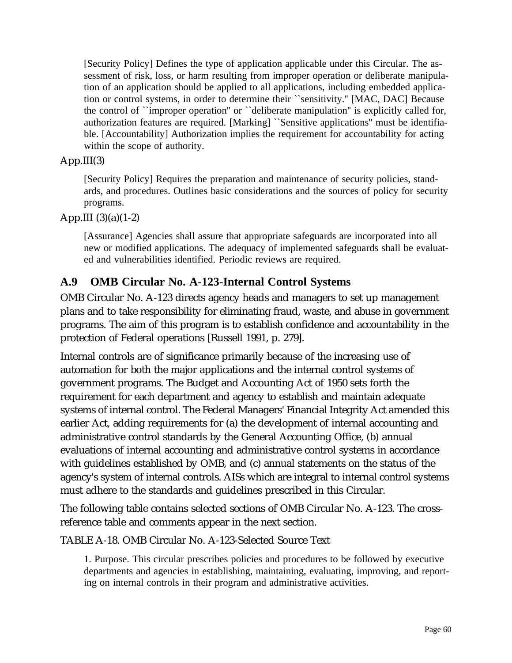[Security Policy] Defines the type of application applicable under this Circular. The assessment of risk, loss, or harm resulting from improper operation or deliberate manipulation of an application should be applied to all applications, including embedded application or control systems, in order to determine their ``sensitivity.'' [MAC, DAC] Because the control of ``improper operation'' or ``deliberate manipulation'' is explicitly called for, authorization features are required. [Marking] ``Sensitive applications'' must be identifiable. [Accountability] Authorization implies the requirement for accountability for acting within the scope of authority.

# App.III(3)

[Security Policy] Requires the preparation and maintenance of security policies, standards, and procedures. Outlines basic considerations and the sources of policy for security programs.

# App.III  $(3)(a)(1-2)$

[Assurance] Agencies shall assure that appropriate safeguards are incorporated into all new or modified applications. The adequacy of implemented safeguards shall be evaluated and vulnerabilities identified. Periodic reviews are required.

# **A.9 OMB Circular No. A-123-Internal Control Systems**

OMB Circular No. A-123 directs agency heads and managers to set up management plans and to take responsibility for eliminating fraud, waste, and abuse in government programs. The aim of this program is to establish confidence and accountability in the protection of Federal operations [Russell 1991, p. 279].

Internal controls are of significance primarily because of the increasing use of automation for both the major applications and the internal control systems of government programs. The Budget and Accounting Act of 1950 sets forth the requirement for each department and agency to establish and maintain adequate systems of internal control. The Federal Managers' Financial Integrity Act amended this earlier Act, adding requirements for (a) the development of internal accounting and administrative control standards by the General Accounting Office, (b) annual evaluations of internal accounting and administrative control systems in accordance with guidelines established by OMB, and (c) annual statements on the status of the agency's system of internal controls. AISs which are integral to internal control systems must adhere to the standards and guidelines prescribed in this Circular.

The following table contains selected sections of OMB Circular No. A-123. The crossreference table and comments appear in the next section.

TABLE A-18. OMB Circular No. A-123-Selected Source Text

1. Purpose. This circular prescribes policies and procedures to be followed by executive departments and agencies in establishing, maintaining, evaluating, improving, and reporting on internal controls in their program and administrative activities.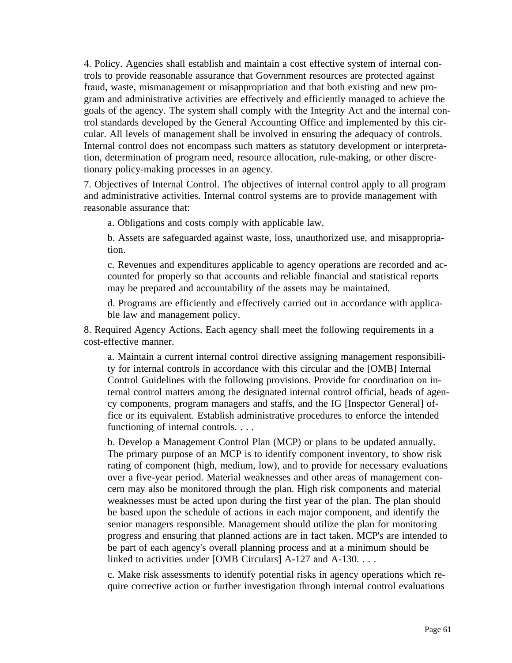4. Policy. Agencies shall establish and maintain a cost effective system of internal controls to provide reasonable assurance that Government resources are protected against fraud, waste, mismanagement or misappropriation and that both existing and new program and administrative activities are effectively and efficiently managed to achieve the goals of the agency. The system shall comply with the Integrity Act and the internal control standards developed by the General Accounting Office and implemented by this circular. All levels of management shall be involved in ensuring the adequacy of controls. Internal control does not encompass such matters as statutory development or interpretation, determination of program need, resource allocation, rule-making, or other discretionary policy-making processes in an agency.

7. Objectives of Internal Control. The objectives of internal control apply to all program and administrative activities. Internal control systems are to provide management with reasonable assurance that:

a. Obligations and costs comply with applicable law.

b. Assets are safeguarded against waste, loss, unauthorized use, and misappropriation.

c. Revenues and expenditures applicable to agency operations are recorded and accounted for properly so that accounts and reliable financial and statistical reports may be prepared and accountability of the assets may be maintained.

d. Programs are efficiently and effectively carried out in accordance with applicable law and management policy.

8. Required Agency Actions. Each agency shall meet the following requirements in a cost-effective manner.

a. Maintain a current internal control directive assigning management responsibility for internal controls in accordance with this circular and the [OMB] Internal Control Guidelines with the following provisions. Provide for coordination on internal control matters among the designated internal control official, heads of agency components, program managers and staffs, and the IG [Inspector General] office or its equivalent. Establish administrative procedures to enforce the intended functioning of internal controls. . . .

b. Develop a Management Control Plan (MCP) or plans to be updated annually. The primary purpose of an MCP is to identify component inventory, to show risk rating of component (high, medium, low), and to provide for necessary evaluations over a five-year period. Material weaknesses and other areas of management concern may also be monitored through the plan. High risk components and material weaknesses must be acted upon during the first year of the plan. The plan should be based upon the schedule of actions in each major component, and identify the senior managers responsible. Management should utilize the plan for monitoring progress and ensuring that planned actions are in fact taken. MCP's are intended to be part of each agency's overall planning process and at a minimum should be linked to activities under [OMB Circulars] A-127 and A-130. . . .

c. Make risk assessments to identify potential risks in agency operations which require corrective action or further investigation through internal control evaluations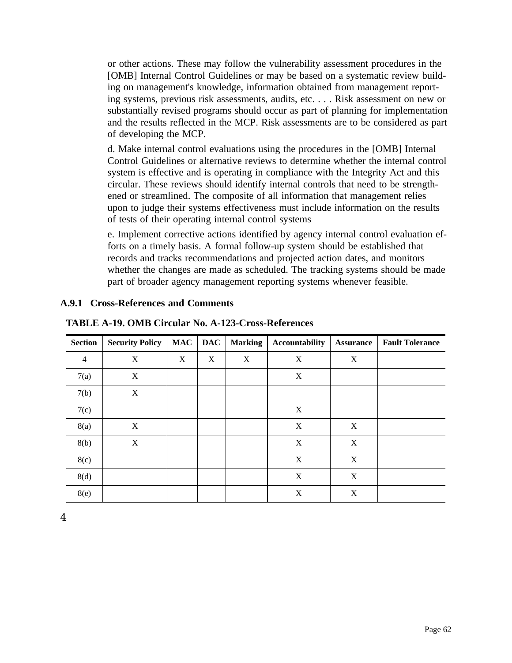or other actions. These may follow the vulnerability assessment procedures in the [OMB] Internal Control Guidelines or may be based on a systematic review building on management's knowledge, information obtained from management reporting systems, previous risk assessments, audits, etc. . . . Risk assessment on new or substantially revised programs should occur as part of planning for implementation and the results reflected in the MCP. Risk assessments are to be considered as part of developing the MCP.

d. Make internal control evaluations using the procedures in the [OMB] Internal Control Guidelines or alternative reviews to determine whether the internal control system is effective and is operating in compliance with the Integrity Act and this circular. These reviews should identify internal controls that need to be strengthened or streamlined. The composite of all information that management relies upon to judge their systems effectiveness must include information on the results of tests of their operating internal control systems

e. Implement corrective actions identified by agency internal control evaluation efforts on a timely basis. A formal follow-up system should be established that records and tracks recommendations and projected action dates, and monitors whether the changes are made as scheduled. The tracking systems should be made part of broader agency management reporting systems whenever feasible.

| <b>Section</b>           | <b>Security Policy</b> | <b>MAC</b> | <b>DAC</b> | <b>Marking</b> | <b>Accountability</b> | <b>Assurance</b> | <b>Fault Tolerance</b> |
|--------------------------|------------------------|------------|------------|----------------|-----------------------|------------------|------------------------|
| $\overline{\mathcal{A}}$ | X                      | X          | X          | X              | X                     | X                |                        |
| 7(a)                     | X                      |            |            |                | X                     |                  |                        |
| 7(b)                     | X                      |            |            |                |                       |                  |                        |
| 7(c)                     |                        |            |            |                | X                     |                  |                        |
| 8(a)                     | X                      |            |            |                | X                     | X                |                        |
| 8(b)                     | $\mathbf X$            |            |            |                | X                     | X                |                        |
| 8(c)                     |                        |            |            |                | X                     | X                |                        |
| 8(d)                     |                        |            |            |                | $\mathbf X$           | X                |                        |
| 8(e)                     |                        |            |            |                | X                     | $\boldsymbol{X}$ |                        |

# **A.9.1 Cross-References and Comments**

**TABLE A-19. OMB Circular No. A-123-Cross-References**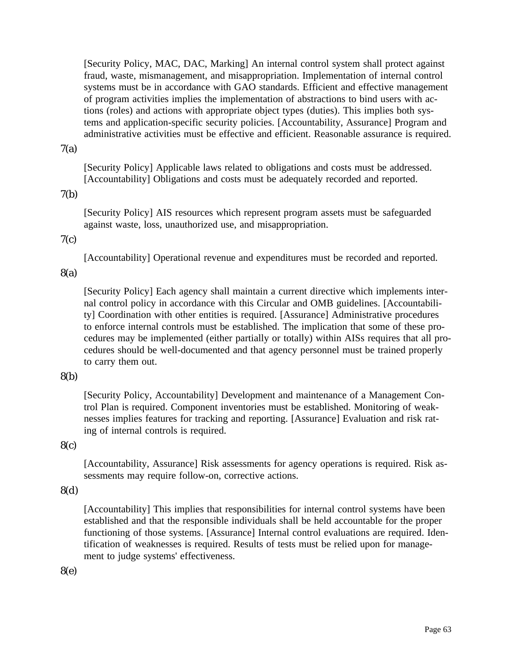[Security Policy, MAC, DAC, Marking] An internal control system shall protect against fraud, waste, mismanagement, and misappropriation. Implementation of internal control systems must be in accordance with GAO standards. Efficient and effective management of program activities implies the implementation of abstractions to bind users with actions (roles) and actions with appropriate object types (duties). This implies both systems and application-specific security policies. [Accountability, Assurance] Program and administrative activities must be effective and efficient. Reasonable assurance is required.

#### 7(a)

[Security Policy] Applicable laws related to obligations and costs must be addressed. [Accountability] Obligations and costs must be adequately recorded and reported.

#### 7(b)

[Security Policy] AIS resources which represent program assets must be safeguarded against waste, loss, unauthorized use, and misappropriation.

# 7(c)

[Accountability] Operational revenue and expenditures must be recorded and reported.

# 8(a)

[Security Policy] Each agency shall maintain a current directive which implements internal control policy in accordance with this Circular and OMB guidelines. [Accountability] Coordination with other entities is required. [Assurance] Administrative procedures to enforce internal controls must be established. The implication that some of these procedures may be implemented (either partially or totally) within AISs requires that all procedures should be well-documented and that agency personnel must be trained properly to carry them out.

# 8(b)

[Security Policy, Accountability] Development and maintenance of a Management Control Plan is required. Component inventories must be established. Monitoring of weaknesses implies features for tracking and reporting. [Assurance] Evaluation and risk rating of internal controls is required.

# 8(c)

[Accountability, Assurance] Risk assessments for agency operations is required. Risk assessments may require follow-on, corrective actions.

#### 8(d)

[Accountability] This implies that responsibilities for internal control systems have been established and that the responsible individuals shall be held accountable for the proper functioning of those systems. [Assurance] Internal control evaluations are required. Identification of weaknesses is required. Results of tests must be relied upon for management to judge systems' effectiveness.

# 8(e)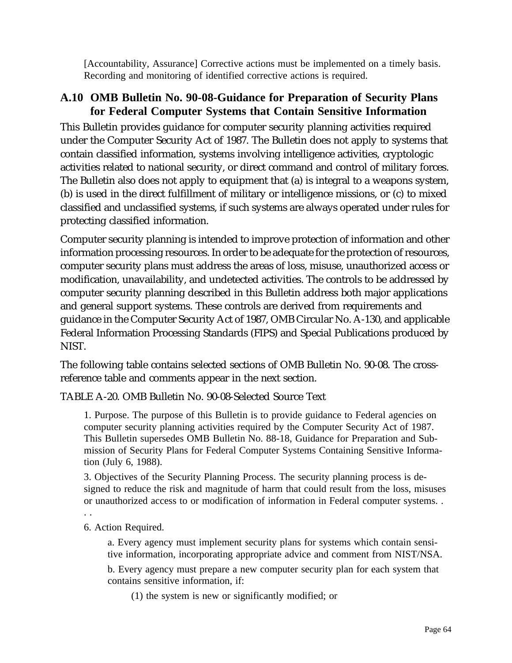[Accountability, Assurance] Corrective actions must be implemented on a timely basis. Recording and monitoring of identified corrective actions is required.

# **A.10 OMB Bulletin No. 90-08-Guidance for Preparation of Security Plans for Federal Computer Systems that Contain Sensitive Information**

This Bulletin provides guidance for computer security planning activities required under the Computer Security Act of 1987. The Bulletin does not apply to systems that contain classified information, systems involving intelligence activities, cryptologic activities related to national security, or direct command and control of military forces. The Bulletin also does not apply to equipment that (a) is integral to a weapons system, (b) is used in the direct fulfillment of military or intelligence missions, or (c) to mixed classified and unclassified systems, if such systems are always operated under rules for protecting classified information.

Computer security planning is intended to improve protection of information and other information processing resources. In order to be adequate for the protection of resources, computer security plans must address the areas of loss, misuse, unauthorized access or modification, unavailability, and undetected activities. The controls to be addressed by computer security planning described in this Bulletin address both major applications and general support systems. These controls are derived from requirements and guidance in the Computer Security Act of 1987, OMB Circular No. A-130, and applicable Federal Information Processing Standards (FIPS) and Special Publications produced by NIST.

The following table contains selected sections of OMB Bulletin No. 90-08. The crossreference table and comments appear in the next section.

TABLE A-20. OMB Bulletin No. 90-08-Selected Source Text

1. Purpose. The purpose of this Bulletin is to provide guidance to Federal agencies on computer security planning activities required by the Computer Security Act of 1987. This Bulletin supersedes OMB Bulletin No. 88-18, Guidance for Preparation and Submission of Security Plans for Federal Computer Systems Containing Sensitive Information (July 6, 1988).

3. Objectives of the Security Planning Process. The security planning process is designed to reduce the risk and magnitude of harm that could result from the loss, misuses or unauthorized access to or modification of information in Federal computer systems. .

. .

6. Action Required.

a. Every agency must implement security plans for systems which contain sensitive information, incorporating appropriate advice and comment from NIST/NSA.

b. Every agency must prepare a new computer security plan for each system that contains sensitive information, if:

(1) the system is new or significantly modified; or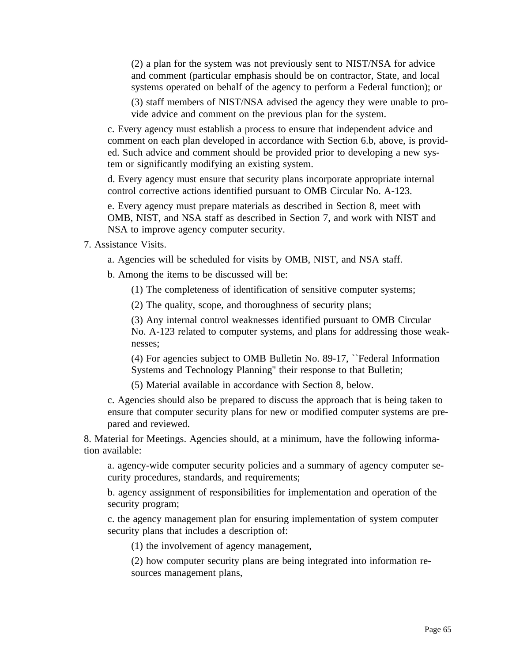(2) a plan for the system was not previously sent to NIST/NSA for advice and comment (particular emphasis should be on contractor, State, and local systems operated on behalf of the agency to perform a Federal function); or

(3) staff members of NIST/NSA advised the agency they were unable to provide advice and comment on the previous plan for the system.

c. Every agency must establish a process to ensure that independent advice and comment on each plan developed in accordance with Section 6.b, above, is provided. Such advice and comment should be provided prior to developing a new system or significantly modifying an existing system.

d. Every agency must ensure that security plans incorporate appropriate internal control corrective actions identified pursuant to OMB Circular No. A-123.

e. Every agency must prepare materials as described in Section 8, meet with OMB, NIST, and NSA staff as described in Section 7, and work with NIST and NSA to improve agency computer security.

7. Assistance Visits.

a. Agencies will be scheduled for visits by OMB, NIST, and NSA staff.

b. Among the items to be discussed will be:

(1) The completeness of identification of sensitive computer systems;

(2) The quality, scope, and thoroughness of security plans;

(3) Any internal control weaknesses identified pursuant to OMB Circular No. A-123 related to computer systems, and plans for addressing those weaknesses;

(4) For agencies subject to OMB Bulletin No. 89-17, ``Federal Information Systems and Technology Planning'' their response to that Bulletin;

(5) Material available in accordance with Section 8, below.

c. Agencies should also be prepared to discuss the approach that is being taken to ensure that computer security plans for new or modified computer systems are prepared and reviewed.

8. Material for Meetings. Agencies should, at a minimum, have the following information available:

a. agency-wide computer security policies and a summary of agency computer security procedures, standards, and requirements;

b. agency assignment of responsibilities for implementation and operation of the security program;

c. the agency management plan for ensuring implementation of system computer security plans that includes a description of:

(1) the involvement of agency management,

(2) how computer security plans are being integrated into information resources management plans,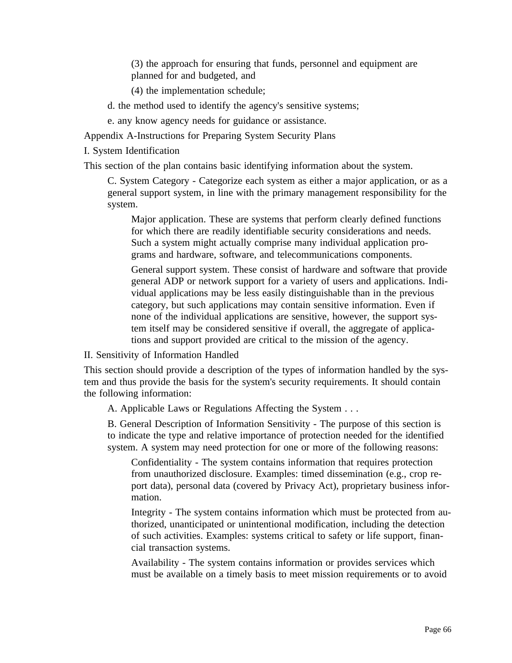(3) the approach for ensuring that funds, personnel and equipment are planned for and budgeted, and

(4) the implementation schedule;

- d. the method used to identify the agency's sensitive systems;
- e. any know agency needs for guidance or assistance.

Appendix A-Instructions for Preparing System Security Plans

I. System Identification

This section of the plan contains basic identifying information about the system.

C. System Category - Categorize each system as either a major application, or as a general support system, in line with the primary management responsibility for the system.

Major application. These are systems that perform clearly defined functions for which there are readily identifiable security considerations and needs. Such a system might actually comprise many individual application programs and hardware, software, and telecommunications components.

General support system. These consist of hardware and software that provide general ADP or network support for a variety of users and applications. Individual applications may be less easily distinguishable than in the previous category, but such applications may contain sensitive information. Even if none of the individual applications are sensitive, however, the support system itself may be considered sensitive if overall, the aggregate of applications and support provided are critical to the mission of the agency.

II. Sensitivity of Information Handled

This section should provide a description of the types of information handled by the system and thus provide the basis for the system's security requirements. It should contain the following information:

A. Applicable Laws or Regulations Affecting the System . . .

B. General Description of Information Sensitivity - The purpose of this section is to indicate the type and relative importance of protection needed for the identified system. A system may need protection for one or more of the following reasons:

Confidentiality - The system contains information that requires protection from unauthorized disclosure. Examples: timed dissemination (e.g., crop report data), personal data (covered by Privacy Act), proprietary business information.

Integrity - The system contains information which must be protected from authorized, unanticipated or unintentional modification, including the detection of such activities. Examples: systems critical to safety or life support, financial transaction systems.

Availability - The system contains information or provides services which must be available on a timely basis to meet mission requirements or to avoid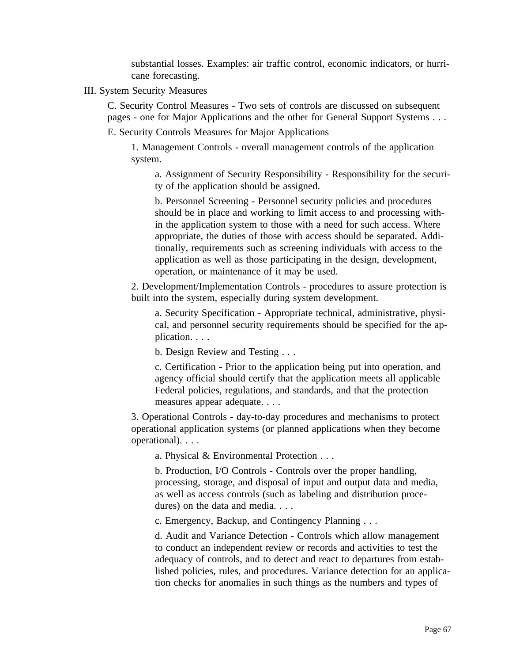substantial losses. Examples: air traffic control, economic indicators, or hurricane forecasting.

III. System Security Measures

C. Security Control Measures - Two sets of controls are discussed on subsequent pages - one for Major Applications and the other for General Support Systems . . .

E. Security Controls Measures for Major Applications

1. Management Controls - overall management controls of the application system.

a. Assignment of Security Responsibility - Responsibility for the security of the application should be assigned.

b. Personnel Screening - Personnel security policies and procedures should be in place and working to limit access to and processing within the application system to those with a need for such access. Where appropriate, the duties of those with access should be separated. Additionally, requirements such as screening individuals with access to the application as well as those participating in the design, development, operation, or maintenance of it may be used.

2. Development/Implementation Controls - procedures to assure protection is built into the system, especially during system development.

a. Security Specification - Appropriate technical, administrative, physical, and personnel security requirements should be specified for the application. . . .

b. Design Review and Testing . . .

c. Certification - Prior to the application being put into operation, and agency official should certify that the application meets all applicable Federal policies, regulations, and standards, and that the protection measures appear adequate. . . .

3. Operational Controls - day-to-day procedures and mechanisms to protect operational application systems (or planned applications when they become operational). . . .

a. Physical & Environmental Protection . . .

b. Production, I/O Controls - Controls over the proper handling, processing, storage, and disposal of input and output data and media, as well as access controls (such as labeling and distribution procedures) on the data and media. . . .

c. Emergency, Backup, and Contingency Planning . . .

d. Audit and Variance Detection - Controls which allow management to conduct an independent review or records and activities to test the adequacy of controls, and to detect and react to departures from established policies, rules, and procedures. Variance detection for an application checks for anomalies in such things as the numbers and types of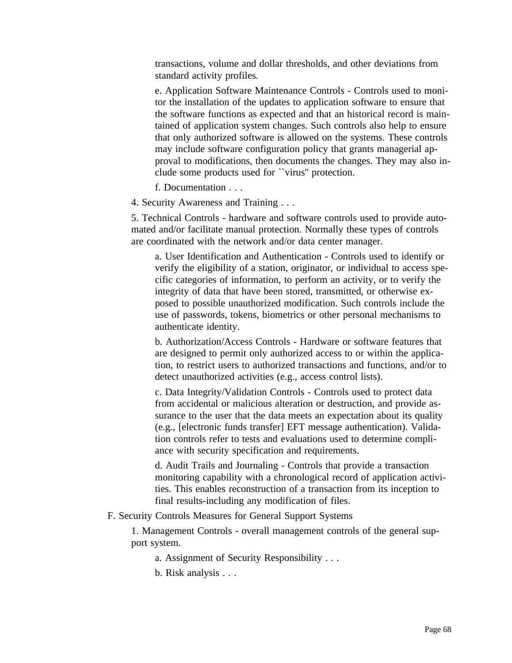transactions, volume and dollar thresholds, and other deviations from standard activity profiles.

e. Application Software Maintenance Controls - Controls used to monitor the installation of the updates to application software to ensure that the software functions as expected and that an historical record is maintained of application system changes. Such controls also help to ensure that only authorized software is allowed on the systems. These controls may include software configuration policy that grants managerial approval to modifications, then documents the changes. They may also include some products used for ``virus'' protection.

f. Documentation . . .

4. Security Awareness and Training . . .

5. Technical Controls - hardware and software controls used to provide automated and/or facilitate manual protection. Normally these types of controls are coordinated with the network and/or data center manager.

a. User Identification and Authentication - Controls used to identify or verify the eligibility of a station, originator, or individual to access specific categories of information, to perform an activity, or to verify the integrity of data that have been stored, transmitted, or otherwise exposed to possible unauthorized modification. Such controls include the use of passwords, tokens, biometrics or other personal mechanisms to authenticate identity.

b. Authorization/Access Controls - Hardware or software features that are designed to permit only authorized access to or within the application, to restrict users to authorized transactions and functions, and/or to detect unauthorized activities (e.g., access control lists).

c. Data Integrity/Validation Controls - Controls used to protect data from accidental or malicious alteration or destruction, and provide assurance to the user that the data meets an expectation about its quality (e.g., [electronic funds transfer] EFT message authentication). Validation controls refer to tests and evaluations used to determine compliance with security specification and requirements.

d. Audit Trails and Journaling - Controls that provide a transaction monitoring capability with a chronological record of application activities. This enables reconstruction of a transaction from its inception to final results-including any modification of files.

F. Security Controls Measures for General Support Systems

1. Management Controls - overall management controls of the general support system.

a. Assignment of Security Responsibility . . .

b. Risk analysis . . .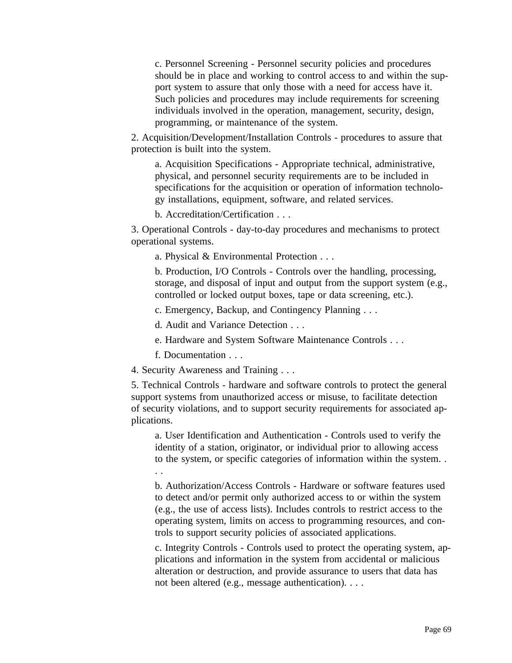c. Personnel Screening - Personnel security policies and procedures should be in place and working to control access to and within the support system to assure that only those with a need for access have it. Such policies and procedures may include requirements for screening individuals involved in the operation, management, security, design, programming, or maintenance of the system.

2. Acquisition/Development/Installation Controls - procedures to assure that protection is built into the system.

a. Acquisition Specifications - Appropriate technical, administrative, physical, and personnel security requirements are to be included in specifications for the acquisition or operation of information technology installations, equipment, software, and related services.

b. Accreditation/Certification . . .

3. Operational Controls - day-to-day procedures and mechanisms to protect operational systems.

a. Physical & Environmental Protection . . .

b. Production, I/O Controls - Controls over the handling, processing, storage, and disposal of input and output from the support system (e.g., controlled or locked output boxes, tape or data screening, etc.).

c. Emergency, Backup, and Contingency Planning . . .

d. Audit and Variance Detection . . .

e. Hardware and System Software Maintenance Controls . . .

f. Documentation . . .

4. Security Awareness and Training . . .

5. Technical Controls - hardware and software controls to protect the general support systems from unauthorized access or misuse, to facilitate detection of security violations, and to support security requirements for associated applications.

a. User Identification and Authentication - Controls used to verify the identity of a station, originator, or individual prior to allowing access to the system, or specific categories of information within the system. . . .

b. Authorization/Access Controls - Hardware or software features used to detect and/or permit only authorized access to or within the system (e.g., the use of access lists). Includes controls to restrict access to the operating system, limits on access to programming resources, and controls to support security policies of associated applications.

c. Integrity Controls - Controls used to protect the operating system, applications and information in the system from accidental or malicious alteration or destruction, and provide assurance to users that data has not been altered (e.g., message authentication). . . .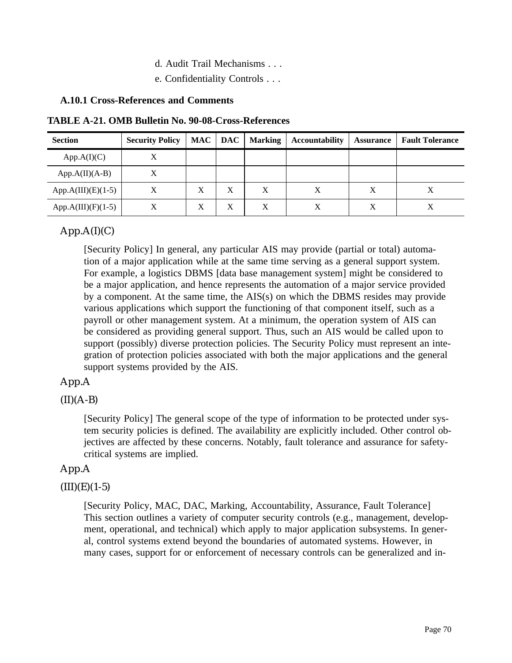- d. Audit Trail Mechanisms . . .
- e. Confidentiality Controls . . .

#### **A.10.1 Cross-References and Comments**

**TABLE A-21. OMB Bulletin No. 90-08-Cross-References**

| <b>Section</b>       | <b>Security Policy</b> | MAC | <b>DAC</b> | <b>Marking</b> | <b>Accountability</b> | <b>Assurance</b> | <b>Fault Tolerance</b> |
|----------------------|------------------------|-----|------------|----------------|-----------------------|------------------|------------------------|
| App.A(I)(C)          |                        |     |            |                |                       |                  |                        |
| $App.A(II)(A-B)$     | X                      |     |            |                |                       |                  |                        |
| $App.A(III)(E)(1-5)$ | Χ                      | X   | X          |                | Χ                     | X                |                        |
| $App.A(III)(F)(1-5)$ | Х                      | X   | X          | X              | Χ                     | X                |                        |

# $App.A(I)(C)$

[Security Policy] In general, any particular AIS may provide (partial or total) automation of a major application while at the same time serving as a general support system. For example, a logistics DBMS [data base management system] might be considered to be a major application, and hence represents the automation of a major service provided by a component. At the same time, the AIS(s) on which the DBMS resides may provide various applications which support the functioning of that component itself, such as a payroll or other management system. At a minimum, the operation system of AIS can be considered as providing general support. Thus, such an AIS would be called upon to support (possibly) diverse protection policies. The Security Policy must represent an integration of protection policies associated with both the major applications and the general support systems provided by the AIS.

# App.A

# $(II)(A-B)$

[Security Policy] The general scope of the type of information to be protected under system security policies is defined. The availability are explicitly included. Other control objectives are affected by these concerns. Notably, fault tolerance and assurance for safetycritical systems are implied.

# App.A

# $(III)(E)(1-5)$

[Security Policy, MAC, DAC, Marking, Accountability, Assurance, Fault Tolerance] This section outlines a variety of computer security controls (e.g., management, development, operational, and technical) which apply to major application subsystems. In general, control systems extend beyond the boundaries of automated systems. However, in many cases, support for or enforcement of necessary controls can be generalized and in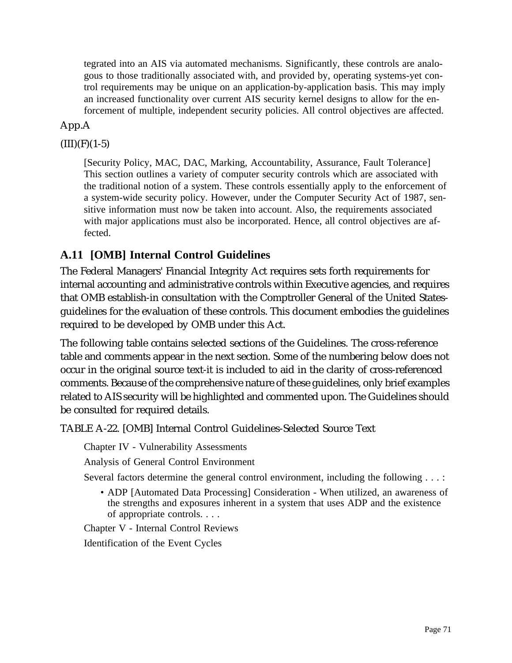tegrated into an AIS via automated mechanisms. Significantly, these controls are analogous to those traditionally associated with, and provided by, operating systems-yet control requirements may be unique on an application-by-application basis. This may imply an increased functionality over current AIS security kernel designs to allow for the enforcement of multiple, independent security policies. All control objectives are affected.

# App.A

# $(III)(F)(1-5)$

[Security Policy, MAC, DAC, Marking, Accountability, Assurance, Fault Tolerance] This section outlines a variety of computer security controls which are associated with the traditional notion of a system. These controls essentially apply to the enforcement of a system-wide security policy. However, under the Computer Security Act of 1987, sensitive information must now be taken into account. Also, the requirements associated with major applications must also be incorporated. Hence, all control objectives are affected.

# **A.11 [OMB] Internal Control Guidelines**

The Federal Managers' Financial Integrity Act requires sets forth requirements for internal accounting and administrative controls within Executive agencies, and requires that OMB establish-in consultation with the Comptroller General of the United Statesguidelines for the evaluation of these controls. This document embodies the guidelines required to be developed by OMB under this Act.

The following table contains selected sections of the Guidelines. The cross-reference table and comments appear in the next section. Some of the numbering below does not occur in the original source text-it is included to aid in the clarity of cross-referenced comments. Because of the comprehensive nature of these guidelines, only brief examples related to AIS security will be highlighted and commented upon. The Guidelines should be consulted for required details.

TABLE A-22. [OMB] Internal Control Guidelines-Selected Source Text

Chapter IV - Vulnerability Assessments

Analysis of General Control Environment

Several factors determine the general control environment, including the following . . . :

• ADP [Automated Data Processing] Consideration - When utilized, an awareness of the strengths and exposures inherent in a system that uses ADP and the existence of appropriate controls. . . .

Chapter V - Internal Control Reviews

Identification of the Event Cycles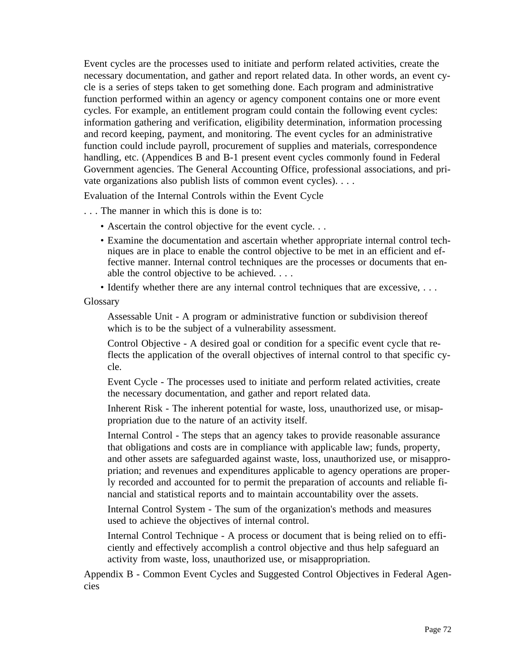Event cycles are the processes used to initiate and perform related activities, create the necessary documentation, and gather and report related data. In other words, an event cycle is a series of steps taken to get something done. Each program and administrative function performed within an agency or agency component contains one or more event cycles. For example, an entitlement program could contain the following event cycles: information gathering and verification, eligibility determination, information processing and record keeping, payment, and monitoring. The event cycles for an administrative function could include payroll, procurement of supplies and materials, correspondence handling, etc. (Appendices B and B-1 present event cycles commonly found in Federal Government agencies. The General Accounting Office, professional associations, and private organizations also publish lists of common event cycles). . . .

Evaluation of the Internal Controls within the Event Cycle

. . . The manner in which this is done is to:

- Ascertain the control objective for the event cycle. . .
- Examine the documentation and ascertain whether appropriate internal control techniques are in place to enable the control objective to be met in an efficient and effective manner. Internal control techniques are the processes or documents that enable the control objective to be achieved. . . .
- Identify whether there are any internal control techniques that are excessive, ...

Glossary

Assessable Unit - A program or administrative function or subdivision thereof which is to be the subject of a vulnerability assessment.

Control Objective - A desired goal or condition for a specific event cycle that reflects the application of the overall objectives of internal control to that specific cycle.

Event Cycle - The processes used to initiate and perform related activities, create the necessary documentation, and gather and report related data.

Inherent Risk - The inherent potential for waste, loss, unauthorized use, or misappropriation due to the nature of an activity itself.

Internal Control - The steps that an agency takes to provide reasonable assurance that obligations and costs are in compliance with applicable law; funds, property, and other assets are safeguarded against waste, loss, unauthorized use, or misappropriation; and revenues and expenditures applicable to agency operations are properly recorded and accounted for to permit the preparation of accounts and reliable financial and statistical reports and to maintain accountability over the assets.

Internal Control System - The sum of the organization's methods and measures used to achieve the objectives of internal control.

Internal Control Technique - A process or document that is being relied on to efficiently and effectively accomplish a control objective and thus help safeguard an activity from waste, loss, unauthorized use, or misappropriation.

Appendix B - Common Event Cycles and Suggested Control Objectives in Federal Agencies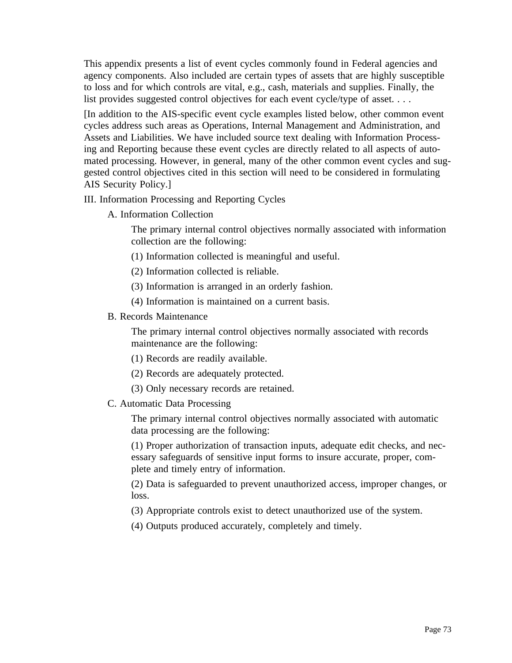This appendix presents a list of event cycles commonly found in Federal agencies and agency components. Also included are certain types of assets that are highly susceptible to loss and for which controls are vital, e.g., cash, materials and supplies. Finally, the list provides suggested control objectives for each event cycle/type of asset. . . .

[In addition to the AIS-specific event cycle examples listed below, other common event cycles address such areas as Operations, Internal Management and Administration, and Assets and Liabilities. We have included source text dealing with Information Processing and Reporting because these event cycles are directly related to all aspects of automated processing. However, in general, many of the other common event cycles and suggested control objectives cited in this section will need to be considered in formulating AIS Security Policy.]

#### III. Information Processing and Reporting Cycles

A. Information Collection

The primary internal control objectives normally associated with information collection are the following:

- (1) Information collected is meaningful and useful.
- (2) Information collected is reliable.
- (3) Information is arranged in an orderly fashion.
- (4) Information is maintained on a current basis.
- B. Records Maintenance

The primary internal control objectives normally associated with records maintenance are the following:

- (1) Records are readily available.
- (2) Records are adequately protected.
- (3) Only necessary records are retained.
- C. Automatic Data Processing

The primary internal control objectives normally associated with automatic data processing are the following:

(1) Proper authorization of transaction inputs, adequate edit checks, and necessary safeguards of sensitive input forms to insure accurate, proper, complete and timely entry of information.

(2) Data is safeguarded to prevent unauthorized access, improper changes, or loss.

(3) Appropriate controls exist to detect unauthorized use of the system.

(4) Outputs produced accurately, completely and timely.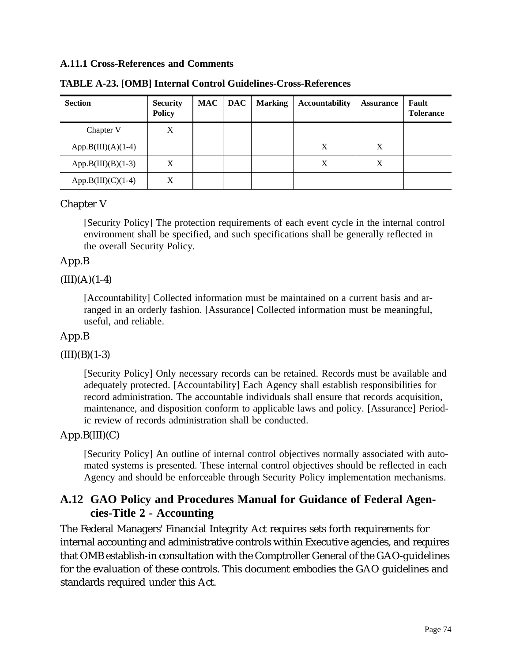#### **A.11.1 Cross-References and Comments**

| <b>Section</b>       | <b>Security</b><br><b>Policy</b> | <b>MAC</b> | <b>DAC</b> | <b>Marking</b> | <b>Accountability</b> | <b>Assurance</b> | Fault<br><b>Tolerance</b> |
|----------------------|----------------------------------|------------|------------|----------------|-----------------------|------------------|---------------------------|
| Chapter V            | Χ                                |            |            |                |                       |                  |                           |
| $App.B(III)(A)(1-4)$ |                                  |            |            |                | X                     | X                |                           |
| $App.B(III)(B)(1-3)$ | X                                |            |            |                | X                     | Χ                |                           |
| $App.B(III)(C)(1-4)$ | Х                                |            |            |                |                       |                  |                           |

**TABLE A-23. [OMB] Internal Control Guidelines-Cross-References**

# Chapter V

[Security Policy] The protection requirements of each event cycle in the internal control environment shall be specified, and such specifications shall be generally reflected in the overall Security Policy.

# App.B

 $(III)(A)(1-4)$ 

[Accountability] Collected information must be maintained on a current basis and arranged in an orderly fashion. [Assurance] Collected information must be meaningful, useful, and reliable.

# App.B

# $(III)(B)(1-3)$

[Security Policy] Only necessary records can be retained. Records must be available and adequately protected. [Accountability] Each Agency shall establish responsibilities for record administration. The accountable individuals shall ensure that records acquisition, maintenance, and disposition conform to applicable laws and policy. [Assurance] Periodic review of records administration shall be conducted.

# $App.B(III)(C)$

[Security Policy] An outline of internal control objectives normally associated with automated systems is presented. These internal control objectives should be reflected in each Agency and should be enforceable through Security Policy implementation mechanisms.

# **A.12 GAO Policy and Procedures Manual for Guidance of Federal Agencies-Title 2 - Accounting**

The Federal Managers' Financial Integrity Act requires sets forth requirements for internal accounting and administrative controls within Executive agencies, and requires that OMB establish-in consultation with the Comptroller General of the GAO-guidelines for the evaluation of these controls. This document embodies the GAO guidelines and standards required under this Act.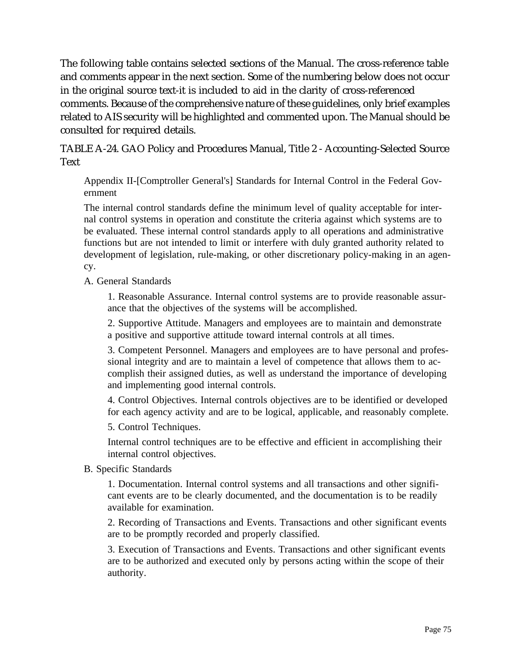The following table contains selected sections of the Manual. The cross-reference table and comments appear in the next section. Some of the numbering below does not occur in the original source text-it is included to aid in the clarity of cross-referenced comments. Because of the comprehensive nature of these guidelines, only brief examples related to AIS security will be highlighted and commented upon. The Manual should be consulted for required details.

TABLE A-24. GAO Policy and Procedures Manual, Title 2 - Accounting-Selected Source Text

Appendix II-[Comptroller General's] Standards for Internal Control in the Federal Government

The internal control standards define the minimum level of quality acceptable for internal control systems in operation and constitute the criteria against which systems are to be evaluated. These internal control standards apply to all operations and administrative functions but are not intended to limit or interfere with duly granted authority related to development of legislation, rule-making, or other discretionary policy-making in an agency.

A. General Standards

1. Reasonable Assurance. Internal control systems are to provide reasonable assurance that the objectives of the systems will be accomplished.

2. Supportive Attitude. Managers and employees are to maintain and demonstrate a positive and supportive attitude toward internal controls at all times.

3. Competent Personnel. Managers and employees are to have personal and professional integrity and are to maintain a level of competence that allows them to accomplish their assigned duties, as well as understand the importance of developing and implementing good internal controls.

4. Control Objectives. Internal controls objectives are to be identified or developed for each agency activity and are to be logical, applicable, and reasonably complete.

5. Control Techniques.

Internal control techniques are to be effective and efficient in accomplishing their internal control objectives.

B. Specific Standards

1. Documentation. Internal control systems and all transactions and other significant events are to be clearly documented, and the documentation is to be readily available for examination.

2. Recording of Transactions and Events. Transactions and other significant events are to be promptly recorded and properly classified.

3. Execution of Transactions and Events. Transactions and other significant events are to be authorized and executed only by persons acting within the scope of their authority.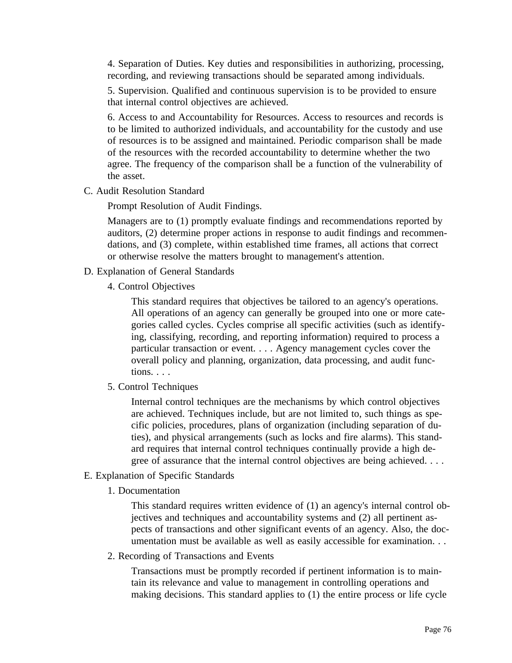4. Separation of Duties. Key duties and responsibilities in authorizing, processing, recording, and reviewing transactions should be separated among individuals.

5. Supervision. Qualified and continuous supervision is to be provided to ensure that internal control objectives are achieved.

6. Access to and Accountability for Resources. Access to resources and records is to be limited to authorized individuals, and accountability for the custody and use of resources is to be assigned and maintained. Periodic comparison shall be made of the resources with the recorded accountability to determine whether the two agree. The frequency of the comparison shall be a function of the vulnerability of the asset.

C. Audit Resolution Standard

Prompt Resolution of Audit Findings.

Managers are to (1) promptly evaluate findings and recommendations reported by auditors, (2) determine proper actions in response to audit findings and recommendations, and (3) complete, within established time frames, all actions that correct or otherwise resolve the matters brought to management's attention.

- D. Explanation of General Standards
	- 4. Control Objectives

This standard requires that objectives be tailored to an agency's operations. All operations of an agency can generally be grouped into one or more categories called cycles. Cycles comprise all specific activities (such as identifying, classifying, recording, and reporting information) required to process a particular transaction or event. . . . Agency management cycles cover the overall policy and planning, organization, data processing, and audit functions. . . .

5. Control Techniques

Internal control techniques are the mechanisms by which control objectives are achieved. Techniques include, but are not limited to, such things as specific policies, procedures, plans of organization (including separation of duties), and physical arrangements (such as locks and fire alarms). This standard requires that internal control techniques continually provide a high degree of assurance that the internal control objectives are being achieved. . . .

- E. Explanation of Specific Standards
	- 1. Documentation

This standard requires written evidence of (1) an agency's internal control objectives and techniques and accountability systems and (2) all pertinent aspects of transactions and other significant events of an agency. Also, the documentation must be available as well as easily accessible for examination. . .

2. Recording of Transactions and Events

Transactions must be promptly recorded if pertinent information is to maintain its relevance and value to management in controlling operations and making decisions. This standard applies to (1) the entire process or life cycle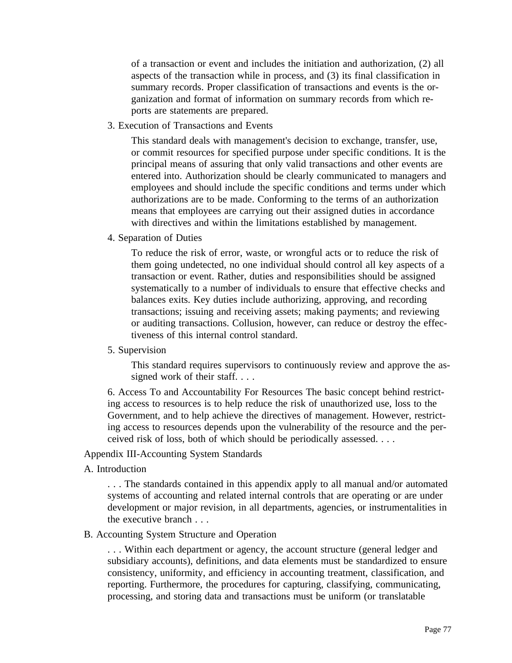of a transaction or event and includes the initiation and authorization, (2) all aspects of the transaction while in process, and (3) its final classification in summary records. Proper classification of transactions and events is the organization and format of information on summary records from which reports are statements are prepared.

3. Execution of Transactions and Events

This standard deals with management's decision to exchange, transfer, use, or commit resources for specified purpose under specific conditions. It is the principal means of assuring that only valid transactions and other events are entered into. Authorization should be clearly communicated to managers and employees and should include the specific conditions and terms under which authorizations are to be made. Conforming to the terms of an authorization means that employees are carrying out their assigned duties in accordance with directives and within the limitations established by management.

4. Separation of Duties

To reduce the risk of error, waste, or wrongful acts or to reduce the risk of them going undetected, no one individual should control all key aspects of a transaction or event. Rather, duties and responsibilities should be assigned systematically to a number of individuals to ensure that effective checks and balances exits. Key duties include authorizing, approving, and recording transactions; issuing and receiving assets; making payments; and reviewing or auditing transactions. Collusion, however, can reduce or destroy the effectiveness of this internal control standard.

5. Supervision

This standard requires supervisors to continuously review and approve the assigned work of their staff....

6. Access To and Accountability For Resources The basic concept behind restricting access to resources is to help reduce the risk of unauthorized use, loss to the Government, and to help achieve the directives of management. However, restricting access to resources depends upon the vulnerability of the resource and the perceived risk of loss, both of which should be periodically assessed. . . .

Appendix III-Accounting System Standards

A. Introduction

. . . The standards contained in this appendix apply to all manual and/or automated systems of accounting and related internal controls that are operating or are under development or major revision, in all departments, agencies, or instrumentalities in the executive branch . . .

#### B. Accounting System Structure and Operation

. . . Within each department or agency, the account structure (general ledger and subsidiary accounts), definitions, and data elements must be standardized to ensure consistency, uniformity, and efficiency in accounting treatment, classification, and reporting. Furthermore, the procedures for capturing, classifying, communicating, processing, and storing data and transactions must be uniform (or translatable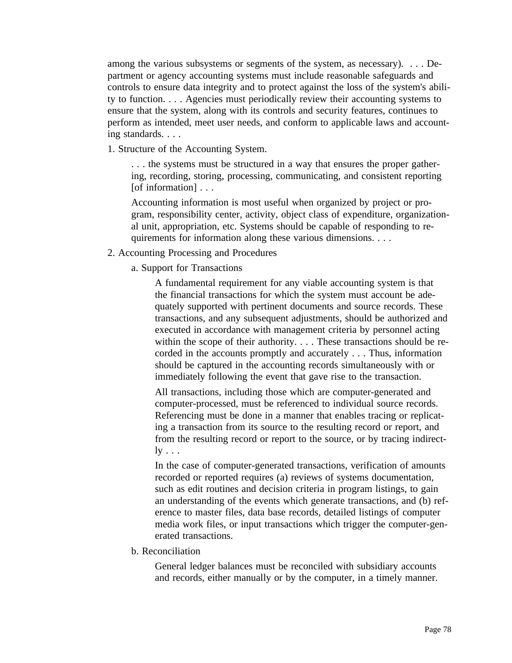among the various subsystems or segments of the system, as necessary). . . . Department or agency accounting systems must include reasonable safeguards and controls to ensure data integrity and to protect against the loss of the system's ability to function. . . . Agencies must periodically review their accounting systems to ensure that the system, along with its controls and security features, continues to perform as intended, meet user needs, and conform to applicable laws and accounting standards. . . .

1. Structure of the Accounting System.

. . . the systems must be structured in a way that ensures the proper gathering, recording, storing, processing, communicating, and consistent reporting [of information] . . .

Accounting information is most useful when organized by project or program, responsibility center, activity, object class of expenditure, organizational unit, appropriation, etc. Systems should be capable of responding to requirements for information along these various dimensions. . . .

- 2. Accounting Processing and Procedures
	- a. Support for Transactions

A fundamental requirement for any viable accounting system is that the financial transactions for which the system must account be adequately supported with pertinent documents and source records. These transactions, and any subsequent adjustments, should be authorized and executed in accordance with management criteria by personnel acting within the scope of their authority. . . . These transactions should be recorded in the accounts promptly and accurately . . . Thus, information should be captured in the accounting records simultaneously with or immediately following the event that gave rise to the transaction.

All transactions, including those which are computer-generated and computer-processed, must be referenced to individual source records. Referencing must be done in a manner that enables tracing or replicating a transaction from its source to the resulting record or report, and from the resulting record or report to the source, or by tracing indirect- $\lg \ldots$ 

In the case of computer-generated transactions, verification of amounts recorded or reported requires (a) reviews of systems documentation, such as edit routines and decision criteria in program listings, to gain an understanding of the events which generate transactions, and (b) reference to master files, data base records, detailed listings of computer media work files, or input transactions which trigger the computer-generated transactions.

b. Reconciliation

General ledger balances must be reconciled with subsidiary accounts and records, either manually or by the computer, in a timely manner.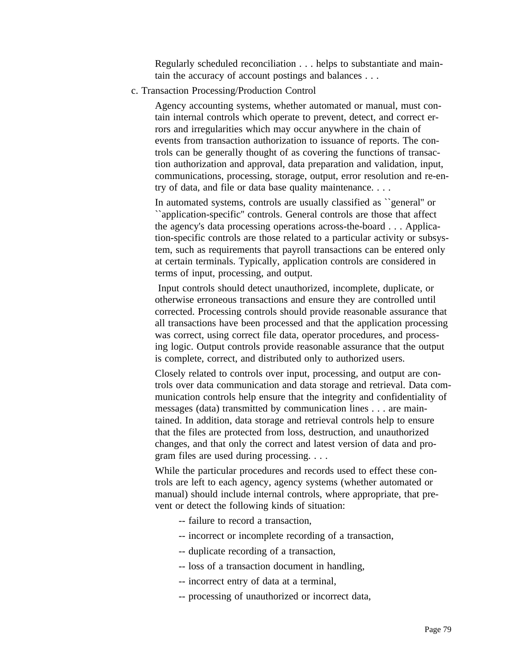Regularly scheduled reconciliation . . . helps to substantiate and maintain the accuracy of account postings and balances . . .

c. Transaction Processing/Production Control

Agency accounting systems, whether automated or manual, must contain internal controls which operate to prevent, detect, and correct errors and irregularities which may occur anywhere in the chain of events from transaction authorization to issuance of reports. The controls can be generally thought of as covering the functions of transaction authorization and approval, data preparation and validation, input, communications, processing, storage, output, error resolution and re-entry of data, and file or data base quality maintenance. . . .

In automated systems, controls are usually classified as ``general'' or ``application-specific'' controls. General controls are those that affect the agency's data processing operations across-the-board . . . Application-specific controls are those related to a particular activity or subsystem, such as requirements that payroll transactions can be entered only at certain terminals. Typically, application controls are considered in terms of input, processing, and output.

 Input controls should detect unauthorized, incomplete, duplicate, or otherwise erroneous transactions and ensure they are controlled until corrected. Processing controls should provide reasonable assurance that all transactions have been processed and that the application processing was correct, using correct file data, operator procedures, and processing logic. Output controls provide reasonable assurance that the output is complete, correct, and distributed only to authorized users.

Closely related to controls over input, processing, and output are controls over data communication and data storage and retrieval. Data communication controls help ensure that the integrity and confidentiality of messages (data) transmitted by communication lines . . . are maintained. In addition, data storage and retrieval controls help to ensure that the files are protected from loss, destruction, and unauthorized changes, and that only the correct and latest version of data and program files are used during processing. . . .

While the particular procedures and records used to effect these controls are left to each agency, agency systems (whether automated or manual) should include internal controls, where appropriate, that prevent or detect the following kinds of situation:

- -- failure to record a transaction,
- -- incorrect or incomplete recording of a transaction,
- -- duplicate recording of a transaction,
- -- loss of a transaction document in handling,
- -- incorrect entry of data at a terminal,
- -- processing of unauthorized or incorrect data,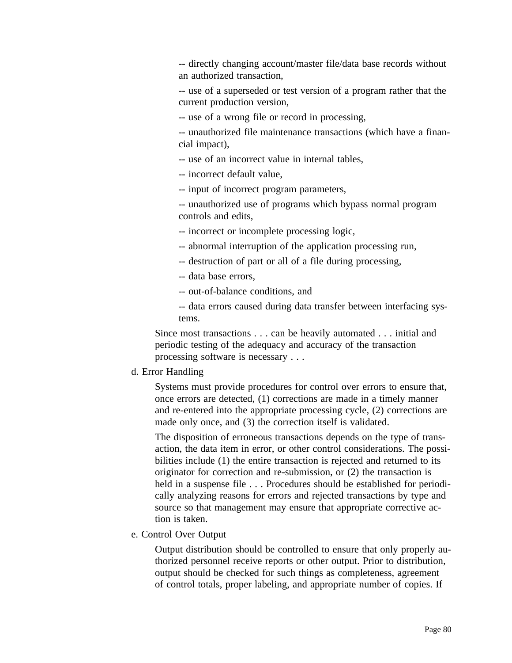-- directly changing account/master file/data base records without an authorized transaction,

-- use of a superseded or test version of a program rather that the current production version,

-- use of a wrong file or record in processing,

-- unauthorized file maintenance transactions (which have a financial impact),

-- use of an incorrect value in internal tables,

-- incorrect default value,

-- input of incorrect program parameters,

-- unauthorized use of programs which bypass normal program controls and edits,

-- incorrect or incomplete processing logic,

-- abnormal interruption of the application processing run,

-- destruction of part or all of a file during processing,

-- data base errors,

-- out-of-balance conditions, and

-- data errors caused during data transfer between interfacing systems.

Since most transactions . . . can be heavily automated . . . initial and periodic testing of the adequacy and accuracy of the transaction processing software is necessary . . .

#### d. Error Handling

Systems must provide procedures for control over errors to ensure that, once errors are detected, (1) corrections are made in a timely manner and re-entered into the appropriate processing cycle, (2) corrections are made only once, and (3) the correction itself is validated.

The disposition of erroneous transactions depends on the type of transaction, the data item in error, or other control considerations. The possibilities include (1) the entire transaction is rejected and returned to its originator for correction and re-submission, or (2) the transaction is held in a suspense file . . . Procedures should be established for periodically analyzing reasons for errors and rejected transactions by type and source so that management may ensure that appropriate corrective action is taken.

e. Control Over Output

Output distribution should be controlled to ensure that only properly authorized personnel receive reports or other output. Prior to distribution, output should be checked for such things as completeness, agreement of control totals, proper labeling, and appropriate number of copies. If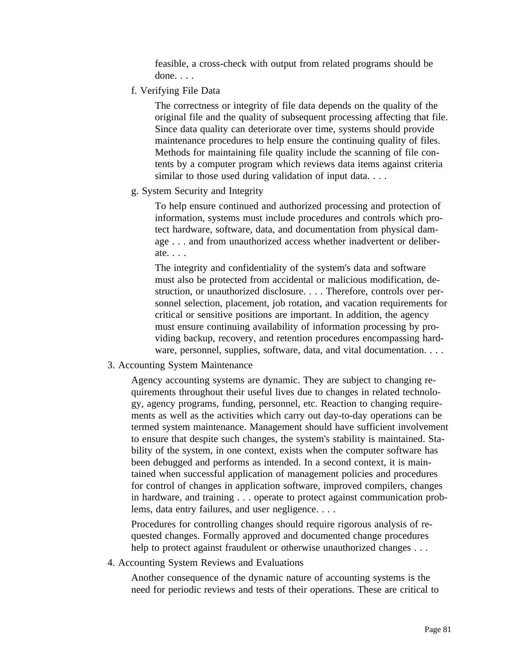feasible, a cross-check with output from related programs should be done. . . . .

f. Verifying File Data

The correctness or integrity of file data depends on the quality of the original file and the quality of subsequent processing affecting that file. Since data quality can deteriorate over time, systems should provide maintenance procedures to help ensure the continuing quality of files. Methods for maintaining file quality include the scanning of file contents by a computer program which reviews data items against criteria similar to those used during validation of input data....

g. System Security and Integrity

To help ensure continued and authorized processing and protection of information, systems must include procedures and controls which protect hardware, software, data, and documentation from physical damage . . . and from unauthorized access whether inadvertent or deliberate. . . .

The integrity and confidentiality of the system's data and software must also be protected from accidental or malicious modification, destruction, or unauthorized disclosure. . . . Therefore, controls over personnel selection, placement, job rotation, and vacation requirements for critical or sensitive positions are important. In addition, the agency must ensure continuing availability of information processing by providing backup, recovery, and retention procedures encompassing hardware, personnel, supplies, software, data, and vital documentation. . . .

3. Accounting System Maintenance

Agency accounting systems are dynamic. They are subject to changing requirements throughout their useful lives due to changes in related technology, agency programs, funding, personnel, etc. Reaction to changing requirements as well as the activities which carry out day-to-day operations can be termed system maintenance. Management should have sufficient involvement to ensure that despite such changes, the system's stability is maintained. Stability of the system, in one context, exists when the computer software has been debugged and performs as intended. In a second context, it is maintained when successful application of management policies and procedures for control of changes in application software, improved compilers, changes in hardware, and training . . . operate to protect against communication problems, data entry failures, and user negligence. . . .

Procedures for controlling changes should require rigorous analysis of requested changes. Formally approved and documented change procedures help to protect against fraudulent or otherwise unauthorized changes . . .

4. Accounting System Reviews and Evaluations

Another consequence of the dynamic nature of accounting systems is the need for periodic reviews and tests of their operations. These are critical to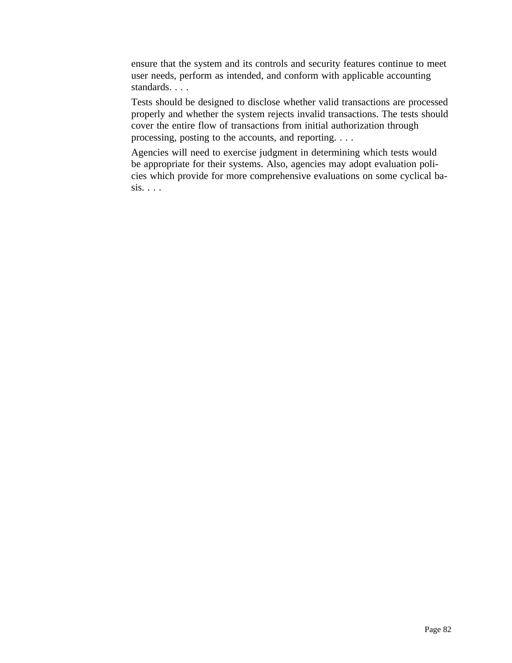ensure that the system and its controls and security features continue to meet user needs, perform as intended, and conform with applicable accounting standards. . . .

Tests should be designed to disclose whether valid transactions are processed properly and whether the system rejects invalid transactions. The tests should cover the entire flow of transactions from initial authorization through processing, posting to the accounts, and reporting. . . .

Agencies will need to exercise judgment in determining which tests would be appropriate for their systems. Also, agencies may adopt evaluation policies which provide for more comprehensive evaluations on some cyclical ba $sis. \ldots$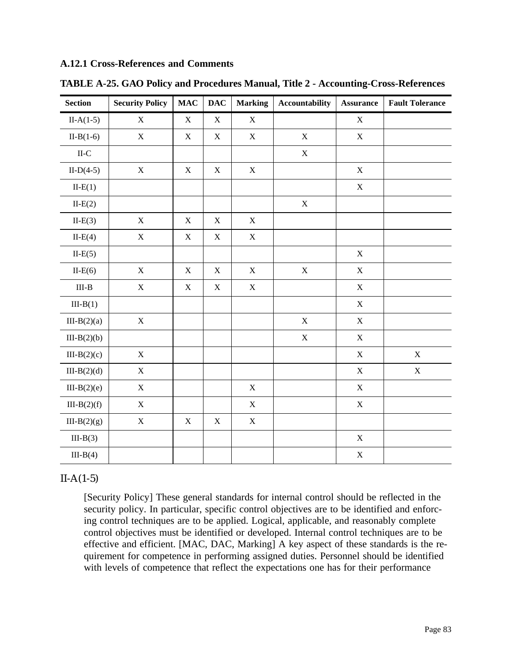#### **A.12.1 Cross-References and Comments**

| <b>Section</b> | <b>Security Policy</b> | MAC         | <b>DAC</b>  | <b>Marking</b> | <b>Accountability</b> | <b>Assurance</b> | <b>Fault Tolerance</b> |
|----------------|------------------------|-------------|-------------|----------------|-----------------------|------------------|------------------------|
| $II-A(1-5)$    | $\mathbf X$            | $\mathbf X$ | $\mathbf X$ | $\mathbf X$    |                       | $\mathbf X$      |                        |
| $II-B(1-6)$    | $\mathbf X$            | $\mathbf X$ | $\mathbf X$ | $\mathbf X$    | $\mathbf X$           | $\mathbf X$      |                        |
| $II-C$         |                        |             |             |                | $\mathbf X$           |                  |                        |
| $II-D(4-5)$    | $\mathbf X$            | $\mathbf X$ | $\mathbf X$ | $\mathbf X$    |                       | $\mathbf X$      |                        |
| $II-E(1)$      |                        |             |             |                |                       | $\mathbf X$      |                        |
| $II-E(2)$      |                        |             |             |                | $\mathbf X$           |                  |                        |
| $IL-E(3)$      | $\mathbf X$            | $\mathbf X$ | $\mathbf X$ | $\mathbf X$    |                       |                  |                        |
| $II-E(4)$      | $\mathbf X$            | $\mathbf X$ | $\mathbf X$ | $\mathbf X$    |                       |                  |                        |
| $IL-E(5)$      |                        |             |             |                |                       | $\mathbf X$      |                        |
| $II-E(6)$      | $\mathbf X$            | $\mathbf X$ | $\mathbf X$ | $\mathbf X$    | $\mathbf X$           | $\mathbf X$      |                        |
| $III-B$        | $\mathbf X$            | $\mathbf X$ | $\mathbf X$ | $\mathbf X$    |                       | $\mathbf X$      |                        |
| $III-B(1)$     |                        |             |             |                |                       | $\mathbf X$      |                        |
| $III-B(2)(a)$  | $\mathbf X$            |             |             |                | $\mathbf X$           | $\mathbf X$      |                        |
| $III-B(2)(b)$  |                        |             |             |                | $\mathbf X$           | $\mathbf X$      |                        |
| $III-B(2)(c)$  | $\mathbf X$            |             |             |                |                       | $\mathbf X$      | $\mathbf X$            |
| $III-B(2)(d)$  | $\mathbf X$            |             |             |                |                       | $\mathbf X$      | $\mathbf X$            |
| $III-B(2)(e)$  | $\mathbf X$            |             |             | $\mathbf X$    |                       | $\mathbf X$      |                        |
| $III-B(2)(f)$  | $\mathbf X$            |             |             | $\mathbf X$    |                       | $\mathbf X$      |                        |
| $III-B(2)(g)$  | $\mathbf X$            | $\mathbf X$ | $\mathbf X$ | $\mathbf X$    |                       |                  |                        |
| $III-B(3)$     |                        |             |             |                |                       | $\mathbf X$      |                        |
| $III-B(4)$     |                        |             |             |                |                       | $\mathbf X$      |                        |

**TABLE A-25. GAO Policy and Procedures Manual, Title 2 - Accounting-Cross-References**

#### $II-A(1-5)$

[Security Policy] These general standards for internal control should be reflected in the security policy. In particular, specific control objectives are to be identified and enforcing control techniques are to be applied. Logical, applicable, and reasonably complete control objectives must be identified or developed. Internal control techniques are to be effective and efficient. [MAC, DAC, Marking] A key aspect of these standards is the requirement for competence in performing assigned duties. Personnel should be identified with levels of competence that reflect the expectations one has for their performance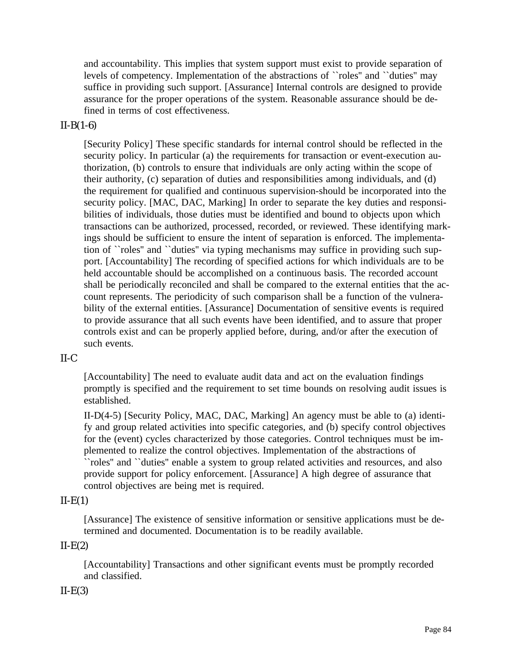and accountability. This implies that system support must exist to provide separation of levels of competency. Implementation of the abstractions of ``roles'' and ``duties'' may suffice in providing such support. [Assurance] Internal controls are designed to provide assurance for the proper operations of the system. Reasonable assurance should be defined in terms of cost effectiveness.

# $II-B(1-6)$

[Security Policy] These specific standards for internal control should be reflected in the security policy. In particular (a) the requirements for transaction or event-execution authorization, (b) controls to ensure that individuals are only acting within the scope of their authority, (c) separation of duties and responsibilities among individuals, and (d) the requirement for qualified and continuous supervision-should be incorporated into the security policy. [MAC, DAC, Marking] In order to separate the key duties and responsibilities of individuals, those duties must be identified and bound to objects upon which transactions can be authorized, processed, recorded, or reviewed. These identifying markings should be sufficient to ensure the intent of separation is enforced. The implementation of ``roles'' and ``duties'' via typing mechanisms may suffice in providing such support. [Accountability] The recording of specified actions for which individuals are to be held accountable should be accomplished on a continuous basis. The recorded account shall be periodically reconciled and shall be compared to the external entities that the account represents. The periodicity of such comparison shall be a function of the vulnerability of the external entities. [Assurance] Documentation of sensitive events is required to provide assurance that all such events have been identified, and to assure that proper controls exist and can be properly applied before, during, and/or after the execution of such events.

# II-C

[Accountability] The need to evaluate audit data and act on the evaluation findings promptly is specified and the requirement to set time bounds on resolving audit issues is established.

II-D(4-5) [Security Policy, MAC, DAC, Marking] An agency must be able to (a) identify and group related activities into specific categories, and (b) specify control objectives for the (event) cycles characterized by those categories. Control techniques must be implemented to realize the control objectives. Implementation of the abstractions of ``roles'' and ``duties'' enable a system to group related activities and resources, and also provide support for policy enforcement. [Assurance] A high degree of assurance that control objectives are being met is required.

# $II-E(1)$

[Assurance] The existence of sensitive information or sensitive applications must be determined and documented. Documentation is to be readily available.

# $II-E(2)$

[Accountability] Transactions and other significant events must be promptly recorded and classified.

# $II-E(3)$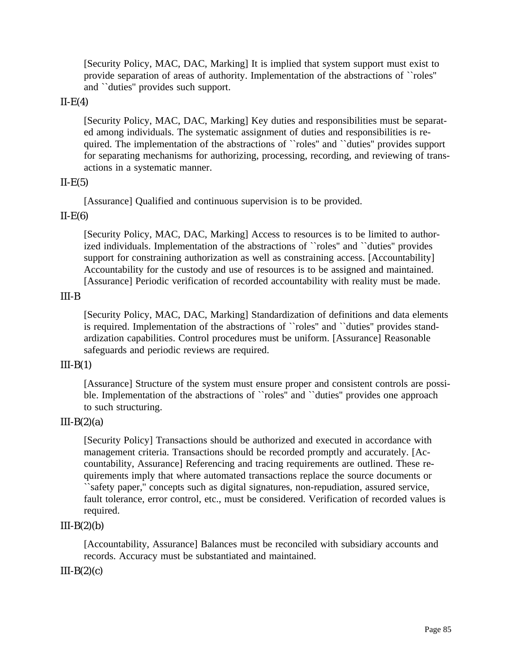[Security Policy, MAC, DAC, Marking] It is implied that system support must exist to provide separation of areas of authority. Implementation of the abstractions of ``roles'' and ``duties'' provides such support.

#### $II-E(4)$

[Security Policy, MAC, DAC, Marking] Key duties and responsibilities must be separated among individuals. The systematic assignment of duties and responsibilities is required. The implementation of the abstractions of ``roles'' and ``duties'' provides support for separating mechanisms for authorizing, processing, recording, and reviewing of transactions in a systematic manner.

#### $II-E(5)$

[Assurance] Qualified and continuous supervision is to be provided.

#### $II-E(6)$

[Security Policy, MAC, DAC, Marking] Access to resources is to be limited to authorized individuals. Implementation of the abstractions of ``roles'' and ``duties'' provides support for constraining authorization as well as constraining access. [Accountability] Accountability for the custody and use of resources is to be assigned and maintained. [Assurance] Periodic verification of recorded accountability with reality must be made.

#### III-B

[Security Policy, MAC, DAC, Marking] Standardization of definitions and data elements is required. Implementation of the abstractions of ``roles'' and ``duties'' provides standardization capabilities. Control procedures must be uniform. [Assurance] Reasonable safeguards and periodic reviews are required.

#### $III-B(1)$

[Assurance] Structure of the system must ensure proper and consistent controls are possible. Implementation of the abstractions of "roles" and "duties" provides one approach to such structuring.

#### $III-B(2)(a)$

[Security Policy] Transactions should be authorized and executed in accordance with management criteria. Transactions should be recorded promptly and accurately. [Accountability, Assurance] Referencing and tracing requirements are outlined. These requirements imply that where automated transactions replace the source documents or ``safety paper,'' concepts such as digital signatures, non-repudiation, assured service, fault tolerance, error control, etc., must be considered. Verification of recorded values is required.

#### $III-B(2)(b)$

[Accountability, Assurance] Balances must be reconciled with subsidiary accounts and records. Accuracy must be substantiated and maintained.

#### $III-B(2)(c)$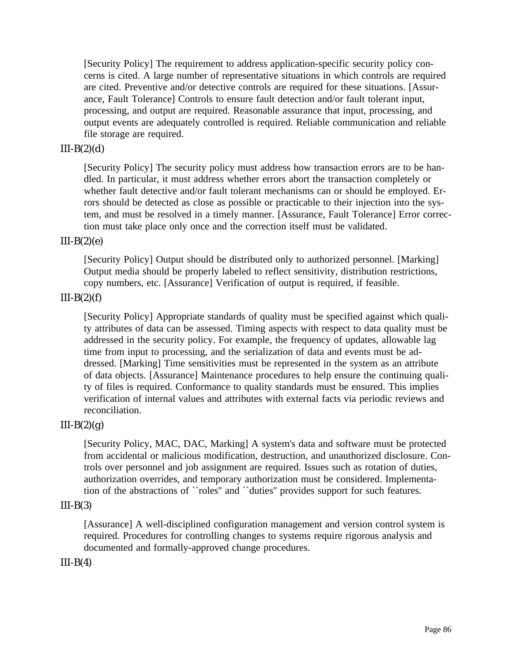[Security Policy] The requirement to address application-specific security policy concerns is cited. A large number of representative situations in which controls are required are cited. Preventive and/or detective controls are required for these situations. [Assurance, Fault Tolerance] Controls to ensure fault detection and/or fault tolerant input, processing, and output are required. Reasonable assurance that input, processing, and output events are adequately controlled is required. Reliable communication and reliable file storage are required.

## $III-B(2)(d)$

[Security Policy] The security policy must address how transaction errors are to be handled. In particular, it must address whether errors abort the transaction completely or whether fault detective and/or fault tolerant mechanisms can or should be employed. Errors should be detected as close as possible or practicable to their injection into the system, and must be resolved in a timely manner. [Assurance, Fault Tolerance] Error correction must take place only once and the correction itself must be validated.

## $III-B(2)(e)$

[Security Policy] Output should be distributed only to authorized personnel. [Marking] Output media should be properly labeled to reflect sensitivity, distribution restrictions, copy numbers, etc. [Assurance] Verification of output is required, if feasible.

#### $III-B(2)(f)$

[Security Policy] Appropriate standards of quality must be specified against which quality attributes of data can be assessed. Timing aspects with respect to data quality must be addressed in the security policy. For example, the frequency of updates, allowable lag time from input to processing, and the serialization of data and events must be addressed. [Marking] Time sensitivities must be represented in the system as an attribute of data objects. [Assurance] Maintenance procedures to help ensure the continuing quality of files is required. Conformance to quality standards must be ensured. This implies verification of internal values and attributes with external facts via periodic reviews and reconciliation.

# $III-B(2)(g)$

[Security Policy, MAC, DAC, Marking] A system's data and software must be protected from accidental or malicious modification, destruction, and unauthorized disclosure. Controls over personnel and job assignment are required. Issues such as rotation of duties, authorization overrides, and temporary authorization must be considered. Implementation of the abstractions of ``roles'' and ``duties'' provides support for such features.

#### $III-B(3)$

[Assurance] A well-disciplined configuration management and version control system is required. Procedures for controlling changes to systems require rigorous analysis and documented and formally-approved change procedures.

#### $III-B(4)$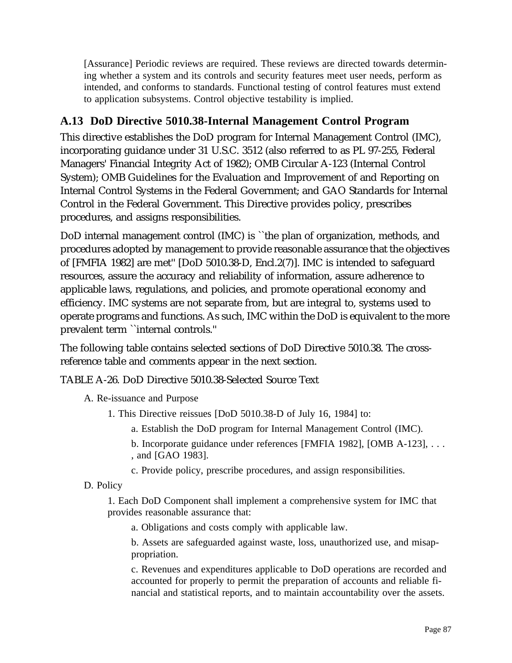[Assurance] Periodic reviews are required. These reviews are directed towards determining whether a system and its controls and security features meet user needs, perform as intended, and conforms to standards. Functional testing of control features must extend to application subsystems. Control objective testability is implied.

# **A.13 DoD Directive 5010.38-Internal Management Control Program**

This directive establishes the DoD program for Internal Management Control (IMC), incorporating guidance under 31 U.S.C. 3512 (also referred to as PL 97-255, Federal Managers' Financial Integrity Act of 1982); OMB Circular A-123 (Internal Control System); OMB Guidelines for the Evaluation and Improvement of and Reporting on Internal Control Systems in the Federal Government; and GAO Standards for Internal Control in the Federal Government. This Directive provides policy, prescribes procedures, and assigns responsibilities.

DoD internal management control (IMC) is ``the plan of organization, methods, and procedures adopted by management to provide reasonable assurance that the objectives of [FMFIA 1982] are met'' [DoD 5010.38-D, Encl.2(7)]. IMC is intended to safeguard resources, assure the accuracy and reliability of information, assure adherence to applicable laws, regulations, and policies, and promote operational economy and efficiency. IMC systems are not separate from, but are integral to, systems used to operate programs and functions. As such, IMC within the DoD is equivalent to the more prevalent term ``internal controls.''

The following table contains selected sections of DoD Directive 5010.38. The crossreference table and comments appear in the next section.

TABLE A-26. DoD Directive 5010.38-Selected Source Text

A. Re-issuance and Purpose

- 1. This Directive reissues [DoD 5010.38-D of July 16, 1984] to:
	- a. Establish the DoD program for Internal Management Control (IMC).
	- b. Incorporate guidance under references [FMFIA 1982], [OMB A-123], . . . , and [GAO 1983].
	- c. Provide policy, prescribe procedures, and assign responsibilities.
- D. Policy

1. Each DoD Component shall implement a comprehensive system for IMC that provides reasonable assurance that:

a. Obligations and costs comply with applicable law.

b. Assets are safeguarded against waste, loss, unauthorized use, and misappropriation.

c. Revenues and expenditures applicable to DoD operations are recorded and accounted for properly to permit the preparation of accounts and reliable financial and statistical reports, and to maintain accountability over the assets.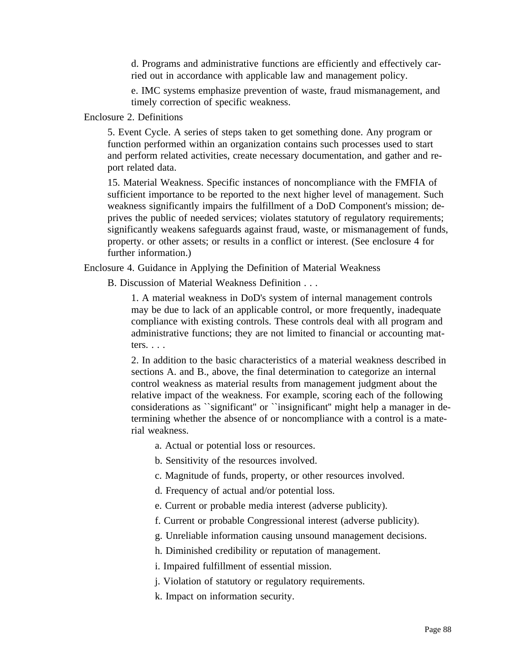d. Programs and administrative functions are efficiently and effectively carried out in accordance with applicable law and management policy.

e. IMC systems emphasize prevention of waste, fraud mismanagement, and timely correction of specific weakness.

Enclosure 2. Definitions

5. Event Cycle. A series of steps taken to get something done. Any program or function performed within an organization contains such processes used to start and perform related activities, create necessary documentation, and gather and report related data.

15. Material Weakness. Specific instances of noncompliance with the FMFIA of sufficient importance to be reported to the next higher level of management. Such weakness significantly impairs the fulfillment of a DoD Component's mission; deprives the public of needed services; violates statutory of regulatory requirements; significantly weakens safeguards against fraud, waste, or mismanagement of funds, property. or other assets; or results in a conflict or interest. (See enclosure 4 for further information.)

Enclosure 4. Guidance in Applying the Definition of Material Weakness

B. Discussion of Material Weakness Definition . . .

1. A material weakness in DoD's system of internal management controls may be due to lack of an applicable control, or more frequently, inadequate compliance with existing controls. These controls deal with all program and administrative functions; they are not limited to financial or accounting matters. . . .

2. In addition to the basic characteristics of a material weakness described in sections A. and B., above, the final determination to categorize an internal control weakness as material results from management judgment about the relative impact of the weakness. For example, scoring each of the following considerations as ``significant'' or ``insignificant'' might help a manager in determining whether the absence of or noncompliance with a control is a material weakness.

a. Actual or potential loss or resources.

b. Sensitivity of the resources involved.

c. Magnitude of funds, property, or other resources involved.

d. Frequency of actual and/or potential loss.

e. Current or probable media interest (adverse publicity).

f. Current or probable Congressional interest (adverse publicity).

g. Unreliable information causing unsound management decisions.

h. Diminished credibility or reputation of management.

i. Impaired fulfillment of essential mission.

j. Violation of statutory or regulatory requirements.

k. Impact on information security.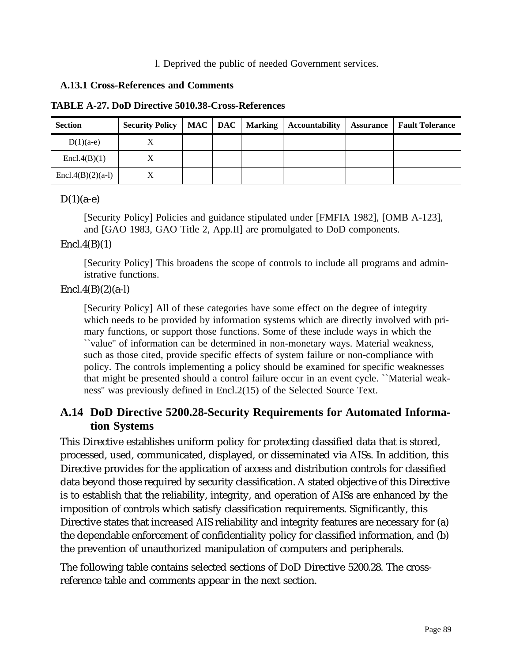l. Deprived the public of needed Government services.

#### **A.13.1 Cross-References and Comments**

|  |  | <b>TABLE A-27. DoD Directive 5010.38-Cross-References</b> |
|--|--|-----------------------------------------------------------|
|--|--|-----------------------------------------------------------|

| <b>Section</b>        | <b>Security Policy</b> |  | $MAC \mid DAC \mid Markup$ | <b>Accountability</b> | <b>Assurance</b> | <b>Fault Tolerance</b> |
|-----------------------|------------------------|--|----------------------------|-----------------------|------------------|------------------------|
| $D(1)(a-e)$           | △                      |  |                            |                       |                  |                        |
| $\text{Encl.4(B)}(1)$ |                        |  |                            |                       |                  |                        |
| Encl.4(B)(2)(a-l)     |                        |  |                            |                       |                  |                        |

#### $D(1)(a-e)$

[Security Policy] Policies and guidance stipulated under [FMFIA 1982], [OMB A-123], and [GAO 1983, GAO Title 2, App.II] are promulgated to DoD components.

## $\text{Encl.4(B)}(1)$

[Security Policy] This broadens the scope of controls to include all programs and administrative functions.

## $Encl.4(B)(2)(a-l)$

[Security Policy] All of these categories have some effect on the degree of integrity which needs to be provided by information systems which are directly involved with primary functions, or support those functions. Some of these include ways in which the ``value'' of information can be determined in non-monetary ways. Material weakness, such as those cited, provide specific effects of system failure or non-compliance with policy. The controls implementing a policy should be examined for specific weaknesses that might be presented should a control failure occur in an event cycle. ``Material weakness'' was previously defined in Encl.2(15) of the Selected Source Text.

# **A.14 DoD Directive 5200.28-Security Requirements for Automated Information Systems**

This Directive establishes uniform policy for protecting classified data that is stored, processed, used, communicated, displayed, or disseminated via AISs. In addition, this Directive provides for the application of access and distribution controls for classified data beyond those required by security classification. A stated objective of this Directive is to establish that the reliability, integrity, and operation of AISs are enhanced by the imposition of controls which satisfy classification requirements. Significantly, this Directive states that increased AIS reliability and integrity features are necessary for (a) the dependable enforcement of confidentiality policy for classified information, and (b) the prevention of unauthorized manipulation of computers and peripherals.

The following table contains selected sections of DoD Directive 5200.28. The crossreference table and comments appear in the next section.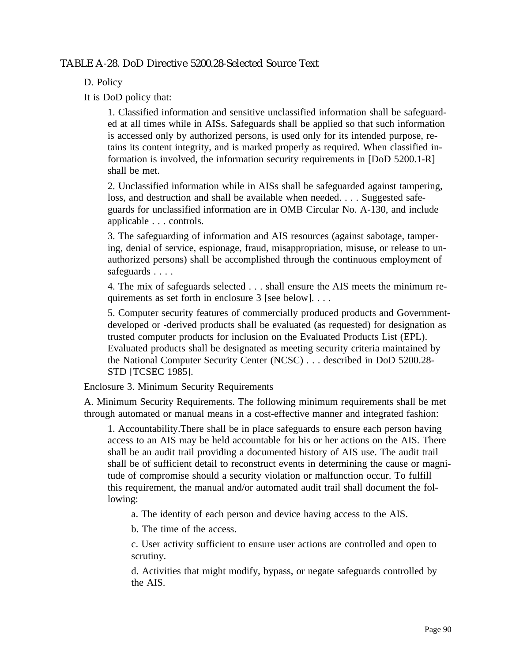# TABLE A-28. DoD Directive 5200.28-Selected Source Text

D. Policy

It is DoD policy that:

1. Classified information and sensitive unclassified information shall be safeguarded at all times while in AISs. Safeguards shall be applied so that such information is accessed only by authorized persons, is used only for its intended purpose, retains its content integrity, and is marked properly as required. When classified information is involved, the information security requirements in [DoD 5200.1-R] shall be met.

2. Unclassified information while in AISs shall be safeguarded against tampering, loss, and destruction and shall be available when needed. . . . Suggested safeguards for unclassified information are in OMB Circular No. A-130, and include applicable . . . controls.

3. The safeguarding of information and AIS resources (against sabotage, tampering, denial of service, espionage, fraud, misappropriation, misuse, or release to unauthorized persons) shall be accomplished through the continuous employment of safeguards . . . .

4. The mix of safeguards selected . . . shall ensure the AIS meets the minimum requirements as set forth in enclosure 3 [see below]. . . .

5. Computer security features of commercially produced products and Governmentdeveloped or -derived products shall be evaluated (as requested) for designation as trusted computer products for inclusion on the Evaluated Products List (EPL). Evaluated products shall be designated as meeting security criteria maintained by the National Computer Security Center (NCSC) . . . described in DoD 5200.28- STD [TCSEC 1985].

Enclosure 3. Minimum Security Requirements

A. Minimum Security Requirements. The following minimum requirements shall be met through automated or manual means in a cost-effective manner and integrated fashion:

1. Accountability.There shall be in place safeguards to ensure each person having access to an AIS may be held accountable for his or her actions on the AIS. There shall be an audit trail providing a documented history of AIS use. The audit trail shall be of sufficient detail to reconstruct events in determining the cause or magnitude of compromise should a security violation or malfunction occur. To fulfill this requirement, the manual and/or automated audit trail shall document the following:

a. The identity of each person and device having access to the AIS.

b. The time of the access.

c. User activity sufficient to ensure user actions are controlled and open to scrutiny.

d. Activities that might modify, bypass, or negate safeguards controlled by the AIS.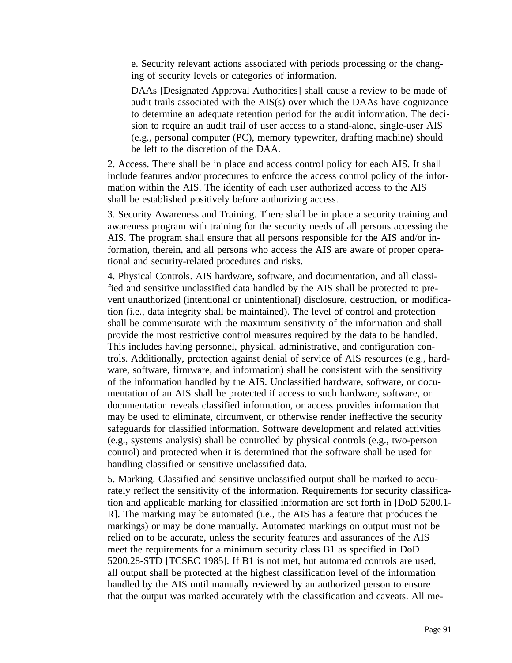e. Security relevant actions associated with periods processing or the changing of security levels or categories of information.

DAAs [Designated Approval Authorities] shall cause a review to be made of audit trails associated with the AIS(s) over which the DAAs have cognizance to determine an adequate retention period for the audit information. The decision to require an audit trail of user access to a stand-alone, single-user AIS (e.g., personal computer (PC), memory typewriter, drafting machine) should be left to the discretion of the DAA.

2. Access. There shall be in place and access control policy for each AIS. It shall include features and/or procedures to enforce the access control policy of the information within the AIS. The identity of each user authorized access to the AIS shall be established positively before authorizing access.

3. Security Awareness and Training. There shall be in place a security training and awareness program with training for the security needs of all persons accessing the AIS. The program shall ensure that all persons responsible for the AIS and/or information, therein, and all persons who access the AIS are aware of proper operational and security-related procedures and risks.

4. Physical Controls. AIS hardware, software, and documentation, and all classified and sensitive unclassified data handled by the AIS shall be protected to prevent unauthorized (intentional or unintentional) disclosure, destruction, or modification (i.e., data integrity shall be maintained). The level of control and protection shall be commensurate with the maximum sensitivity of the information and shall provide the most restrictive control measures required by the data to be handled. This includes having personnel, physical, administrative, and configuration controls. Additionally, protection against denial of service of AIS resources (e.g., hardware, software, firmware, and information) shall be consistent with the sensitivity of the information handled by the AIS. Unclassified hardware, software, or documentation of an AIS shall be protected if access to such hardware, software, or documentation reveals classified information, or access provides information that may be used to eliminate, circumvent, or otherwise render ineffective the security safeguards for classified information. Software development and related activities (e.g., systems analysis) shall be controlled by physical controls (e.g., two-person control) and protected when it is determined that the software shall be used for handling classified or sensitive unclassified data.

5. Marking. Classified and sensitive unclassified output shall be marked to accurately reflect the sensitivity of the information. Requirements for security classification and applicable marking for classified information are set forth in [DoD 5200.1- R]. The marking may be automated (i.e., the AIS has a feature that produces the markings) or may be done manually. Automated markings on output must not be relied on to be accurate, unless the security features and assurances of the AIS meet the requirements for a minimum security class B1 as specified in DoD 5200.28-STD [TCSEC 1985]. If B1 is not met, but automated controls are used, all output shall be protected at the highest classification level of the information handled by the AIS until manually reviewed by an authorized person to ensure that the output was marked accurately with the classification and caveats. All me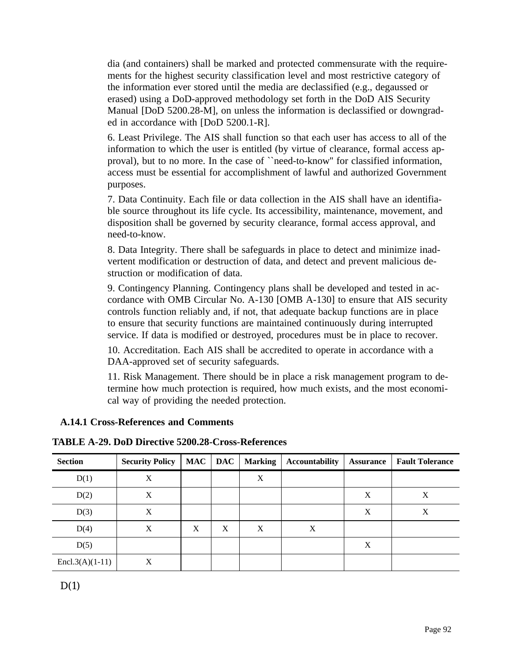dia (and containers) shall be marked and protected commensurate with the requirements for the highest security classification level and most restrictive category of the information ever stored until the media are declassified (e.g., degaussed or erased) using a DoD-approved methodology set forth in the DoD AIS Security Manual [DoD 5200.28-M], on unless the information is declassified or downgraded in accordance with [DoD 5200.1-R].

6. Least Privilege. The AIS shall function so that each user has access to all of the information to which the user is entitled (by virtue of clearance, formal access approval), but to no more. In the case of ``need-to-know'' for classified information, access must be essential for accomplishment of lawful and authorized Government purposes.

7. Data Continuity. Each file or data collection in the AIS shall have an identifiable source throughout its life cycle. Its accessibility, maintenance, movement, and disposition shall be governed by security clearance, formal access approval, and need-to-know.

8. Data Integrity. There shall be safeguards in place to detect and minimize inadvertent modification or destruction of data, and detect and prevent malicious destruction or modification of data.

9. Contingency Planning. Contingency plans shall be developed and tested in accordance with OMB Circular No. A-130 [OMB A-130] to ensure that AIS security controls function reliably and, if not, that adequate backup functions are in place to ensure that security functions are maintained continuously during interrupted service. If data is modified or destroyed, procedures must be in place to recover.

10. Accreditation. Each AIS shall be accredited to operate in accordance with a DAA-approved set of security safeguards.

11. Risk Management. There should be in place a risk management program to determine how much protection is required, how much exists, and the most economical way of providing the needed protection.

# **A.14.1 Cross-References and Comments**

| <b>Section</b>    | <b>Security Policy</b> |   | MAC   DAC | <b>Marking</b> | <b>Accountability</b> | <b>Assurance</b> | <b>Fault Tolerance</b> |
|-------------------|------------------------|---|-----------|----------------|-----------------------|------------------|------------------------|
| D(1)              | X                      |   |           | X              |                       |                  |                        |
| D(2)              | X                      |   |           |                |                       | X                | X                      |
| D(3)              | X                      |   |           |                |                       | X                | X                      |
| D(4)              | X                      | X | X         | X              | X                     |                  |                        |
| D(5)              |                        |   |           |                |                       | X                |                        |
| $Encl.3(A)(1-11)$ | X                      |   |           |                |                       |                  |                        |

**TABLE A-29. DoD Directive 5200.28-Cross-References**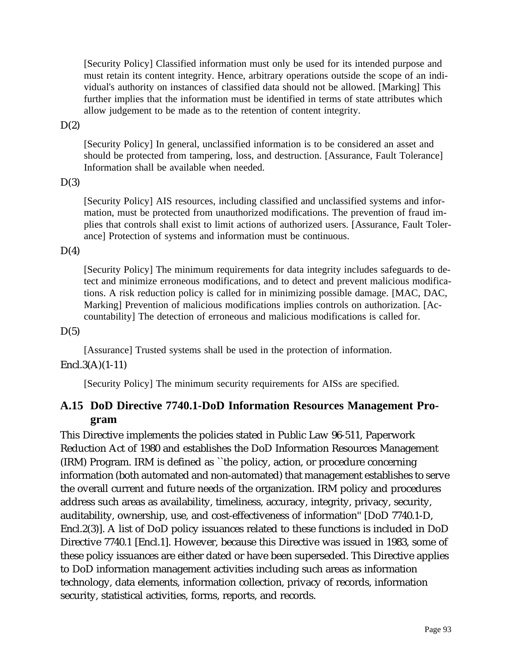[Security Policy] Classified information must only be used for its intended purpose and must retain its content integrity. Hence, arbitrary operations outside the scope of an individual's authority on instances of classified data should not be allowed. [Marking] This further implies that the information must be identified in terms of state attributes which allow judgement to be made as to the retention of content integrity.

#### $D(2)$

[Security Policy] In general, unclassified information is to be considered an asset and should be protected from tampering, loss, and destruction. [Assurance, Fault Tolerance] Information shall be available when needed.

#### $D(3)$

[Security Policy] AIS resources, including classified and unclassified systems and information, must be protected from unauthorized modifications. The prevention of fraud implies that controls shall exist to limit actions of authorized users. [Assurance, Fault Tolerance] Protection of systems and information must be continuous.

#### $D(4)$

[Security Policy] The minimum requirements for data integrity includes safeguards to detect and minimize erroneous modifications, and to detect and prevent malicious modifications. A risk reduction policy is called for in minimizing possible damage. [MAC, DAC, Marking] Prevention of malicious modifications implies controls on authorization. [Accountability] The detection of erroneous and malicious modifications is called for.

#### $D(5)$

[Assurance] Trusted systems shall be used in the protection of information.

# Encl.3(A)(1-11)

[Security Policy] The minimum security requirements for AISs are specified.

# **A.15 DoD Directive 7740.1-DoD Information Resources Management Program**

This Directive implements the policies stated in Public Law 96-511, Paperwork Reduction Act of 1980 and establishes the DoD Information Resources Management (IRM) Program. IRM is defined as ``the policy, action, or procedure concerning information (both automated and non-automated) that management establishes to serve the overall current and future needs of the organization. IRM policy and procedures address such areas as availability, timeliness, accuracy, integrity, privacy, security, auditability, ownership, use, and cost-effectiveness of information'' [DoD 7740.1-D, Encl.2(3)]. A list of DoD policy issuances related to these functions is included in DoD Directive 7740.1 [Encl.1]. However, because this Directive was issued in 1983, some of these policy issuances are either dated or have been superseded. This Directive applies to DoD information management activities including such areas as information technology, data elements, information collection, privacy of records, information security, statistical activities, forms, reports, and records.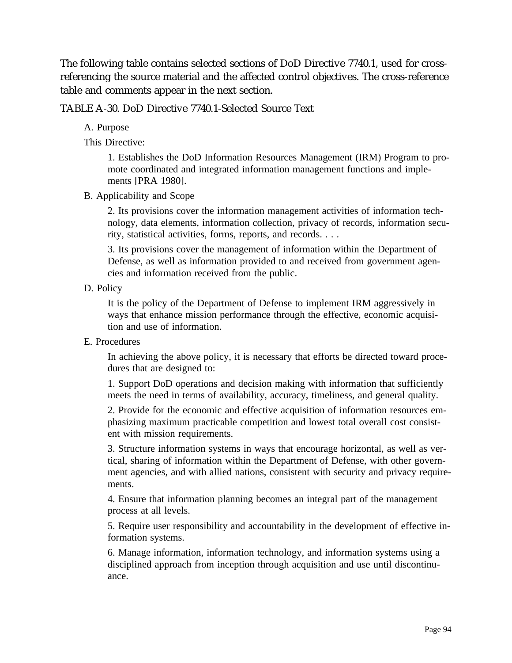The following table contains selected sections of DoD Directive 7740.1, used for crossreferencing the source material and the affected control objectives. The cross-reference table and comments appear in the next section.

TABLE A-30. DoD Directive 7740.1-Selected Source Text

A. Purpose

This Directive:

1. Establishes the DoD Information Resources Management (IRM) Program to promote coordinated and integrated information management functions and implements [PRA 1980].

B. Applicability and Scope

2. Its provisions cover the information management activities of information technology, data elements, information collection, privacy of records, information security, statistical activities, forms, reports, and records. . . .

3. Its provisions cover the management of information within the Department of Defense, as well as information provided to and received from government agencies and information received from the public.

D. Policy

It is the policy of the Department of Defense to implement IRM aggressively in ways that enhance mission performance through the effective, economic acquisition and use of information.

E. Procedures

In achieving the above policy, it is necessary that efforts be directed toward procedures that are designed to:

1. Support DoD operations and decision making with information that sufficiently meets the need in terms of availability, accuracy, timeliness, and general quality.

2. Provide for the economic and effective acquisition of information resources emphasizing maximum practicable competition and lowest total overall cost consistent with mission requirements.

3. Structure information systems in ways that encourage horizontal, as well as vertical, sharing of information within the Department of Defense, with other government agencies, and with allied nations, consistent with security and privacy requirements.

4. Ensure that information planning becomes an integral part of the management process at all levels.

5. Require user responsibility and accountability in the development of effective information systems.

6. Manage information, information technology, and information systems using a disciplined approach from inception through acquisition and use until discontinuance.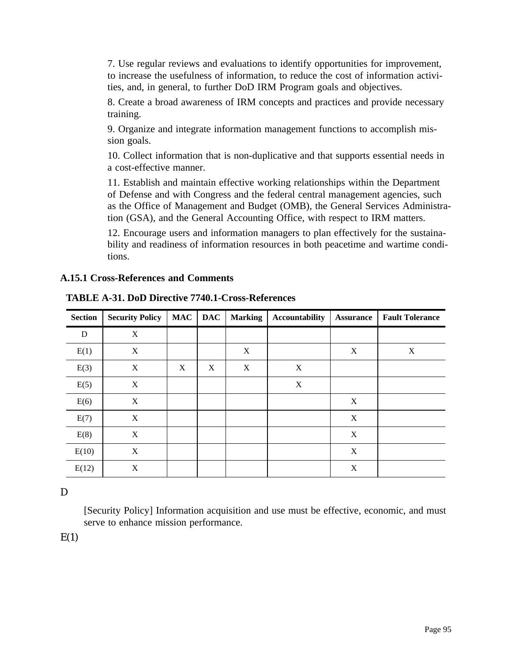7. Use regular reviews and evaluations to identify opportunities for improvement, to increase the usefulness of information, to reduce the cost of information activities, and, in general, to further DoD IRM Program goals and objectives.

8. Create a broad awareness of IRM concepts and practices and provide necessary training.

9. Organize and integrate information management functions to accomplish mission goals.

10. Collect information that is non-duplicative and that supports essential needs in a cost-effective manner.

11. Establish and maintain effective working relationships within the Department of Defense and with Congress and the federal central management agencies, such as the Office of Management and Budget (OMB), the General Services Administration (GSA), and the General Accounting Office, with respect to IRM matters.

12. Encourage users and information managers to plan effectively for the sustainability and readiness of information resources in both peacetime and wartime conditions.

## **A.15.1 Cross-References and Comments**

| <b>Section</b> | <b>Security Policy</b> | <b>MAC</b> | <b>DAC</b> | <b>Marking</b> | Accountability | <b>Assurance</b> | <b>Fault Tolerance</b> |
|----------------|------------------------|------------|------------|----------------|----------------|------------------|------------------------|
| D              | $\mathbf X$            |            |            |                |                |                  |                        |
| E(1)           | X                      |            |            | X              |                | X                | X                      |
| E(3)           | X                      | X          | X          | X              | X              |                  |                        |
| E(5)           | X                      |            |            |                | $\mathbf X$    |                  |                        |
| E(6)           | X                      |            |            |                |                | X                |                        |
| E(7)           | X                      |            |            |                |                | X                |                        |
| E(8)           | X                      |            |            |                |                | X                |                        |
| E(10)          | X                      |            |            |                |                | X                |                        |
| E(12)          | $\mathbf X$            |            |            |                |                | $\boldsymbol{X}$ |                        |

**TABLE A-31. DoD Directive 7740.1-Cross-References**

# D

[Security Policy] Information acquisition and use must be effective, economic, and must serve to enhance mission performance.

 $E(1)$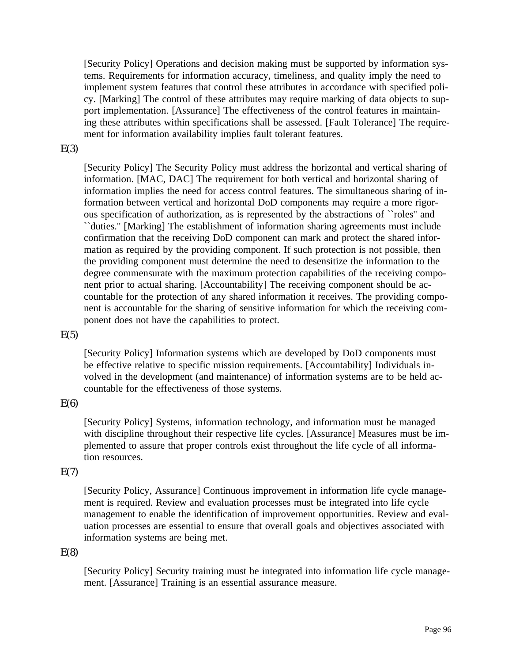[Security Policy] Operations and decision making must be supported by information systems. Requirements for information accuracy, timeliness, and quality imply the need to implement system features that control these attributes in accordance with specified policy. [Marking] The control of these attributes may require marking of data objects to support implementation. [Assurance] The effectiveness of the control features in maintaining these attributes within specifications shall be assessed. [Fault Tolerance] The requirement for information availability implies fault tolerant features.

#### $E(3)$

[Security Policy] The Security Policy must address the horizontal and vertical sharing of information. [MAC, DAC] The requirement for both vertical and horizontal sharing of information implies the need for access control features. The simultaneous sharing of information between vertical and horizontal DoD components may require a more rigorous specification of authorization, as is represented by the abstractions of ``roles'' and ``duties.'' [Marking] The establishment of information sharing agreements must include confirmation that the receiving DoD component can mark and protect the shared information as required by the providing component. If such protection is not possible, then the providing component must determine the need to desensitize the information to the degree commensurate with the maximum protection capabilities of the receiving component prior to actual sharing. [Accountability] The receiving component should be accountable for the protection of any shared information it receives. The providing component is accountable for the sharing of sensitive information for which the receiving component does not have the capabilities to protect.

#### $E(5)$

[Security Policy] Information systems which are developed by DoD components must be effective relative to specific mission requirements. [Accountability] Individuals involved in the development (and maintenance) of information systems are to be held accountable for the effectiveness of those systems.

# $E(6)$

[Security Policy] Systems, information technology, and information must be managed with discipline throughout their respective life cycles. [Assurance] Measures must be implemented to assure that proper controls exist throughout the life cycle of all information resources.

# $E(7)$

[Security Policy, Assurance] Continuous improvement in information life cycle management is required. Review and evaluation processes must be integrated into life cycle management to enable the identification of improvement opportunities. Review and evaluation processes are essential to ensure that overall goals and objectives associated with information systems are being met.

# $E(8)$

[Security Policy] Security training must be integrated into information life cycle management. [Assurance] Training is an essential assurance measure.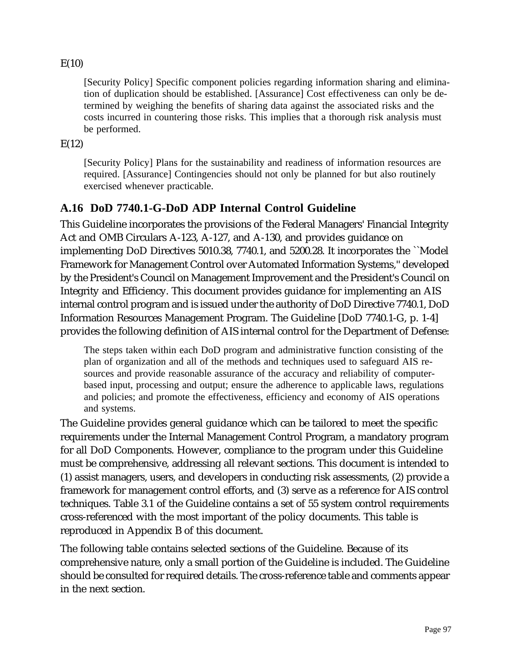# $E(10)$

[Security Policy] Specific component policies regarding information sharing and elimination of duplication should be established. [Assurance] Cost effectiveness can only be determined by weighing the benefits of sharing data against the associated risks and the costs incurred in countering those risks. This implies that a thorough risk analysis must be performed.

 $E(12)$ 

[Security Policy] Plans for the sustainability and readiness of information resources are required. [Assurance] Contingencies should not only be planned for but also routinely exercised whenever practicable.

# **A.16 DoD 7740.1-G-DoD ADP Internal Control Guideline**

This Guideline incorporates the provisions of the Federal Managers' Financial Integrity Act and OMB Circulars A-123, A-127, and A-130, and provides guidance on implementing DoD Directives 5010.38, 7740.1, and 5200.28. It incorporates the ``Model Framework for Management Control over Automated Information Systems,'' developed by the President's Council on Management Improvement and the President's Council on Integrity and Efficiency. This document provides guidance for implementing an AIS internal control program and is issued under the authority of DoD Directive 7740.1, DoD Information Resources Management Program. The Guideline [DoD 7740.1-G, p. 1-4] provides the following definition of AIS internal control for the Department of Defense:

The steps taken within each DoD program and administrative function consisting of the plan of organization and all of the methods and techniques used to safeguard AIS resources and provide reasonable assurance of the accuracy and reliability of computerbased input, processing and output; ensure the adherence to applicable laws, regulations and policies; and promote the effectiveness, efficiency and economy of AIS operations and systems.

The Guideline provides general guidance which can be tailored to meet the specific requirements under the Internal Management Control Program, a mandatory program for all DoD Components. However, compliance to the program under this Guideline must be comprehensive, addressing all relevant sections. This document is intended to (1) assist managers, users, and developers in conducting risk assessments, (2) provide a framework for management control efforts, and (3) serve as a reference for AIS control techniques. Table 3.1 of the Guideline contains a set of 55 system control requirements cross-referenced with the most important of the policy documents. This table is reproduced in Appendix B of this document.

The following table contains selected sections of the Guideline. Because of its comprehensive nature, only a small portion of the Guideline is included. The Guideline should be consulted for required details. The cross-reference table and comments appear in the next section.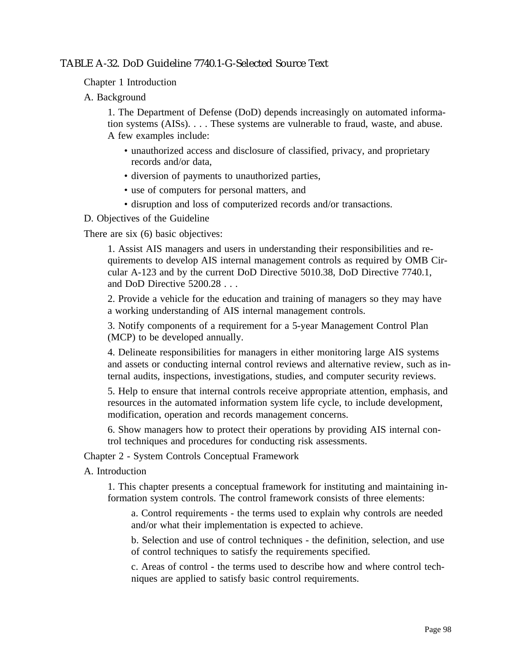# TABLE A-32. DoD Guideline 7740.1-G-Selected Source Text

Chapter 1 Introduction

A. Background

1. The Department of Defense (DoD) depends increasingly on automated information systems (AISs). . . . These systems are vulnerable to fraud, waste, and abuse. A few examples include:

- unauthorized access and disclosure of classified, privacy, and proprietary records and/or data,
- diversion of payments to unauthorized parties,
- use of computers for personal matters, and
- disruption and loss of computerized records and/or transactions.

D. Objectives of the Guideline

There are six (6) basic objectives:

1. Assist AIS managers and users in understanding their responsibilities and requirements to develop AIS internal management controls as required by OMB Circular A-123 and by the current DoD Directive 5010.38, DoD Directive 7740.1, and DoD Directive 5200.28 . . .

2. Provide a vehicle for the education and training of managers so they may have a working understanding of AIS internal management controls.

3. Notify components of a requirement for a 5-year Management Control Plan (MCP) to be developed annually.

4. Delineate responsibilities for managers in either monitoring large AIS systems and assets or conducting internal control reviews and alternative review, such as internal audits, inspections, investigations, studies, and computer security reviews.

5. Help to ensure that internal controls receive appropriate attention, emphasis, and resources in the automated information system life cycle, to include development, modification, operation and records management concerns.

6. Show managers how to protect their operations by providing AIS internal control techniques and procedures for conducting risk assessments.

Chapter 2 - System Controls Conceptual Framework

A. Introduction

1. This chapter presents a conceptual framework for instituting and maintaining information system controls. The control framework consists of three elements:

a. Control requirements - the terms used to explain why controls are needed and/or what their implementation is expected to achieve.

b. Selection and use of control techniques - the definition, selection, and use of control techniques to satisfy the requirements specified.

c. Areas of control - the terms used to describe how and where control techniques are applied to satisfy basic control requirements.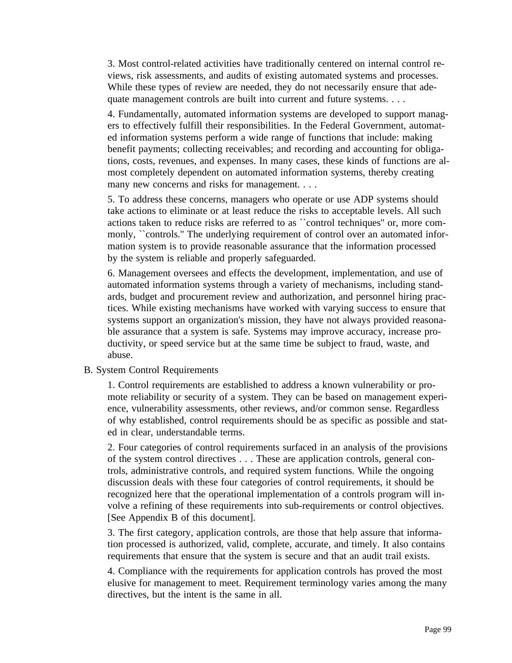3. Most control-related activities have traditionally centered on internal control reviews, risk assessments, and audits of existing automated systems and processes. While these types of review are needed, they do not necessarily ensure that adequate management controls are built into current and future systems. . . .

4. Fundamentally, automated information systems are developed to support managers to effectively fulfill their responsibilities. In the Federal Government, automated information systems perform a wide range of functions that include: making benefit payments; collecting receivables; and recording and accounting for obligations, costs, revenues, and expenses. In many cases, these kinds of functions are almost completely dependent on automated information systems, thereby creating many new concerns and risks for management. . . .

5. To address these concerns, managers who operate or use ADP systems should take actions to eliminate or at least reduce the risks to acceptable levels. All such actions taken to reduce risks are referred to as ``control techniques'' or, more commonly, "controls." The underlying requirement of control over an automated information system is to provide reasonable assurance that the information processed by the system is reliable and properly safeguarded.

6. Management oversees and effects the development, implementation, and use of automated information systems through a variety of mechanisms, including standards, budget and procurement review and authorization, and personnel hiring practices. While existing mechanisms have worked with varying success to ensure that systems support an organization's mission, they have not always provided reasonable assurance that a system is safe. Systems may improve accuracy, increase productivity, or speed service but at the same time be subject to fraud, waste, and abuse.

#### B. System Control Requirements

1. Control requirements are established to address a known vulnerability or promote reliability or security of a system. They can be based on management experience, vulnerability assessments, other reviews, and/or common sense. Regardless of why established, control requirements should be as specific as possible and stated in clear, understandable terms.

2. Four categories of control requirements surfaced in an analysis of the provisions of the system control directives . . . These are application controls, general controls, administrative controls, and required system functions. While the ongoing discussion deals with these four categories of control requirements, it should be recognized here that the operational implementation of a controls program will involve a refining of these requirements into sub-requirements or control objectives. [See Appendix B of this document].

3. The first category, application controls, are those that help assure that information processed is authorized, valid, complete, accurate, and timely. It also contains requirements that ensure that the system is secure and that an audit trail exists.

4. Compliance with the requirements for application controls has proved the most elusive for management to meet. Requirement terminology varies among the many directives, but the intent is the same in all.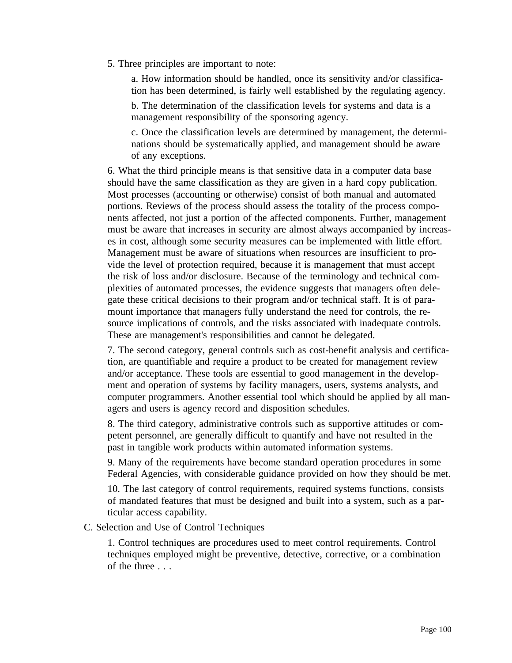5. Three principles are important to note:

a. How information should be handled, once its sensitivity and/or classification has been determined, is fairly well established by the regulating agency.

b. The determination of the classification levels for systems and data is a management responsibility of the sponsoring agency.

c. Once the classification levels are determined by management, the determinations should be systematically applied, and management should be aware of any exceptions.

6. What the third principle means is that sensitive data in a computer data base should have the same classification as they are given in a hard copy publication. Most processes (accounting or otherwise) consist of both manual and automated portions. Reviews of the process should assess the totality of the process components affected, not just a portion of the affected components. Further, management must be aware that increases in security are almost always accompanied by increases in cost, although some security measures can be implemented with little effort. Management must be aware of situations when resources are insufficient to provide the level of protection required, because it is management that must accept the risk of loss and/or disclosure. Because of the terminology and technical complexities of automated processes, the evidence suggests that managers often delegate these critical decisions to their program and/or technical staff. It is of paramount importance that managers fully understand the need for controls, the resource implications of controls, and the risks associated with inadequate controls. These are management's responsibilities and cannot be delegated.

7. The second category, general controls such as cost-benefit analysis and certification, are quantifiable and require a product to be created for management review and/or acceptance. These tools are essential to good management in the development and operation of systems by facility managers, users, systems analysts, and computer programmers. Another essential tool which should be applied by all managers and users is agency record and disposition schedules.

8. The third category, administrative controls such as supportive attitudes or competent personnel, are generally difficult to quantify and have not resulted in the past in tangible work products within automated information systems.

9. Many of the requirements have become standard operation procedures in some Federal Agencies, with considerable guidance provided on how they should be met.

10. The last category of control requirements, required systems functions, consists of mandated features that must be designed and built into a system, such as a particular access capability.

#### C. Selection and Use of Control Techniques

1. Control techniques are procedures used to meet control requirements. Control techniques employed might be preventive, detective, corrective, or a combination of the three . . .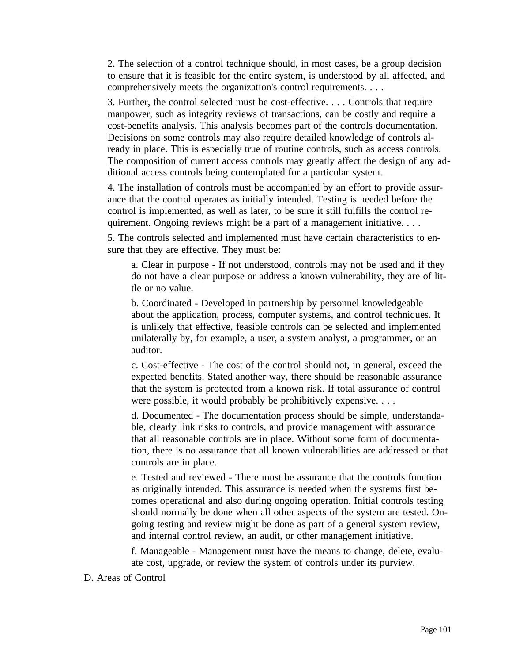2. The selection of a control technique should, in most cases, be a group decision to ensure that it is feasible for the entire system, is understood by all affected, and comprehensively meets the organization's control requirements. . . .

3. Further, the control selected must be cost-effective. . . . Controls that require manpower, such as integrity reviews of transactions, can be costly and require a cost-benefits analysis. This analysis becomes part of the controls documentation. Decisions on some controls may also require detailed knowledge of controls already in place. This is especially true of routine controls, such as access controls. The composition of current access controls may greatly affect the design of any additional access controls being contemplated for a particular system.

4. The installation of controls must be accompanied by an effort to provide assurance that the control operates as initially intended. Testing is needed before the control is implemented, as well as later, to be sure it still fulfills the control requirement. Ongoing reviews might be a part of a management initiative. . . .

5. The controls selected and implemented must have certain characteristics to ensure that they are effective. They must be:

a. Clear in purpose - If not understood, controls may not be used and if they do not have a clear purpose or address a known vulnerability, they are of little or no value.

b. Coordinated - Developed in partnership by personnel knowledgeable about the application, process, computer systems, and control techniques. It is unlikely that effective, feasible controls can be selected and implemented unilaterally by, for example, a user, a system analyst, a programmer, or an auditor.

c. Cost-effective - The cost of the control should not, in general, exceed the expected benefits. Stated another way, there should be reasonable assurance that the system is protected from a known risk. If total assurance of control were possible, it would probably be prohibitively expensive. . . .

d. Documented - The documentation process should be simple, understandable, clearly link risks to controls, and provide management with assurance that all reasonable controls are in place. Without some form of documentation, there is no assurance that all known vulnerabilities are addressed or that controls are in place.

e. Tested and reviewed - There must be assurance that the controls function as originally intended. This assurance is needed when the systems first becomes operational and also during ongoing operation. Initial controls testing should normally be done when all other aspects of the system are tested. Ongoing testing and review might be done as part of a general system review, and internal control review, an audit, or other management initiative.

f. Manageable - Management must have the means to change, delete, evaluate cost, upgrade, or review the system of controls under its purview.

D. Areas of Control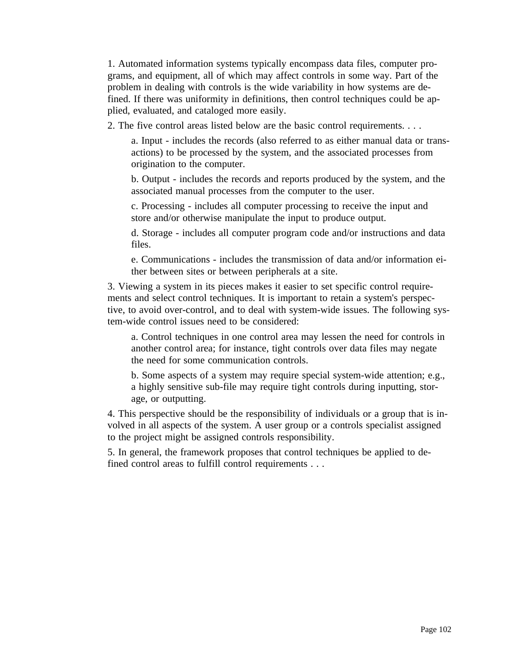1. Automated information systems typically encompass data files, computer programs, and equipment, all of which may affect controls in some way. Part of the problem in dealing with controls is the wide variability in how systems are defined. If there was uniformity in definitions, then control techniques could be applied, evaluated, and cataloged more easily.

2. The five control areas listed below are the basic control requirements. . . .

a. Input - includes the records (also referred to as either manual data or transactions) to be processed by the system, and the associated processes from origination to the computer.

b. Output - includes the records and reports produced by the system, and the associated manual processes from the computer to the user.

c. Processing - includes all computer processing to receive the input and store and/or otherwise manipulate the input to produce output.

d. Storage - includes all computer program code and/or instructions and data files.

e. Communications - includes the transmission of data and/or information either between sites or between peripherals at a site.

3. Viewing a system in its pieces makes it easier to set specific control requirements and select control techniques. It is important to retain a system's perspective, to avoid over-control, and to deal with system-wide issues. The following system-wide control issues need to be considered:

a. Control techniques in one control area may lessen the need for controls in another control area; for instance, tight controls over data files may negate the need for some communication controls.

b. Some aspects of a system may require special system-wide attention; e.g., a highly sensitive sub-file may require tight controls during inputting, storage, or outputting.

4. This perspective should be the responsibility of individuals or a group that is involved in all aspects of the system. A user group or a controls specialist assigned to the project might be assigned controls responsibility.

5. In general, the framework proposes that control techniques be applied to defined control areas to fulfill control requirements . . .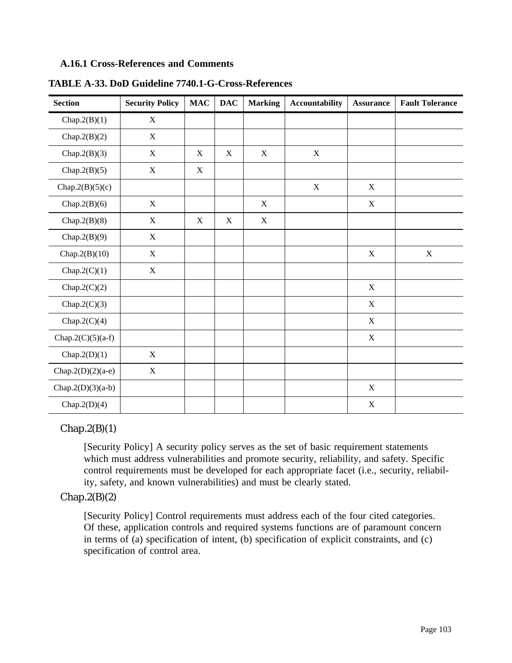## **A.16.1 Cross-References and Comments**

| <b>Section</b>       | <b>Security Policy</b> | $\mathbf{MAC}$ | <b>DAC</b>  | <b>Marking</b> | <b>Accountability</b> | <b>Assurance</b> | <b>Fault Tolerance</b> |
|----------------------|------------------------|----------------|-------------|----------------|-----------------------|------------------|------------------------|
| Chap. $2(B)(1)$      | $\mathbf X$            |                |             |                |                       |                  |                        |
| Chap.2 $(B)(2)$      | $\mathbf X$            |                |             |                |                       |                  |                        |
| Chap. $2(B)(3)$      | $\mathbf X$            | $\mathbf X$    | $\mathbf X$ | $\mathbf X$    | $\mathbf X$           |                  |                        |
| Chap. $2(B)(5)$      | $\mathbf X$            | $\mathbf X$    |             |                |                       |                  |                        |
| Chap.2 $(B)(5)(c)$   |                        |                |             |                | $\mathbf X$           | $\mathbf X$      |                        |
| Chap. $2(B)(6)$      | $\mathbf X$            |                |             | $\mathbf X$    |                       | $\mathbf X$      |                        |
| Chap. $2(B)(8)$      | $\mathbf X$            | X              | $\mathbf X$ | $\mathbf X$    |                       |                  |                        |
| Chap. $2(B)(9)$      | $\mathbf X$            |                |             |                |                       |                  |                        |
| Chap. $2(B)(10)$     | $\mathbf X$            |                |             |                |                       | $\mathbf X$      | $\mathbf X$            |
| Chap. $2(C)(1)$      | $\mathbf X$            |                |             |                |                       |                  |                        |
| Chap.2 $(C)(2)$      |                        |                |             |                |                       | $\mathbf X$      |                        |
| Chap.2 $(C)(3)$      |                        |                |             |                |                       | $\mathbf X$      |                        |
| Chap.2 $(C)(4)$      |                        |                |             |                |                       | $\mathbf X$      |                        |
| Chap.2 $(C)(5)(a-f)$ |                        |                |             |                |                       | $\mathbf X$      |                        |
| Chap. $2(D)(1)$      | $\mathbf X$            |                |             |                |                       |                  |                        |
| Chap.2(D)(2)(a-e)    | $\mathbf X$            |                |             |                |                       |                  |                        |
| Chap.2(D)(3)(a-b)    |                        |                |             |                |                       | $\mathbf X$      |                        |
| Chap.2(D)(4)         |                        |                |             |                |                       | $\mathbf X$      |                        |

**TABLE A-33. DoD Guideline 7740.1-G-Cross-References**

# $Chap.2(B)(1)$

[Security Policy] A security policy serves as the set of basic requirement statements which must address vulnerabilities and promote security, reliability, and safety. Specific control requirements must be developed for each appropriate facet (i.e., security, reliability, safety, and known vulnerabilities) and must be clearly stated.

# $Chap.2(B)(2)$

[Security Policy] Control requirements must address each of the four cited categories. Of these, application controls and required systems functions are of paramount concern in terms of (a) specification of intent, (b) specification of explicit constraints, and (c) specification of control area.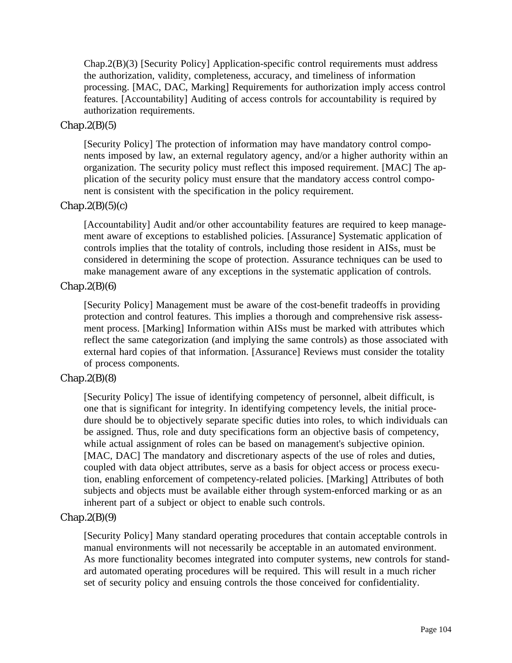Chap.2(B)(3) [Security Policy] Application-specific control requirements must address the authorization, validity, completeness, accuracy, and timeliness of information processing. [MAC, DAC, Marking] Requirements for authorization imply access control features. [Accountability] Auditing of access controls for accountability is required by authorization requirements.

## $Chap.2(B)(5)$

[Security Policy] The protection of information may have mandatory control components imposed by law, an external regulatory agency, and/or a higher authority within an organization. The security policy must reflect this imposed requirement. [MAC] The application of the security policy must ensure that the mandatory access control component is consistent with the specification in the policy requirement.

## $Chap.2(B)(5)(c)$

[Accountability] Audit and/or other accountability features are required to keep management aware of exceptions to established policies. [Assurance] Systematic application of controls implies that the totality of controls, including those resident in AISs, must be considered in determining the scope of protection. Assurance techniques can be used to make management aware of any exceptions in the systematic application of controls.

## $Chap.2(B)(6)$

[Security Policy] Management must be aware of the cost-benefit tradeoffs in providing protection and control features. This implies a thorough and comprehensive risk assessment process. [Marking] Information within AISs must be marked with attributes which reflect the same categorization (and implying the same controls) as those associated with external hard copies of that information. [Assurance] Reviews must consider the totality of process components.

#### $Chap.2(B)(8)$

[Security Policy] The issue of identifying competency of personnel, albeit difficult, is one that is significant for integrity. In identifying competency levels, the initial procedure should be to objectively separate specific duties into roles, to which individuals can be assigned. Thus, role and duty specifications form an objective basis of competency, while actual assignment of roles can be based on management's subjective opinion. [MAC, DAC] The mandatory and discretionary aspects of the use of roles and duties, coupled with data object attributes, serve as a basis for object access or process execution, enabling enforcement of competency-related policies. [Marking] Attributes of both subjects and objects must be available either through system-enforced marking or as an inherent part of a subject or object to enable such controls.

#### $Chap.2(B)(9)$

[Security Policy] Many standard operating procedures that contain acceptable controls in manual environments will not necessarily be acceptable in an automated environment. As more functionality becomes integrated into computer systems, new controls for standard automated operating procedures will be required. This will result in a much richer set of security policy and ensuing controls the those conceived for confidentiality.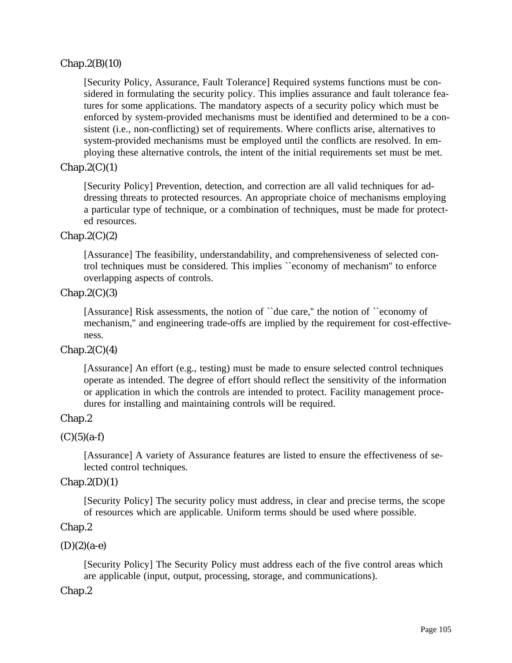# $Chap.2(B)(10)$

[Security Policy, Assurance, Fault Tolerance] Required systems functions must be considered in formulating the security policy. This implies assurance and fault tolerance features for some applications. The mandatory aspects of a security policy which must be enforced by system-provided mechanisms must be identified and determined to be a consistent (i.e., non-conflicting) set of requirements. Where conflicts arise, alternatives to system-provided mechanisms must be employed until the conflicts are resolved. In employing these alternative controls, the intent of the initial requirements set must be met.

# $Chap.2(C)(1)$

[Security Policy] Prevention, detection, and correction are all valid techniques for addressing threats to protected resources. An appropriate choice of mechanisms employing a particular type of technique, or a combination of techniques, must be made for protected resources.

## $Chap.2(C)(2)$

[Assurance] The feasibility, understandability, and comprehensiveness of selected control techniques must be considered. This implies ``economy of mechanism'' to enforce overlapping aspects of controls.

## $Chap.2(C)(3)$

[Assurance] Risk assessments, the notion of ``due care,'' the notion of ``economy of mechanism,'' and engineering trade-offs are implied by the requirement for cost-effectiveness.

# $Chap.2(C)(4)$

[Assurance] An effort (e.g., testing) must be made to ensure selected control techniques operate as intended. The degree of effort should reflect the sensitivity of the information or application in which the controls are intended to protect. Facility management procedures for installing and maintaining controls will be required.

# Chap.2

# $(C)(5)(a-f)$

[Assurance] A variety of Assurance features are listed to ensure the effectiveness of selected control techniques.

#### $Chap.2(D)(1)$

[Security Policy] The security policy must address, in clear and precise terms, the scope of resources which are applicable. Uniform terms should be used where possible.

#### Chap.2

 $(D)(2)(a-e)$ 

[Security Policy] The Security Policy must address each of the five control areas which are applicable (input, output, processing, storage, and communications).

#### Chap.2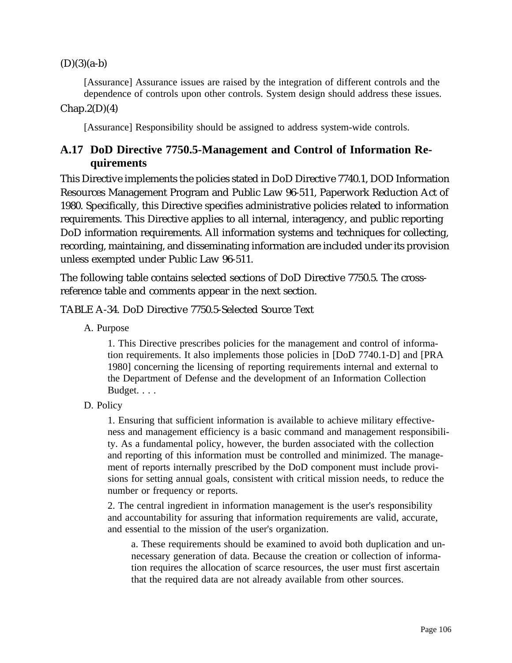$(D)(3)(a-b)$ 

[Assurance] Assurance issues are raised by the integration of different controls and the dependence of controls upon other controls. System design should address these issues.  $Chap.2(D)(4)$ 

[Assurance] Responsibility should be assigned to address system-wide controls.

# **A.17 DoD Directive 7750.5-Management and Control of Information Requirements**

This Directive implements the policies stated in DoD Directive 7740.1, DOD Information Resources Management Program and Public Law 96-511, Paperwork Reduction Act of 1980. Specifically, this Directive specifies administrative policies related to information requirements. This Directive applies to all internal, interagency, and public reporting DoD information requirements. All information systems and techniques for collecting, recording, maintaining, and disseminating information are included under its provision unless exempted under Public Law 96-511.

The following table contains selected sections of DoD Directive 7750.5. The crossreference table and comments appear in the next section.

# TABLE A-34. DoD Directive 7750.5-Selected Source Text

A. Purpose

1. This Directive prescribes policies for the management and control of information requirements. It also implements those policies in [DoD 7740.1-D] and [PRA 1980] concerning the licensing of reporting requirements internal and external to the Department of Defense and the development of an Information Collection Budget. . . .

D. Policy

1. Ensuring that sufficient information is available to achieve military effectiveness and management efficiency is a basic command and management responsibility. As a fundamental policy, however, the burden associated with the collection and reporting of this information must be controlled and minimized. The management of reports internally prescribed by the DoD component must include provisions for setting annual goals, consistent with critical mission needs, to reduce the number or frequency or reports.

2. The central ingredient in information management is the user's responsibility and accountability for assuring that information requirements are valid, accurate, and essential to the mission of the user's organization.

a. These requirements should be examined to avoid both duplication and unnecessary generation of data. Because the creation or collection of information requires the allocation of scarce resources, the user must first ascertain that the required data are not already available from other sources.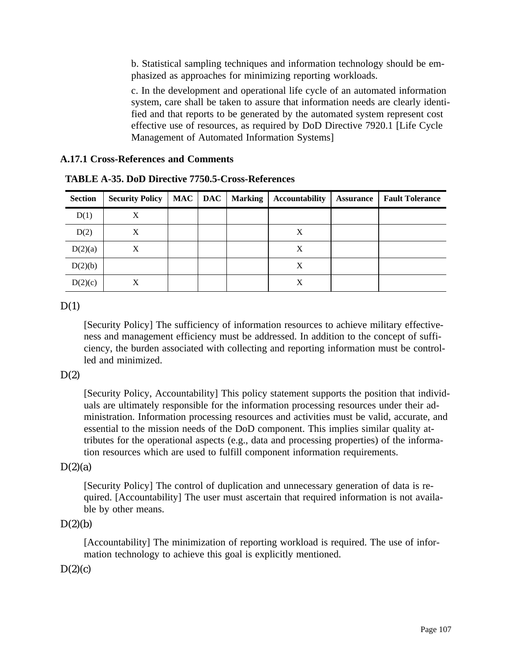b. Statistical sampling techniques and information technology should be emphasized as approaches for minimizing reporting workloads.

c. In the development and operational life cycle of an automated information system, care shall be taken to assure that information needs are clearly identified and that reports to be generated by the automated system represent cost effective use of resources, as required by DoD Directive 7920.1 [Life Cycle Management of Automated Information Systems]

#### **A.17.1 Cross-References and Comments**

| <b>Section</b> | <b>Security Policy</b> | <b>MAC</b> | <b>DAC</b> | <b>Marking</b> | <b>Accountability</b> | <b>Assurance</b> | <b>Fault Tolerance</b> |
|----------------|------------------------|------------|------------|----------------|-----------------------|------------------|------------------------|
| D(1)           | X                      |            |            |                |                       |                  |                        |
| D(2)           | X                      |            |            |                | X                     |                  |                        |
| D(2)(a)        | X                      |            |            |                | X                     |                  |                        |
| D(2)(b)        |                        |            |            |                | X                     |                  |                        |
| D(2)(c)        | X                      |            |            |                | X                     |                  |                        |

**TABLE A-35. DoD Directive 7750.5-Cross-References**

# $D(1)$

[Security Policy] The sufficiency of information resources to achieve military effectiveness and management efficiency must be addressed. In addition to the concept of sufficiency, the burden associated with collecting and reporting information must be controlled and minimized.

# $D(2)$

[Security Policy, Accountability] This policy statement supports the position that individuals are ultimately responsible for the information processing resources under their administration. Information processing resources and activities must be valid, accurate, and essential to the mission needs of the DoD component. This implies similar quality attributes for the operational aspects (e.g., data and processing properties) of the information resources which are used to fulfill component information requirements.

# $D(2)(a)$

[Security Policy] The control of duplication and unnecessary generation of data is required. [Accountability] The user must ascertain that required information is not available by other means.

# $D(2)(b)$

[Accountability] The minimization of reporting workload is required. The use of information technology to achieve this goal is explicitly mentioned.

# $D(2)(c)$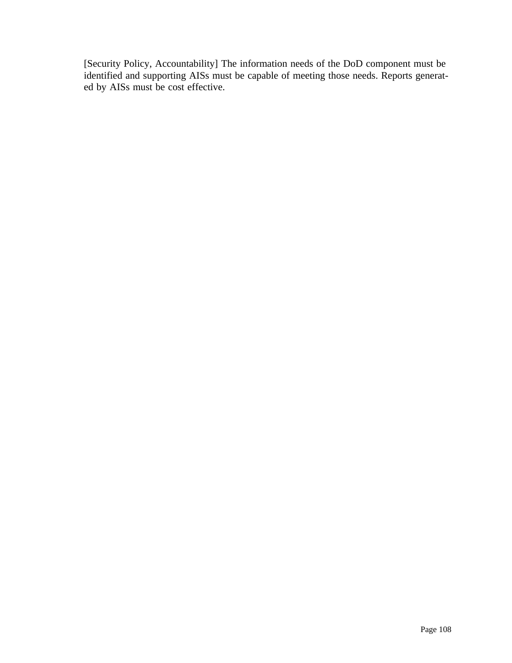[Security Policy, Accountability] The information needs of the DoD component must be identified and supporting AISs must be capable of meeting those needs. Reports generated by AISs must be cost effective.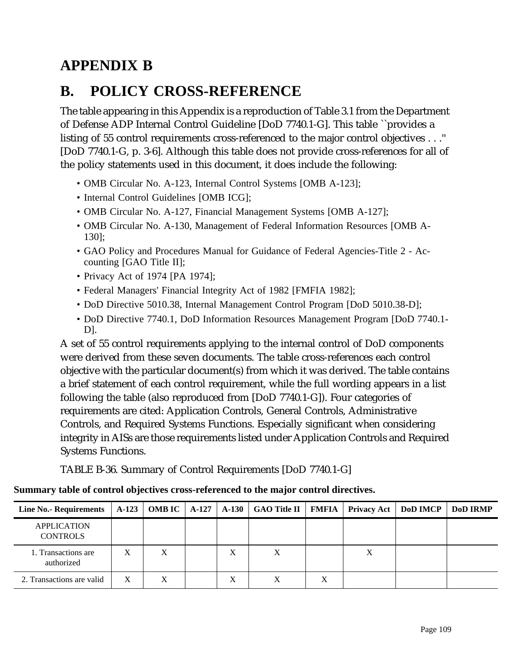# **APPENDIX B**

## **B. POLICY CROSS-REFERENCE**

The table appearing in this Appendix is a reproduction of Table 3.1 from the Department of Defense ADP Internal Control Guideline [DoD 7740.1-G]. This table ``provides a listing of 55 control requirements cross-referenced to the major control objectives . . .'' [DoD 7740.1-G, p. 3-6]. Although this table does not provide cross-references for all of the policy statements used in this document, it does include the following:

- OMB Circular No. A-123, Internal Control Systems [OMB A-123];
- Internal Control Guidelines [OMB ICG];
- OMB Circular No. A-127, Financial Management Systems [OMB A-127];
- OMB Circular No. A-130, Management of Federal Information Resources [OMB A-130];
- GAO Policy and Procedures Manual for Guidance of Federal Agencies-Title 2 Accounting [GAO Title II];
- Privacy Act of 1974 [PA 1974];
- Federal Managers' Financial Integrity Act of 1982 [FMFIA 1982];
- DoD Directive 5010.38, Internal Management Control Program [DoD 5010.38-D];
- DoD Directive 7740.1, DoD Information Resources Management Program [DoD 7740.1- D].

A set of 55 control requirements applying to the internal control of DoD components were derived from these seven documents. The table cross-references each control objective with the particular document(s) from which it was derived. The table contains a brief statement of each control requirement, while the full wording appears in a list following the table (also reproduced from [DoD 7740.1-G]). Four categories of requirements are cited: Application Controls, General Controls, Administrative Controls, and Required Systems Functions. Especially significant when considering integrity in AISs are those requirements listed under Application Controls and Required Systems Functions.

TABLE B-36. Summary of Control Requirements [DoD 7740.1-G]

### **Summary table of control objectives cross-referenced to the major control directives.**

| <b>Line No.- Requirements</b>         |   |   |   | A-123   OMB IC   A-127   A-130   GAO Title II   FMFIA |   |   | Privacy Act   DoD IMCP | <b>DoD IRMP</b> |
|---------------------------------------|---|---|---|-------------------------------------------------------|---|---|------------------------|-----------------|
| <b>APPLICATION</b><br><b>CONTROLS</b> |   |   |   |                                                       |   |   |                        |                 |
| 1. Transactions are<br>authorized     | X | X | X |                                                       |   | Х |                        |                 |
| 2. Transactions are valid             | X |   | X |                                                       | X |   |                        |                 |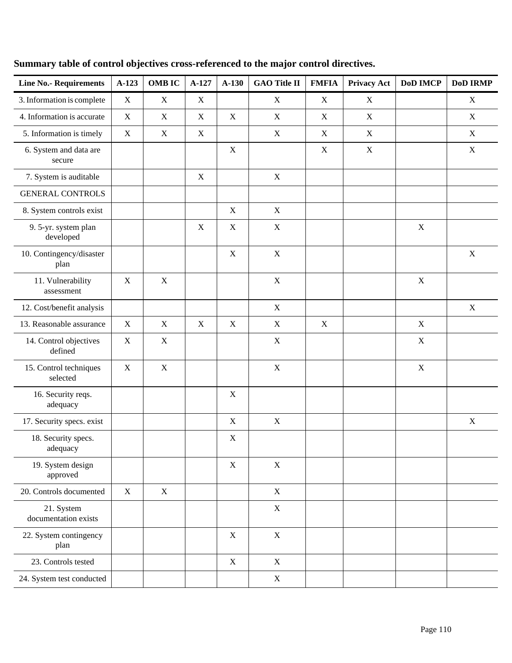| <b>Line No.- Requirements</b>      | A-123       | <b>OMB IC</b> | A-127       | $A-130$     | <b>GAO Title II</b> | <b>FMFIA</b> | <b>Privacy Act</b> | <b>DoD IMCP</b> | <b>DoD IRMP</b> |
|------------------------------------|-------------|---------------|-------------|-------------|---------------------|--------------|--------------------|-----------------|-----------------|
| 3. Information is complete         | $\mathbf X$ | $\mathbf X$   | $\mathbf X$ |             | $\mathbf X$         | X            | X                  |                 | $\mathbf X$     |
| 4. Information is accurate         | $\mathbf X$ | X             | $\mathbf X$ | $\mathbf X$ | X                   | X            | X                  |                 | $\mathbf X$     |
| 5. Information is timely           | X           | $\mathbf X$   | $\mathbf X$ |             | $\mathbf X$         | $\mathbf X$  | $\mathbf X$        |                 | $\mathbf X$     |
| 6. System and data are<br>secure   |             |               |             | $\mathbf X$ |                     | $\mathbf X$  | $\mathbf X$        |                 | $\mathbf X$     |
| 7. System is auditable             |             |               | $\mathbf X$ |             | X                   |              |                    |                 |                 |
| <b>GENERAL CONTROLS</b>            |             |               |             |             |                     |              |                    |                 |                 |
| 8. System controls exist           |             |               |             | $\mathbf X$ | $\mathbf X$         |              |                    |                 |                 |
| 9. 5-yr. system plan<br>developed  |             |               | $\mathbf X$ | $\mathbf X$ | $\mathbf X$         |              |                    | $\mathbf X$     |                 |
| 10. Contingency/disaster<br>plan   |             |               |             | $\mathbf X$ | $\mathbf X$         |              |                    |                 | $\mathbf X$     |
| 11. Vulnerability<br>assessment    | $\mathbf X$ | $\mathbf X$   |             |             | $\mathbf X$         |              |                    | $\mathbf X$     |                 |
| 12. Cost/benefit analysis          |             |               |             |             | $\mathbf X$         |              |                    |                 | $\mathbf X$     |
| 13. Reasonable assurance           | $\mathbf X$ | $\mathbf X$   | $\mathbf X$ | $\mathbf X$ | $\mathbf X$         | $\mathbf X$  |                    | $\mathbf X$     |                 |
| 14. Control objectives<br>defined  | $\mathbf X$ | $\mathbf X$   |             |             | $\mathbf X$         |              |                    | $\mathbf X$     |                 |
| 15. Control techniques<br>selected | $\mathbf X$ | $\mathbf X$   |             |             | $\mathbf X$         |              |                    | $\mathbf X$     |                 |
| 16. Security reqs.<br>adequacy     |             |               |             | $\mathbf X$ |                     |              |                    |                 |                 |
| 17. Security specs. exist          |             |               |             | $\mathbf X$ | $\mathbf X$         |              |                    |                 | $\mathbf X$     |
| 18. Security specs.<br>adequacy    |             |               |             | X           |                     |              |                    |                 |                 |
| 19. System design<br>approved      |             |               |             | $\mathbf X$ | $\mathbf X$         |              |                    |                 |                 |
| 20. Controls documented            | $\mathbf X$ | $\mathbf X$   |             |             | $\mathbf X$         |              |                    |                 |                 |
| 21. System<br>documentation exists |             |               |             |             | $\mathbf X$         |              |                    |                 |                 |
| 22. System contingency<br>plan     |             |               |             | $\mathbf X$ | $\mathbf X$         |              |                    |                 |                 |
| 23. Controls tested                |             |               |             | $\mathbf X$ | $\mathbf X$         |              |                    |                 |                 |
| 24. System test conducted          |             |               |             |             | $\mathbf X$         |              |                    |                 |                 |

### **Summary table of control objectives cross-referenced to the major control directives.**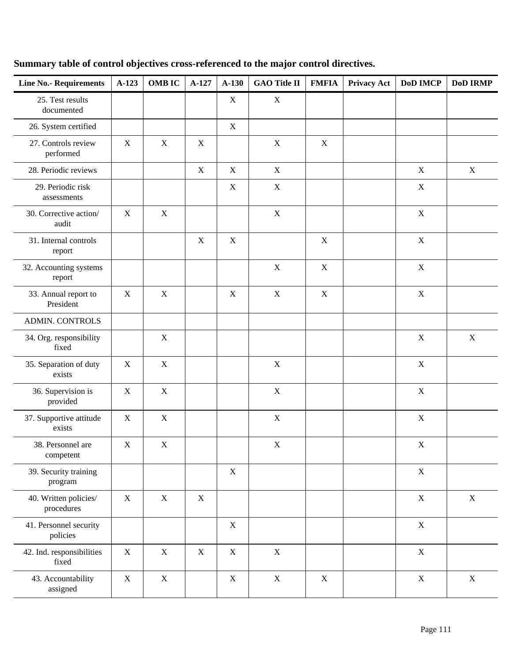### **Summary table of control objectives cross-referenced to the major control directives.**

| <b>Line No.- Requirements</b>       | $A-123$     | <b>OMB IC</b> | $A-127$     | $A-130$     | <b>GAO Title II</b> | <b>FMFIA</b>              | <b>Privacy Act</b> | <b>DoD IMCP</b> | <b>DoD IRMP</b> |
|-------------------------------------|-------------|---------------|-------------|-------------|---------------------|---------------------------|--------------------|-----------------|-----------------|
| 25. Test results<br>documented      |             |               |             | X           | $\mathbf X$         |                           |                    |                 |                 |
| 26. System certified                |             |               |             | $\mathbf X$ |                     |                           |                    |                 |                 |
| 27. Controls review<br>performed    | $\mathbf X$ | X             | $\mathbf X$ |             | $\mathbf X$         | $\mathbf X$               |                    |                 |                 |
| 28. Periodic reviews                |             |               | $\mathbf X$ | X           | $\mathbf X$         |                           |                    | $\mathbf X$     | $\mathbf X$     |
| 29. Periodic risk<br>assessments    |             |               |             | $\mathbf X$ | $\boldsymbol{X}$    |                           |                    | X               |                 |
| 30. Corrective action/<br>audit     | $\mathbf X$ | $\mathbf X$   |             |             | $\mathbf X$         |                           |                    | $\mathbf X$     |                 |
| 31. Internal controls<br>report     |             |               | $\mathbf X$ | $\mathbf X$ |                     | $\mathbf X$               |                    | $\mathbf X$     |                 |
| 32. Accounting systems<br>report    |             |               |             |             | $\boldsymbol{X}$    | $\boldsymbol{\mathrm{X}}$ |                    | $\mathbf X$     |                 |
| 33. Annual report to<br>President   | $\mathbf X$ | $\mathbf X$   |             | X           | $\mathbf X$         | $\mathbf X$               |                    | $\mathbf X$     |                 |
| <b>ADMIN. CONTROLS</b>              |             |               |             |             |                     |                           |                    |                 |                 |
| 34. Org. responsibility<br>fixed    |             | $\mathbf X$   |             |             |                     |                           |                    | X               | $\mathbf X$     |
| 35. Separation of duty<br>exists    | $\mathbf X$ | X             |             |             | $\mathbf X$         |                           |                    | $\mathbf X$     |                 |
| 36. Supervision is<br>provided      | $\mathbf X$ | X             |             |             | $\mathbf X$         |                           |                    | $\mathbf X$     |                 |
| 37. Supportive attitude<br>exists   | $\mathbf X$ | $\mathbf X$   |             |             | $\boldsymbol{X}$    |                           |                    | X               |                 |
| 38. Personnel are<br>competent      | $\mathbf X$ | $\mathbf X$   |             |             | $\mathbf X$         |                           |                    | $\mathbf X$     |                 |
| 39. Security training<br>program    |             |               |             | $\mathbf X$ |                     |                           |                    | $\mathbf X$     |                 |
| 40. Written policies/<br>procedures | $\mathbf X$ | X             | $\mathbf X$ |             |                     |                           |                    | $\mathbf X$     | $\mathbf X$     |
| 41. Personnel security<br>policies  |             |               |             | X           |                     |                           |                    | $\mathbf X$     |                 |
| 42. Ind. responsibilities<br>fixed  | $\mathbf X$ | $\mathbf X$   | $\mathbf X$ | $\mathbf X$ | $\mathbf X$         |                           |                    | $\mathbf X$     |                 |
| 43. Accountability<br>assigned      | $\mathbf X$ | X             |             | $\mathbf X$ | $\mathbf X$         | $\mathbf X$               |                    | $\mathbf X$     | $\mathbf X$     |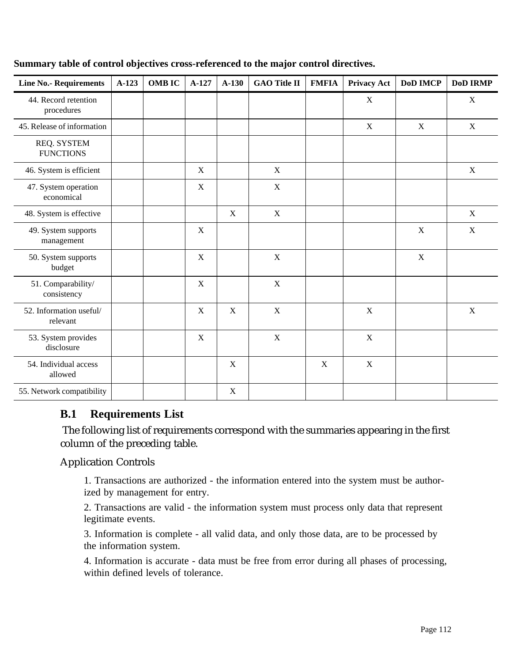| <b>Line No.- Requirements</b>       | $A-123$ | <b>OMB IC</b> | $A-127$     | $A-130$     | <b>GAO Title II</b> | <b>FMFIA</b> | <b>Privacy Act</b> | <b>DoD IMCP</b> | <b>DoD IRMP</b> |
|-------------------------------------|---------|---------------|-------------|-------------|---------------------|--------------|--------------------|-----------------|-----------------|
| 44. Record retention<br>procedures  |         |               |             |             |                     |              | $\mathbf X$        |                 | $\mathbf X$     |
| 45. Release of information          |         |               |             |             |                     |              | $\mathbf X$        | $\mathbf X$     | $\mathbf X$     |
| REQ. SYSTEM<br><b>FUNCTIONS</b>     |         |               |             |             |                     |              |                    |                 |                 |
| 46. System is efficient             |         |               | $\mathbf X$ |             | $\mathbf X$         |              |                    |                 | $\mathbf X$     |
| 47. System operation<br>economical  |         |               | $\mathbf X$ |             | $\mathbf X$         |              |                    |                 |                 |
| 48. System is effective             |         |               |             | $\mathbf X$ | $\mathbf X$         |              |                    |                 | $\mathbf X$     |
| 49. System supports<br>management   |         |               | $\mathbf X$ |             |                     |              |                    | $\mathbf X$     | X               |
| 50. System supports<br>budget       |         |               | X           |             | $\mathbf X$         |              |                    | $\mathbf X$     |                 |
| 51. Comparability/<br>consistency   |         |               | $\mathbf X$ |             | $\mathbf X$         |              |                    |                 |                 |
| 52. Information useful/<br>relevant |         |               | $\mathbf X$ | X           | $\mathbf X$         |              | X                  |                 | X               |
| 53. System provides<br>disclosure   |         |               | $\mathbf X$ |             | $\mathbf X$         |              | $\mathbf X$        |                 |                 |
| 54. Individual access<br>allowed    |         |               |             | $\mathbf X$ |                     | $\mathbf X$  | $\mathbf X$        |                 |                 |
| 55. Network compatibility           |         |               |             | $\mathbf X$ |                     |              |                    |                 |                 |

#### **Summary table of control objectives cross-referenced to the major control directives.**

### **B.1 Requirements List**

 The following list of requirements correspond with the summaries appearing in the first column of the preceding table.

### Application Controls

1. Transactions are authorized - the information entered into the system must be authorized by management for entry.

2. Transactions are valid - the information system must process only data that represent legitimate events.

3. Information is complete - all valid data, and only those data, are to be processed by the information system.

4. Information is accurate - data must be free from error during all phases of processing, within defined levels of tolerance.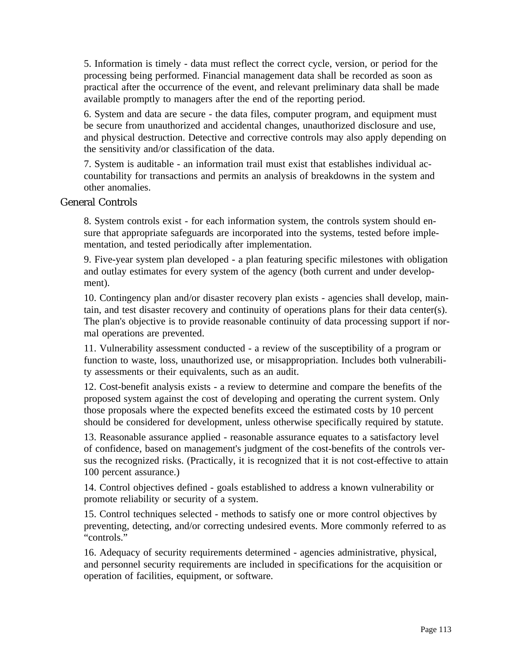5. Information is timely - data must reflect the correct cycle, version, or period for the processing being performed. Financial management data shall be recorded as soon as practical after the occurrence of the event, and relevant preliminary data shall be made available promptly to managers after the end of the reporting period.

6. System and data are secure - the data files, computer program, and equipment must be secure from unauthorized and accidental changes, unauthorized disclosure and use, and physical destruction. Detective and corrective controls may also apply depending on the sensitivity and/or classification of the data.

7. System is auditable - an information trail must exist that establishes individual accountability for transactions and permits an analysis of breakdowns in the system and other anomalies.

#### General Controls

8. System controls exist - for each information system, the controls system should ensure that appropriate safeguards are incorporated into the systems, tested before implementation, and tested periodically after implementation.

9. Five-year system plan developed - a plan featuring specific milestones with obligation and outlay estimates for every system of the agency (both current and under development).

10. Contingency plan and/or disaster recovery plan exists - agencies shall develop, maintain, and test disaster recovery and continuity of operations plans for their data center(s). The plan's objective is to provide reasonable continuity of data processing support if normal operations are prevented.

11. Vulnerability assessment conducted - a review of the susceptibility of a program or function to waste, loss, unauthorized use, or misappropriation. Includes both vulnerability assessments or their equivalents, such as an audit.

12. Cost-benefit analysis exists - a review to determine and compare the benefits of the proposed system against the cost of developing and operating the current system. Only those proposals where the expected benefits exceed the estimated costs by 10 percent should be considered for development, unless otherwise specifically required by statute.

13. Reasonable assurance applied - reasonable assurance equates to a satisfactory level of confidence, based on management's judgment of the cost-benefits of the controls versus the recognized risks. (Practically, it is recognized that it is not cost-effective to attain 100 percent assurance.)

14. Control objectives defined - goals established to address a known vulnerability or promote reliability or security of a system.

15. Control techniques selected - methods to satisfy one or more control objectives by preventing, detecting, and/or correcting undesired events. More commonly referred to as "controls."

16. Adequacy of security requirements determined - agencies administrative, physical, and personnel security requirements are included in specifications for the acquisition or operation of facilities, equipment, or software.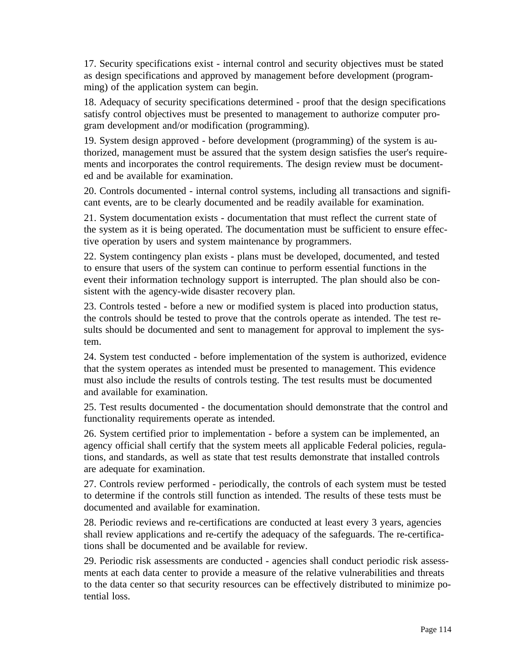17. Security specifications exist - internal control and security objectives must be stated as design specifications and approved by management before development (programming) of the application system can begin.

18. Adequacy of security specifications determined - proof that the design specifications satisfy control objectives must be presented to management to authorize computer program development and/or modification (programming).

19. System design approved - before development (programming) of the system is authorized, management must be assured that the system design satisfies the user's requirements and incorporates the control requirements. The design review must be documented and be available for examination.

20. Controls documented - internal control systems, including all transactions and significant events, are to be clearly documented and be readily available for examination.

21. System documentation exists - documentation that must reflect the current state of the system as it is being operated. The documentation must be sufficient to ensure effective operation by users and system maintenance by programmers.

22. System contingency plan exists - plans must be developed, documented, and tested to ensure that users of the system can continue to perform essential functions in the event their information technology support is interrupted. The plan should also be consistent with the agency-wide disaster recovery plan.

23. Controls tested - before a new or modified system is placed into production status, the controls should be tested to prove that the controls operate as intended. The test results should be documented and sent to management for approval to implement the system.

24. System test conducted - before implementation of the system is authorized, evidence that the system operates as intended must be presented to management. This evidence must also include the results of controls testing. The test results must be documented and available for examination.

25. Test results documented - the documentation should demonstrate that the control and functionality requirements operate as intended.

26. System certified prior to implementation - before a system can be implemented, an agency official shall certify that the system meets all applicable Federal policies, regulations, and standards, as well as state that test results demonstrate that installed controls are adequate for examination.

27. Controls review performed - periodically, the controls of each system must be tested to determine if the controls still function as intended. The results of these tests must be documented and available for examination.

28. Periodic reviews and re-certifications are conducted at least every 3 years, agencies shall review applications and re-certify the adequacy of the safeguards. The re-certifications shall be documented and be available for review.

29. Periodic risk assessments are conducted - agencies shall conduct periodic risk assessments at each data center to provide a measure of the relative vulnerabilities and threats to the data center so that security resources can be effectively distributed to minimize potential loss.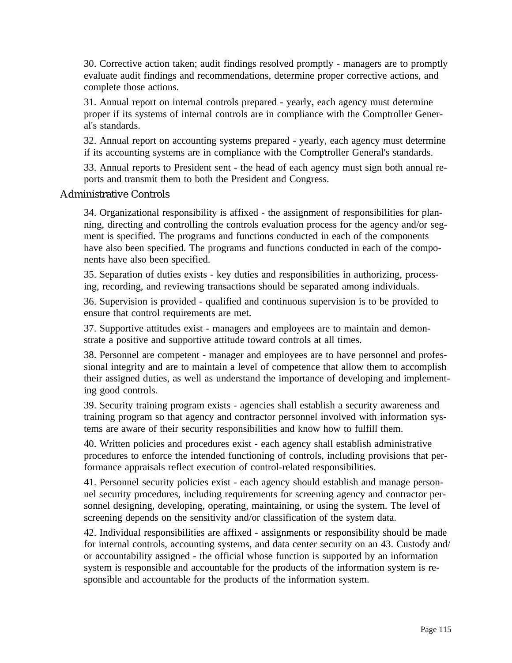30. Corrective action taken; audit findings resolved promptly - managers are to promptly evaluate audit findings and recommendations, determine proper corrective actions, and complete those actions.

31. Annual report on internal controls prepared - yearly, each agency must determine proper if its systems of internal controls are in compliance with the Comptroller General's standards.

32. Annual report on accounting systems prepared - yearly, each agency must determine if its accounting systems are in compliance with the Comptroller General's standards.

33. Annual reports to President sent - the head of each agency must sign both annual reports and transmit them to both the President and Congress.

#### Administrative Controls

34. Organizational responsibility is affixed - the assignment of responsibilities for planning, directing and controlling the controls evaluation process for the agency and/or segment is specified. The programs and functions conducted in each of the components have also been specified. The programs and functions conducted in each of the components have also been specified.

35. Separation of duties exists - key duties and responsibilities in authorizing, processing, recording, and reviewing transactions should be separated among individuals.

36. Supervision is provided - qualified and continuous supervision is to be provided to ensure that control requirements are met.

37. Supportive attitudes exist - managers and employees are to maintain and demonstrate a positive and supportive attitude toward controls at all times.

38. Personnel are competent - manager and employees are to have personnel and professional integrity and are to maintain a level of competence that allow them to accomplish their assigned duties, as well as understand the importance of developing and implementing good controls.

39. Security training program exists - agencies shall establish a security awareness and training program so that agency and contractor personnel involved with information systems are aware of their security responsibilities and know how to fulfill them.

40. Written policies and procedures exist - each agency shall establish administrative procedures to enforce the intended functioning of controls, including provisions that performance appraisals reflect execution of control-related responsibilities.

41. Personnel security policies exist - each agency should establish and manage personnel security procedures, including requirements for screening agency and contractor personnel designing, developing, operating, maintaining, or using the system. The level of screening depends on the sensitivity and/or classification of the system data.

42. Individual responsibilities are affixed - assignments or responsibility should be made for internal controls, accounting systems, and data center security on an 43. Custody and/ or accountability assigned - the official whose function is supported by an information system is responsible and accountable for the products of the information system is responsible and accountable for the products of the information system.